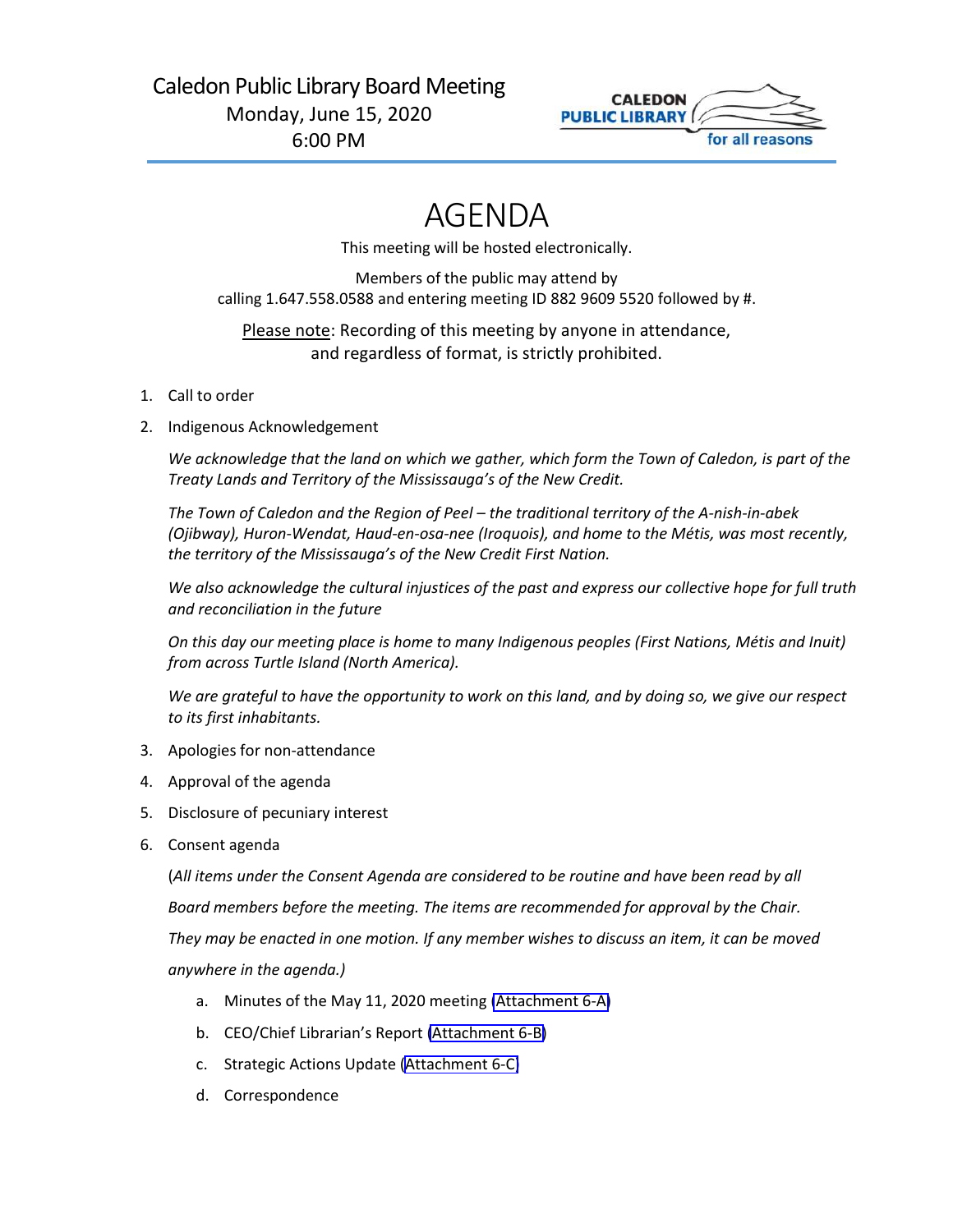

# AGENDA

This meeting will be hosted electronically.

Members of the public may attend by calling 1.647.558.0588 and entering meeting ID 882 9609 5520 followed by #.

Please note: Recording of this meeting by anyone in attendance, and regardless of format, is strictly prohibited.

- 1. Call to order
- 2. Indigenous Acknowledgement

*We acknowledge that the land on which we gather, which form the Town of Caledon, is part of the Treaty Lands and Territory of the Mississauga's of the New Credit.*

*The Town of Caledon and the Region of Peel – the traditional territory of the A-nish-in-abek (Ojibway), Huron-Wendat, Haud-en-osa-nee (Iroquois), and home to the Métis, was most recently, the territory of the Mississauga's of the New Credit First Nation.*

*We also acknowledge the cultural injustices of the past and express our collective hope for full truth and reconciliation in the future*

*On this day our meeting place is home to many Indigenous peoples (First Nations, Métis and Inuit) from across Turtle Island (North America).*

*We are grateful to have the opportunity to work on this land, and by doing so, we give our respect to its first inhabitants.*

- 3. Apologies for non-attendance
- 4. Approval of the agenda
- 5. Disclosure of pecuniary interest
- 6. Consent agenda

(*All items under the Consent Agenda are considered to be routine and have been read by all Board members before the meeting. The items are recommended for approval by the Chair. They may be enacted in one motion. If any member wishes to discuss an item, it can be moved anywhere in the agenda.)*

- a. Minutes of the May 11, 2020 meeting [\(Attachment 6-A\)](#page-2-0)
- b. CEO/Chief Librarian's Report [\(Attachment 6-B\)](#page-6-0)
- c. Strategic Actions Update [\(Attachment 6-C\)](#page-11-0)
- d. Correspondence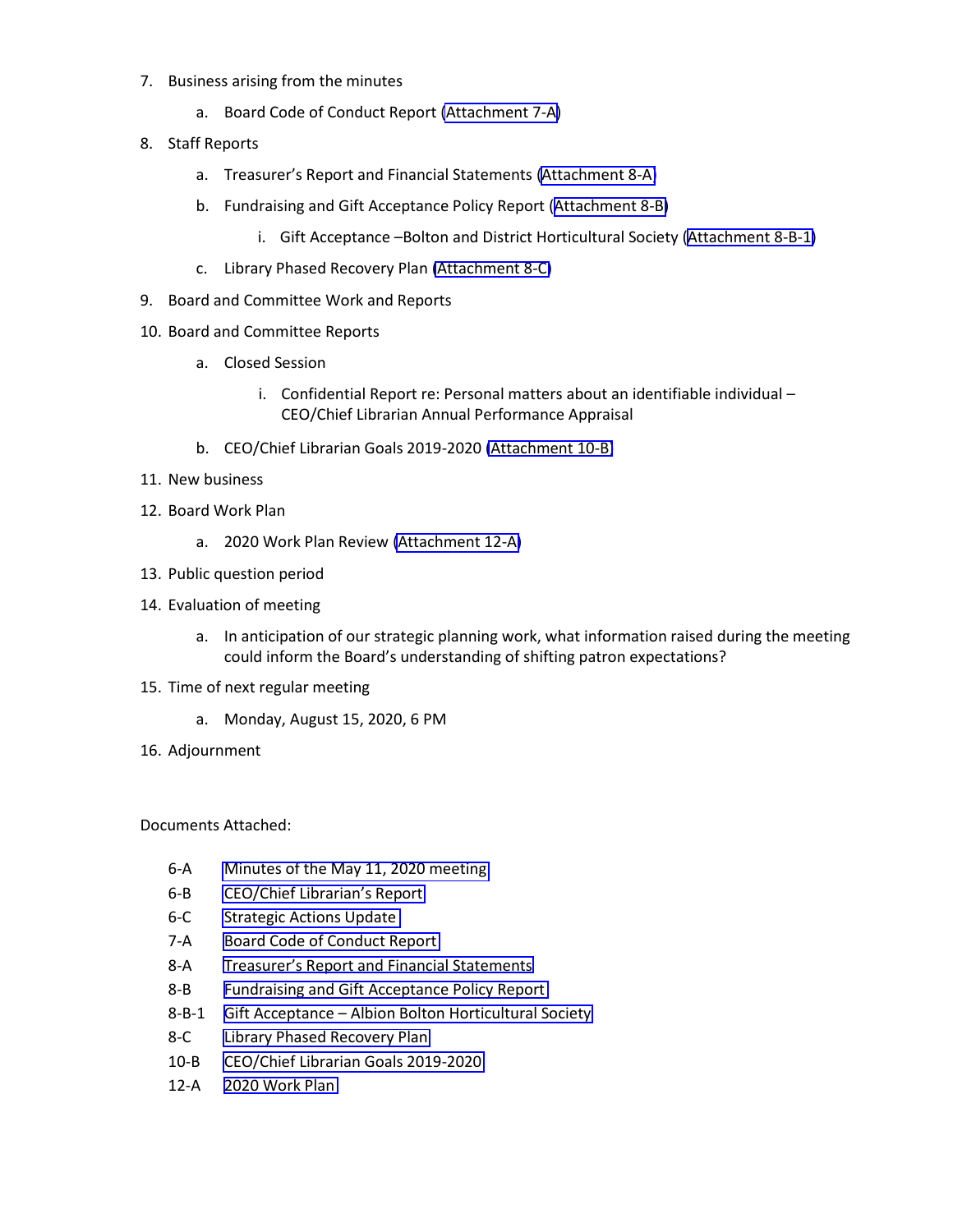- 7. Business arising from the minutes
	- a. Board Code of Conduct Report [\(Attachment 7-A\)](#page-13-0)
- 8. Staff Reports
	- a. Treasurer's Report and Financial Statements [\(Attachment 8-A\)](#page-20-0)
	- b. Fundraising and Gift Acceptance Policy Report ([Attachment 8-B\)](#page-25-0)
		- i. Gift Acceptance –Bolton and District Horticultural Society ([Attachment 8-B-1\)](#page-33-0)
	- c. Library Phased Recovery Plan [\(Attachment 8-C\)](#page-36-0)
- 9. Board and Committee Work and Reports
- 10. Board and Committee Reports
	- a. Closed Session
		- i. Confidential Report re: Personal matters about an identifiable individual CEO/Chief Librarian Annual Performance Appraisal
	- b. CEO/Chief Librarian Goals 2019-2020 [\(Attachment 10-B\)](#page-40-0)
- 11. New business
- 12. Board Work Plan
	- a. 2020 Work Plan Review [\(Attachment 12-A\)](#page-43-0)
- 13. Public question period
- 14. Evaluation of meeting
	- a. In anticipation of our strategic planning work, what information raised during the meeting could inform the Board's understanding of shifting patron expectations?
- 15. Time of next regular meeting
	- a. Monday, August 15, 2020, 6 PM
- 16. Adjournment

Documents Attached:

- 6-A [Minutes of the May 11, 2020 meeting](#page-2-0)
- 6-B [CEO/Chief Librarian's Report](#page-6-0)
- 6-C [Strategic Actions Update](#page-11-0)
- 7-A [Board Code of Conduct Report](#page-13-0)
- 8-A [Treasurer's Report and Financial Statements](#page-20-0)
- 8-B Fundraising and Gift [Acceptance Policy Report](#page-25-0)
- 8-B-1 Gift Acceptance [Albion Bolton Horticultural Society](#page-33-0)
- 8-C [Library Phased Recovery Plan](#page-36-0)
- 10-B [CEO/Chief Librarian Goals 2019-2020](#page-40-0)
- 12-A 2020 [Work Plan](#page-43-0)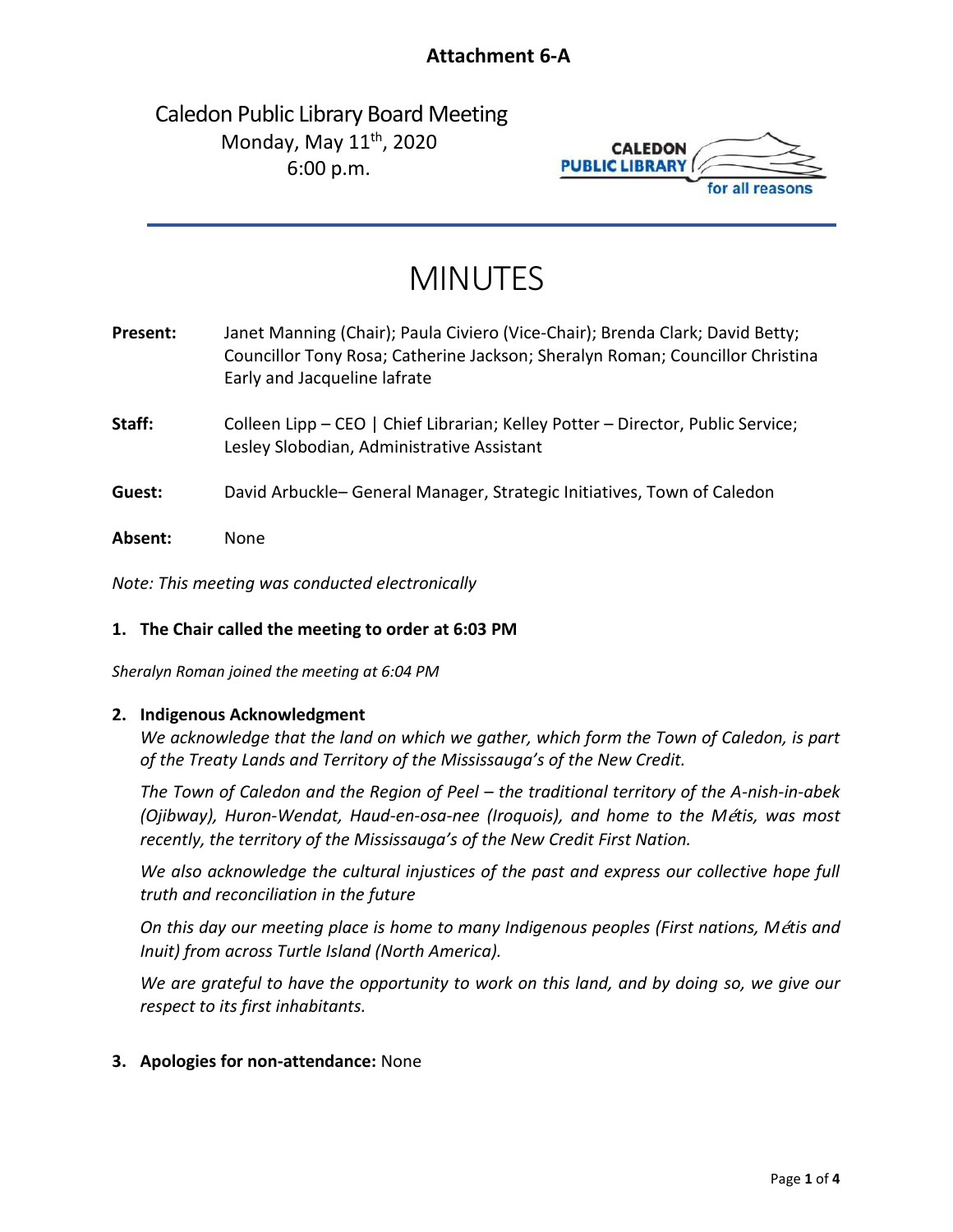## **Attachment 6-A**

## <span id="page-2-0"></span>Caledon Public Library Board Meeting Monday, May  $11^{th}$ , 2020 6:00 p.m.



# MINUTES

| Present: | Janet Manning (Chair); Paula Civiero (Vice-Chair); Brenda Clark; David Betty;<br>Councillor Tony Rosa; Catherine Jackson; Sheralyn Roman; Councillor Christina<br>Early and Jacqueline lafrate |
|----------|------------------------------------------------------------------------------------------------------------------------------------------------------------------------------------------------|
| Staff:   | Colleen Lipp - CEO   Chief Librarian; Kelley Potter - Director, Public Service;<br>Lesley Slobodian, Administrative Assistant                                                                  |
| Guest:   | David Arbuckle– General Manager, Strategic Initiatives, Town of Caledon                                                                                                                        |
| Absent:  | None                                                                                                                                                                                           |

*Note: This meeting was conducted electronically*

#### **1. The Chair called the meeting to order at 6:03 PM**

*Sheralyn Roman joined the meeting at 6:04 PM*

#### **2. Indigenous Acknowledgment**

*We acknowledge that the land on which we gather, which form the Town of Caledon, is part of the Treaty Lands and Territory of the Mississauga's of the New Credit.*

*The Town of Caledon and the Region of Peel – the traditional territory of the A-nish-in-abek (Ojibway), Huron-Wendat, Haud-en-osa-nee (Iroquois), and home to the M*é*tis, was most recently, the territory of the Mississauga's of the New Credit First Nation.*

*We also acknowledge the cultural injustices of the past and express our collective hope full truth and reconciliation in the future*

*On this day our meeting place is home to many Indigenous peoples (First nations, M*é*tis and Inuit) from across Turtle Island (North America).*

*We are grateful to have the opportunity to work on this land, and by doing so, we give our respect to its first inhabitants.*

#### **3. Apologies for non-attendance:** None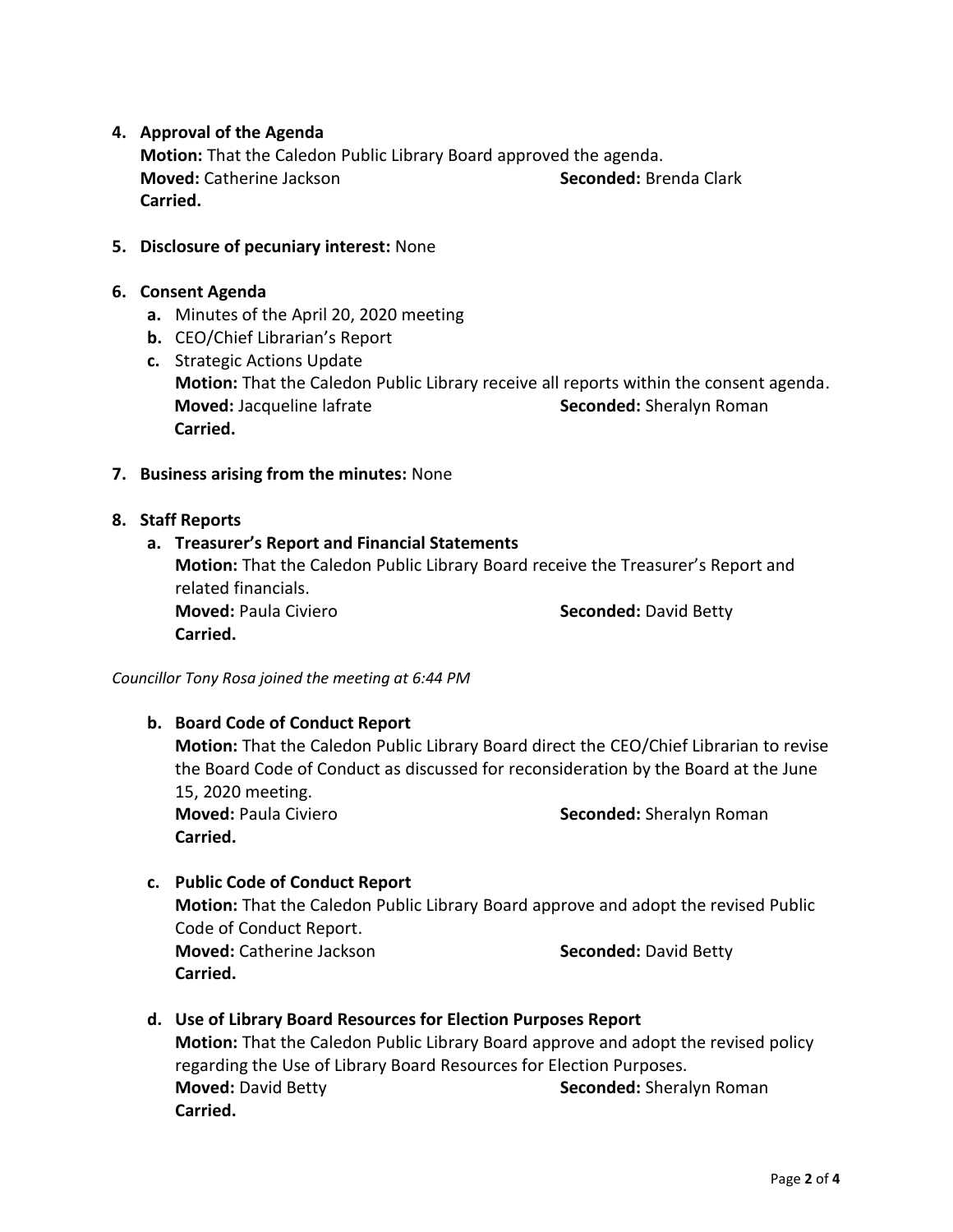#### **4. Approval of the Agenda**

**Motion:** That the Caledon Public Library Board approved the agenda. **Moved:** Catherine Jackson **Seconded:** Brenda Clark **Carried.**

#### **5. Disclosure of pecuniary interest:** None

#### **6. Consent Agenda**

- **a.** Minutes of the April 20, 2020 meeting
- **b.** CEO/Chief Librarian's Report
- **c.** Strategic Actions Update **Motion:** That the Caledon Public Library receive all reports within the consent agenda. **Moved:** Jacqueline lafrate **Seconded:** Sheralyn Roman **Carried.**
- **7. Business arising from the minutes:** None

#### **8. Staff Reports**

#### **a. Treasurer's Report and Financial Statements**

**Motion:** That the Caledon Public Library Board receive the Treasurer's Report and related financials. **Moved:** Paula Civiero **Seconded:** David Betty **Carried.**

*Councillor Tony Rosa joined the meeting at 6:44 PM*

## **b. Board Code of Conduct Report Motion:** That the Caledon Public Library Board direct the CEO/Chief Librarian to revise the Board Code of Conduct as discussed for reconsideration by the Board at the June 15, 2020 meeting. **Moved:** Paula Civiero **Seconded:** Sheralyn Roman **Carried.**

## **c. Public Code of Conduct Report Motion:** That the Caledon Public Library Board approve and adopt the revised Public

Code of Conduct Report. **Moved:** Catherine Jackson **Seconded:** David Betty **Carried.**

**d. Use of Library Board Resources for Election Purposes Report Motion:** That the Caledon Public Library Board approve and adopt the revised policy regarding the Use of Library Board Resources for Election Purposes. **Moved:** David Betty **Seconded:** Sheralyn Roman **Carried.**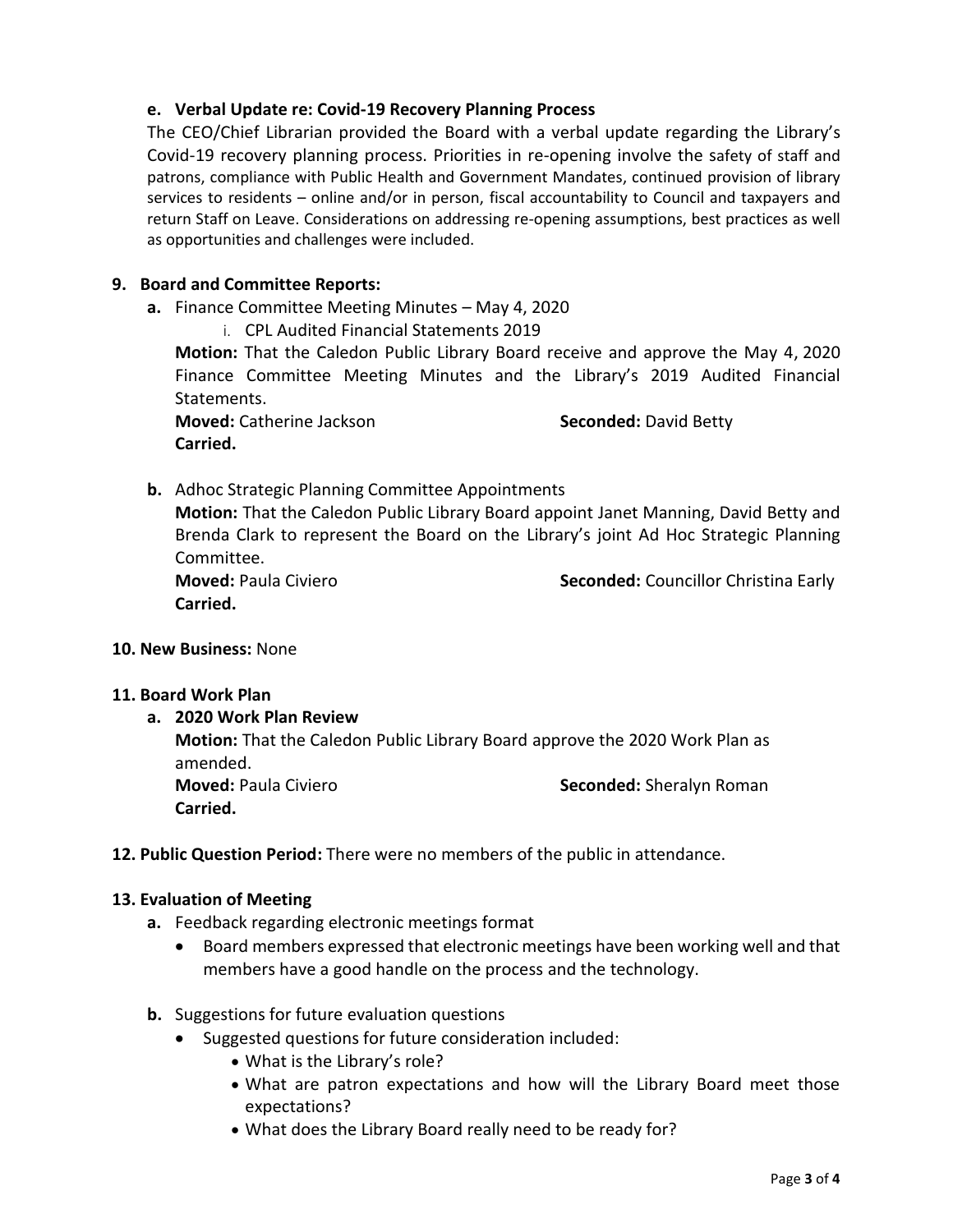#### **e. Verbal Update re: Covid-19 Recovery Planning Process**

The CEO/Chief Librarian provided the Board with a verbal update regarding the Library's Covid-19 recovery planning process. Priorities in re-opening involve the safety of staff and patrons, compliance with Public Health and Government Mandates, continued provision of library services to residents – online and/or in person, fiscal accountability to Council and taxpayers and return Staff on Leave. Considerations on addressing re-opening assumptions, best practices as well as opportunities and challenges were included.

#### **9. Board and Committee Reports:**

- **a.** Finance Committee Meeting Minutes May 4, 2020
	- i. CPL Audited Financial Statements 2019

**Motion:** That the Caledon Public Library Board receive and approve the May 4, 2020 Finance Committee Meeting Minutes and the Library's 2019 Audited Financial Statements.

**Moved:** Catherine Jackson **Seconded:** David Betty **Carried.** 

**b.** Adhoc Strategic Planning Committee Appointments

**Motion:** That the Caledon Public Library Board appoint Janet Manning, David Betty and Brenda Clark to represent the Board on the Library's joint Ad Hoc Strategic Planning Committee.

**Carried.**

**Moved:** Paula Civiero **Seconded:** Councillor Christina Early

#### **10. New Business:** None

#### **11. Board Work Plan**

- **a. 2020 Work Plan Review Motion:** That the Caledon Public Library Board approve the 2020 Work Plan as amended. **Moved:** Paula Civiero **Seconded:** Sheralyn Roman **Carried.**
- **12. Public Question Period:** There were no members of the public in attendance.

#### **13. Evaluation of Meeting**

- **a.** Feedback regarding electronic meetings format
	- Board members expressed that electronic meetings have been working well and that members have a good handle on the process and the technology.
- **b.** Suggestions for future evaluation questions
	- Suggested questions for future consideration included:
		- What is the Library's role?
		- What are patron expectations and how will the Library Board meet those expectations?
		- What does the Library Board really need to be ready for?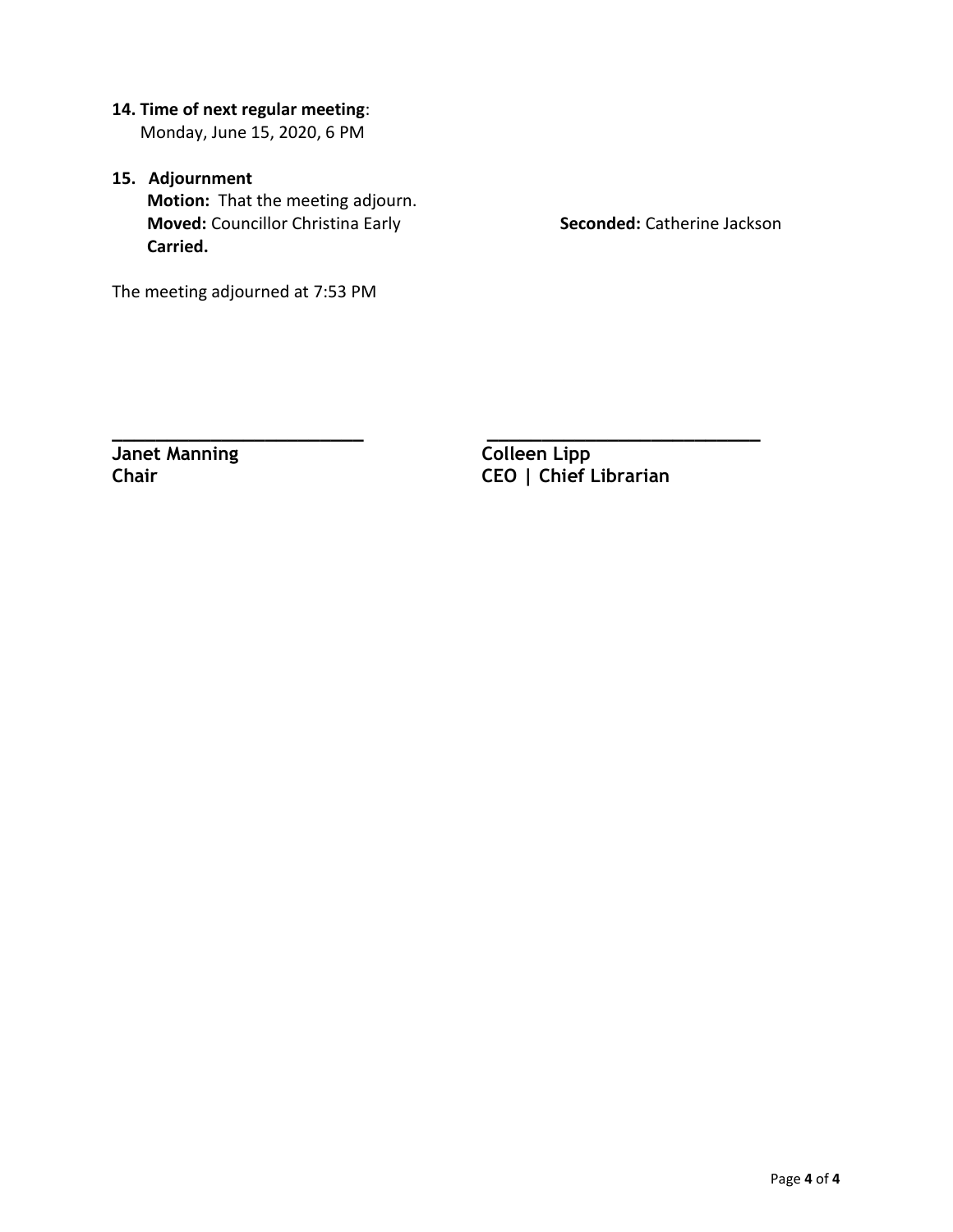- **14. Time of next regular meeting**: Monday, June 15, 2020, 6 PM
- **15. Adjournment Motion:** That the meeting adjourn. **Moved:** Councillor Christina Early **Seconded:** Catherine Jackson **Carried.**

The meeting adjourned at 7:53 PM

**Janet Manning Colleen Lipp** 

**\_\_\_\_\_\_\_\_\_\_\_\_\_\_\_\_\_\_\_\_\_\_\_ \_\_\_\_\_\_\_\_\_\_\_\_\_\_\_\_\_\_\_\_\_\_\_\_\_ Chair CEO | Chief Librarian**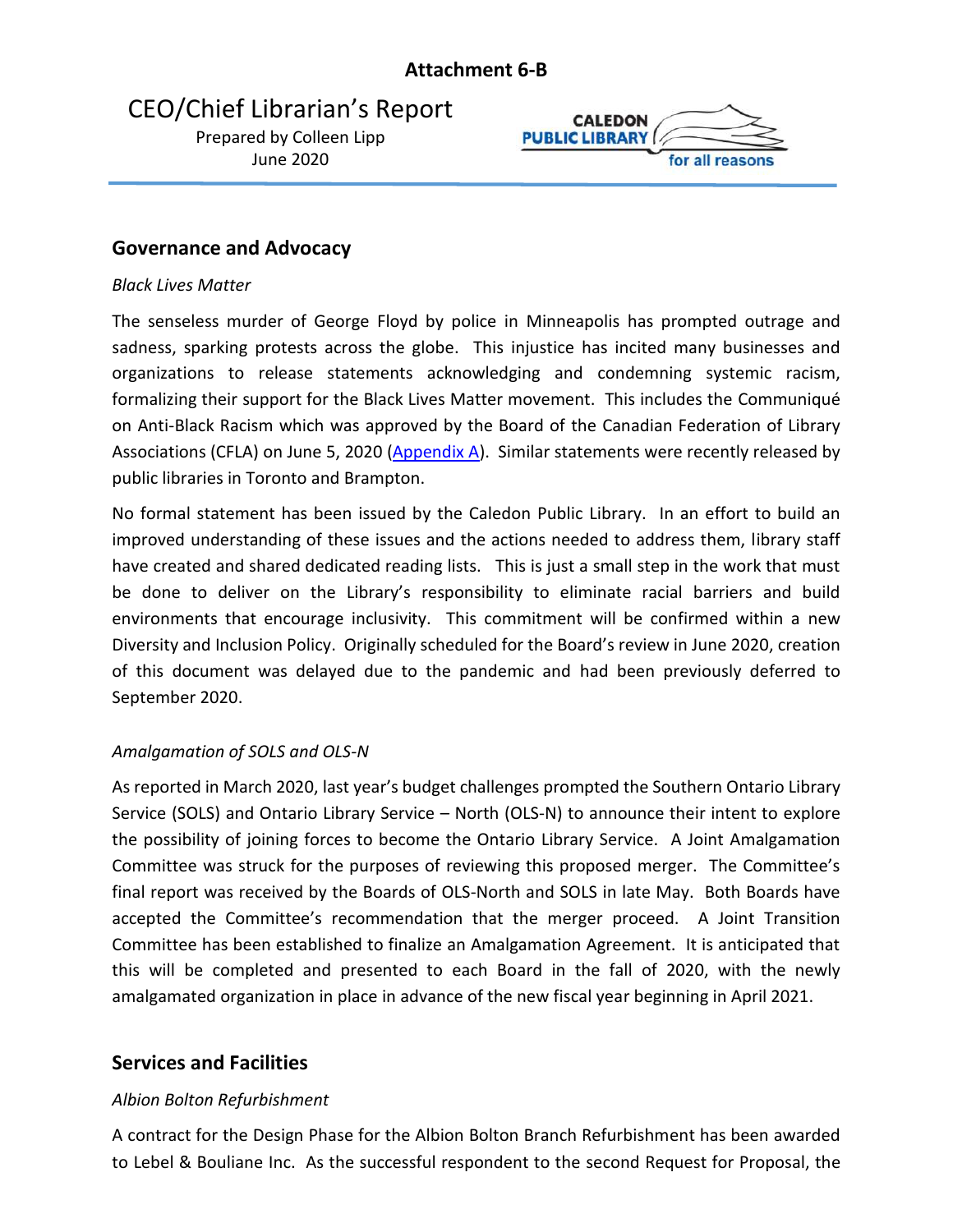## <span id="page-6-0"></span>CEO/Chief Librarian's Report

Prepared by Colleen Lipp June 2020



## **Governance and Advocacy**

### *Black Lives Matter*

The senseless murder of George Floyd by police in Minneapolis has prompted outrage and sadness, sparking protests across the globe. This injustice has incited many businesses and organizations to release statements acknowledging and condemning systemic racism, formalizing their support for the Black Lives Matter movement. This includes the Communiqué on Anti-Black Racism which was approved by the Board of the Canadian Federation of Library Associations (CFLA) on June 5, 2020 [\(Appendix A\)](#page-8-0). Similar statements were recently released by public libraries in Toronto and Brampton.

No formal statement has been issued by the Caledon Public Library. In an effort to build an improved understanding of these issues and the actions needed to address them, library staff have created and shared dedicated reading lists. This is just a small step in the work that must be done to deliver on the Library's responsibility to eliminate racial barriers and build environments that encourage inclusivity. This commitment will be confirmed within a new Diversity and Inclusion Policy. Originally scheduled for the Board's review in June 2020, creation of this document was delayed due to the pandemic and had been previously deferred to September 2020.

## *Amalgamation of SOLS and OLS-N*

As reported in March 2020, last year's budget challenges prompted the Southern Ontario Library Service (SOLS) and Ontario Library Service – North (OLS-N) to announce their intent to explore the possibility of joining forces to become the Ontario Library Service. A Joint Amalgamation Committee was struck for the purposes of reviewing this proposed merger. The Committee's final report was received by the Boards of OLS-North and SOLS in late May. Both Boards have accepted the Committee's recommendation that the merger proceed. A Joint Transition Committee has been established to finalize an Amalgamation Agreement. It is anticipated that this will be completed and presented to each Board in the fall of 2020, with the newly amalgamated organization in place in advance of the new fiscal year beginning in April 2021.

## **Services and Facilities**

## *Albion Bolton Refurbishment*

A contract for the Design Phase for the Albion Bolton Branch Refurbishment has been awarded to Lebel & Bouliane Inc. As the successful respondent to the second Request for Proposal, the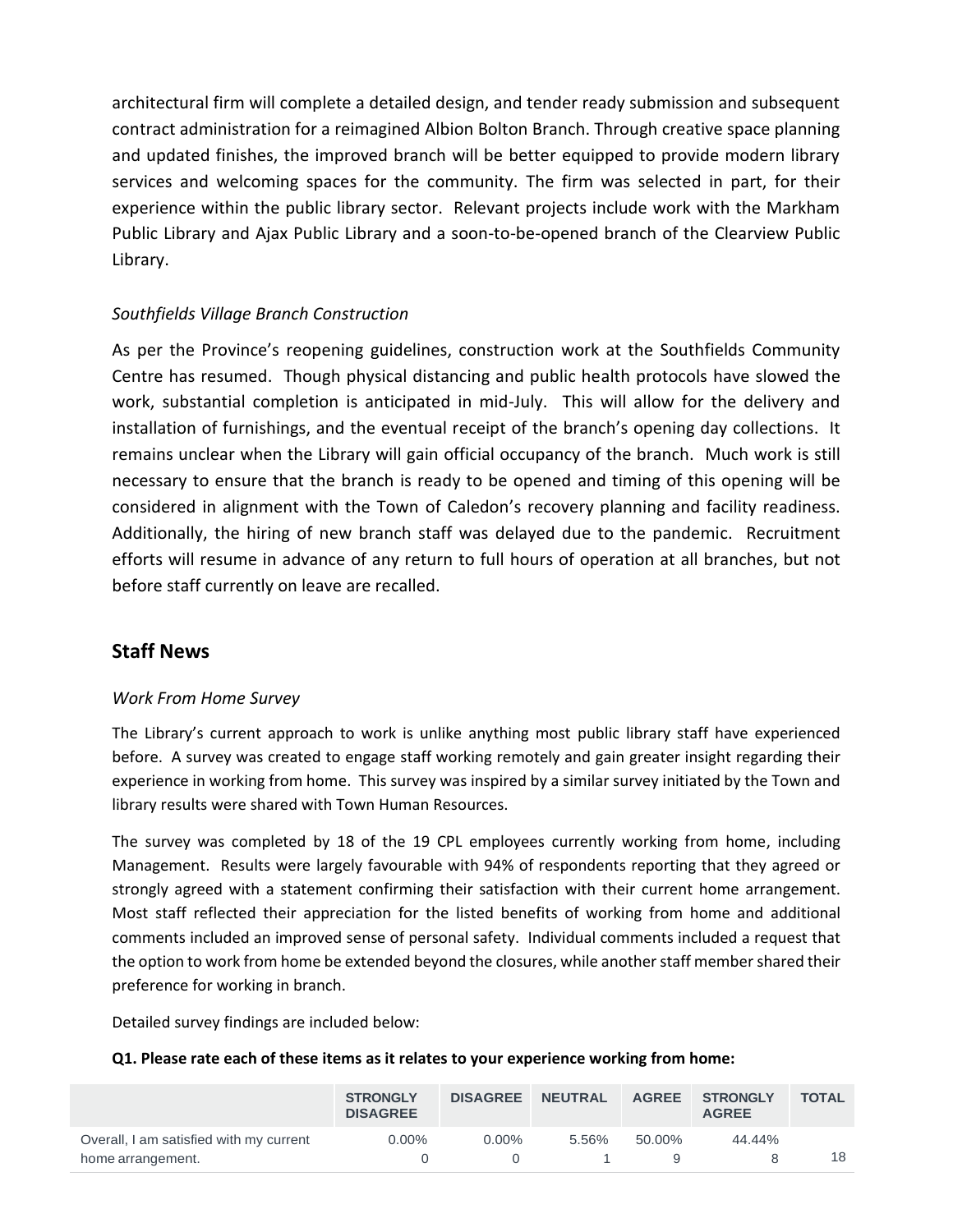architectural firm will complete a detailed design, and tender ready submission and subsequent contract administration for a reimagined Albion Bolton Branch. Through creative space planning and updated finishes, the improved branch will be better equipped to provide modern library services and welcoming spaces for the community. The firm was selected in part, for their experience within the public library sector. Relevant projects include work with the Markham Public Library and Ajax Public Library and a soon-to-be-opened branch of the Clearview Public Library.

#### *Southfields Village Branch Construction*

As per the Province's reopening guidelines, construction work at the Southfields Community Centre has resumed. Though physical distancing and public health protocols have slowed the work, substantial completion is anticipated in mid-July. This will allow for the delivery and installation of furnishings, and the eventual receipt of the branch's opening day collections. It remains unclear when the Library will gain official occupancy of the branch. Much work is still necessary to ensure that the branch is ready to be opened and timing of this opening will be considered in alignment with the Town of Caledon's recovery planning and facility readiness. Additionally, the hiring of new branch staff was delayed due to the pandemic. Recruitment efforts will resume in advance of any return to full hours of operation at all branches, but not before staff currently on leave are recalled.

## **Staff News**

#### *Work From Home Survey*

The Library's current approach to work is unlike anything most public library staff have experienced before. A survey was created to engage staff working remotely and gain greater insight regarding their experience in working from home. This survey was inspired by a similar survey initiated by the Town and library results were shared with Town Human Resources.

The survey was completed by 18 of the 19 CPL employees currently working from home, including Management. Results were largely favourable with 94% of respondents reporting that they agreed or strongly agreed with a statement confirming their satisfaction with their current home arrangement. Most staff reflected their appreciation for the listed benefits of working from home and additional comments included an improved sense of personal safety. Individual comments included a request that the option to work from home be extended beyond the closures, while another staff membershared their preference for working in branch.

Detailed survey findings are included below:

#### **Q1. Please rate each of these items as it relates to your experience working from home:**

|                                         | <b>STRONGLY</b><br><b>DISAGREE</b> | <b>DISAGREE</b> | <b>NEUTRAL</b> | <b>AGREE</b> | <b>STRONGLY</b><br><b>AGREE</b> | <b>TOTAL</b> |
|-----------------------------------------|------------------------------------|-----------------|----------------|--------------|---------------------------------|--------------|
| Overall, I am satisfied with my current | $0.00\%$                           | $0.00\%$        | 5.56%          | 50.00%       | 44.44%                          |              |
| home arrangement.                       |                                    |                 |                |              |                                 | 18           |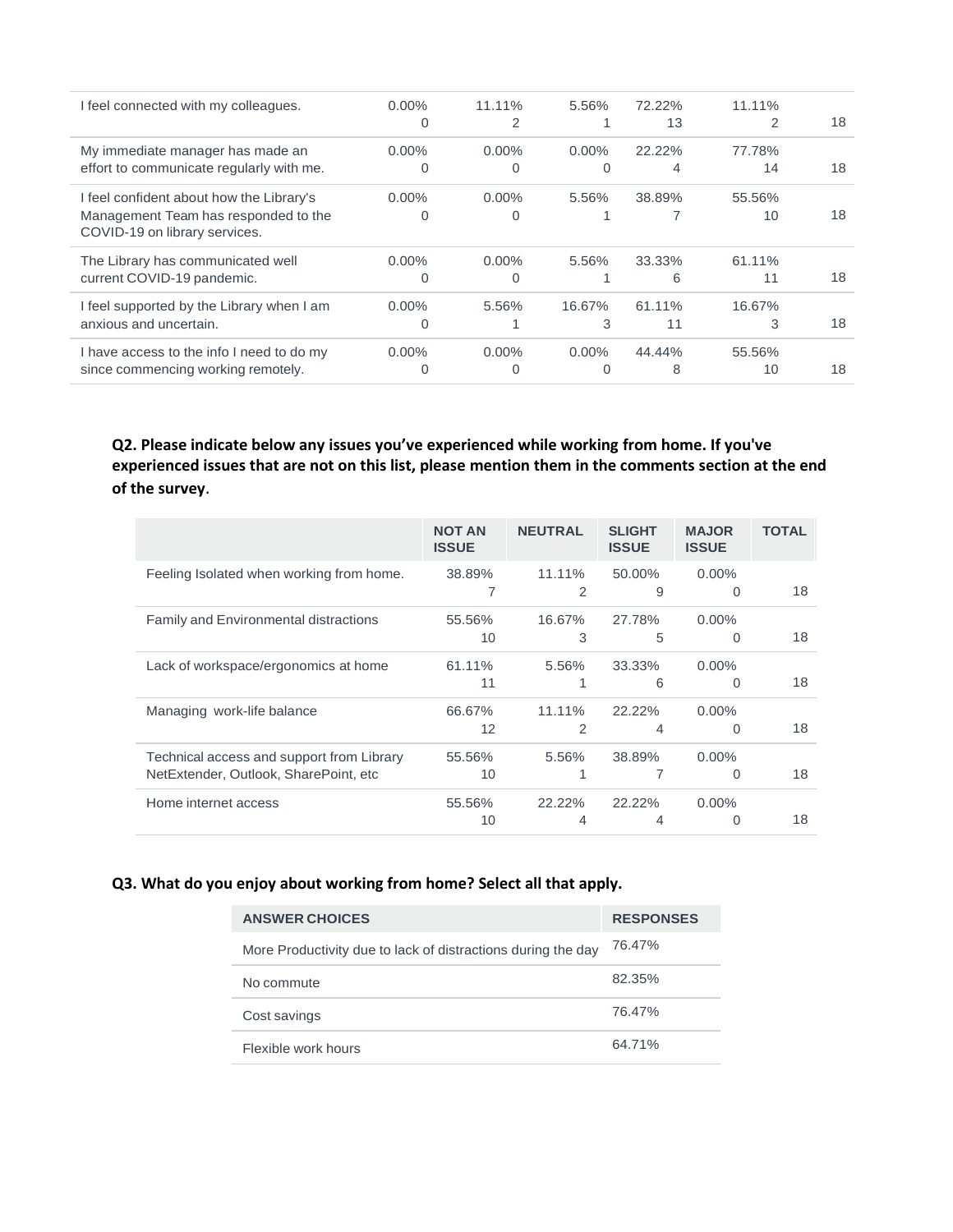| I feel connected with my colleagues.                                  | $0.00\%$ | 11.11%   | 5.56%    | 72.22% | 11.11% |    |
|-----------------------------------------------------------------------|----------|----------|----------|--------|--------|----|
|                                                                       | 0        | 2        |          | 13     | 2      | 18 |
| My immediate manager has made an                                      | $0.00\%$ | $0.00\%$ | $0.00\%$ | 22.22% | 77.78% |    |
| effort to communicate regularly with me.                              | 0        | $\Omega$ | Ω        | 4      | 14     | 18 |
| I feel confident about how the Library's                              | $0.00\%$ | $0.00\%$ | 5.56%    | 38.89% | 55.56% |    |
| Management Team has responded to the<br>COVID-19 on library services. | 0        | $\Omega$ |          |        | 10     | 18 |
| The Library has communicated well                                     | $0.00\%$ | $0.00\%$ | 5.56%    | 33.33% | 61.11% |    |
| current COVID-19 pandemic.                                            | 0        | $\Omega$ |          | 6      | 11     | 18 |
| I feel supported by the Library when I am                             | $0.00\%$ | 5.56%    | 16.67%   | 61.11% | 16.67% |    |
| anxious and uncertain.                                                | 0        |          | 3        | 11     | 3      | 18 |
| I have access to the info I need to do my                             | $0.00\%$ | $0.00\%$ | $0.00\%$ | 44.44% | 55.56% |    |
| since commencing working remotely.                                    |          | 0        |          | 8      | 10     | 18 |

**Q2. Please indicate below any issues you've experienced while working from home. If you've experienced issues that are not on this list, please mention them in the comments section at the end of the survey**.

|                                              | <b>NOT AN</b><br><b>ISSUE</b> | <b>NEUTRAL</b> | <b>SLIGHT</b><br><b>ISSUE</b> | <b>MAJOR</b><br><b>ISSUE</b> | <b>TOTAL</b> |
|----------------------------------------------|-------------------------------|----------------|-------------------------------|------------------------------|--------------|
| Feeling Isolated when working from home.     | 38.89%                        | $11.11\%$      | 50.00%                        | $0.00\%$                     |              |
|                                              |                               | 2              | 9                             | $\Omega$                     | 18           |
| <b>Family and Environmental distractions</b> | 55.56%                        | 16.67%         | 27.78%                        | $0.00\%$                     |              |
|                                              | 10                            | 3              | 5                             | $\Omega$                     | 18           |
| Lack of workspace/ergonomics at home         | 61.11%                        | 5.56%          | 33.33%                        | $0.00\%$                     |              |
|                                              | 11                            |                | 6                             | $\Omega$                     | 18           |
| Managing work-life balance                   | 66.67%                        | 11.11%         | 22.22%                        | $0.00\%$                     |              |
|                                              | 12                            | 2              | 4                             | $\Omega$                     | 18           |
| Technical access and support from Library    | 55.56%                        | 5.56%          | 38.89%                        | $0.00\%$                     |              |
| NetExtender, Outlook, SharePoint, etc.       | 10                            |                | 7                             | $\Omega$                     | 18           |
| Home internet access                         | 55.56%                        | 22.22%         | 22.22%                        | $0.00\%$                     |              |
|                                              | 10                            | 4              | 4                             | $\Omega$                     | 18           |

#### <span id="page-8-0"></span>**Q3. What do you enjoy about working from home? Select all that apply.**

| <b>ANSWER CHOICES</b>                                        | <b>RESPONSES</b> |
|--------------------------------------------------------------|------------------|
| More Productivity due to lack of distractions during the day | 76.47%           |
| No commute                                                   | 82.35%           |
| Cost savings                                                 | 76.47%           |
| Flexible work hours                                          | 64.71%           |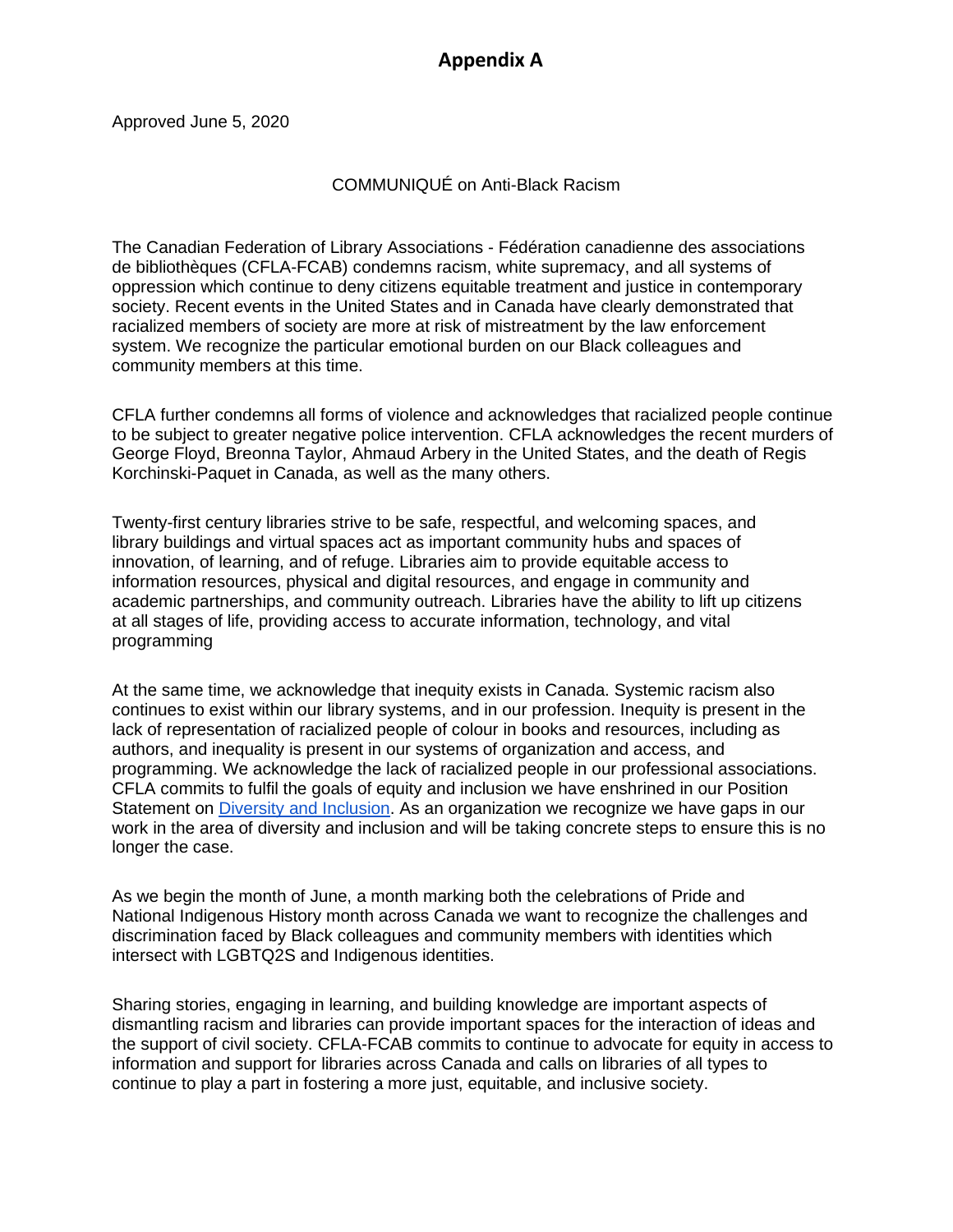## **Appendix A**

Approved June 5, 2020

### COMMUNIQUÉ on Anti-Black Racism

The Canadian Federation of Library Associations - Fédération canadienne des associations de bibliothèques (CFLA-FCAB) condemns racism, white supremacy, and all systems of oppression which continue to deny citizens equitable treatment and justice in contemporary society. Recent events in the United States and in Canada have clearly demonstrated that racialized members of society are more at risk of mistreatment by the law enforcement system. We recognize the particular emotional burden on our Black colleagues and community members at this time.

CFLA further condemns all forms of violence and acknowledges that racialized people continue to be subject to greater negative police intervention. CFLA acknowledges the recent murders of George Floyd, Breonna Taylor, Ahmaud Arbery in the United States, and the death of Regis Korchinski-Paquet in Canada, as well as the many others.

Twenty-first century libraries strive to be safe, respectful, and welcoming spaces, and library buildings and virtual spaces act as important community hubs and spaces of innovation, of learning, and of refuge. Libraries aim to provide equitable access to information resources, physical and digital resources, and engage in community and academic partnerships, and community outreach. Libraries have the ability to lift up citizens at all stages of life, providing access to accurate information, technology, and vital programming

At the same time, we acknowledge that inequity exists in Canada. Systemic racism also continues to exist within our library systems, and in our profession. Inequity is present in the lack of representation of racialized people of colour in books and resources, including as authors, and inequality is present in our systems of organization and access, and programming. We acknowledge the lack of racialized people in our professional associations. CFLA commits to fulfil the goals of equity and inclusion we have enshrined in our Position Statement on [Diversity and Inclusion.](http://cfla-fcab.ca/en/guidelines-and-position-papers/position-statement-on-diversity-and-inclusion/) As an organization we recognize we have gaps in our work in the area of diversity and inclusion and will be taking concrete steps to ensure this is no longer the case.

As we begin the month of June, a month marking both the celebrations of Pride and National Indigenous History month across Canada we want to recognize the challenges and discrimination faced by Black colleagues and community members with identities which intersect with LGBTQ2S and Indigenous identities.

Sharing stories, engaging in learning, and building knowledge are important aspects of dismantling racism and libraries can provide important spaces for the interaction of ideas and the support of civil society. CFLA-FCAB commits to continue to advocate for equity in access to information and support for libraries across Canada and calls on libraries of all types to continue to play a part in fostering a more just, equitable, and inclusive society.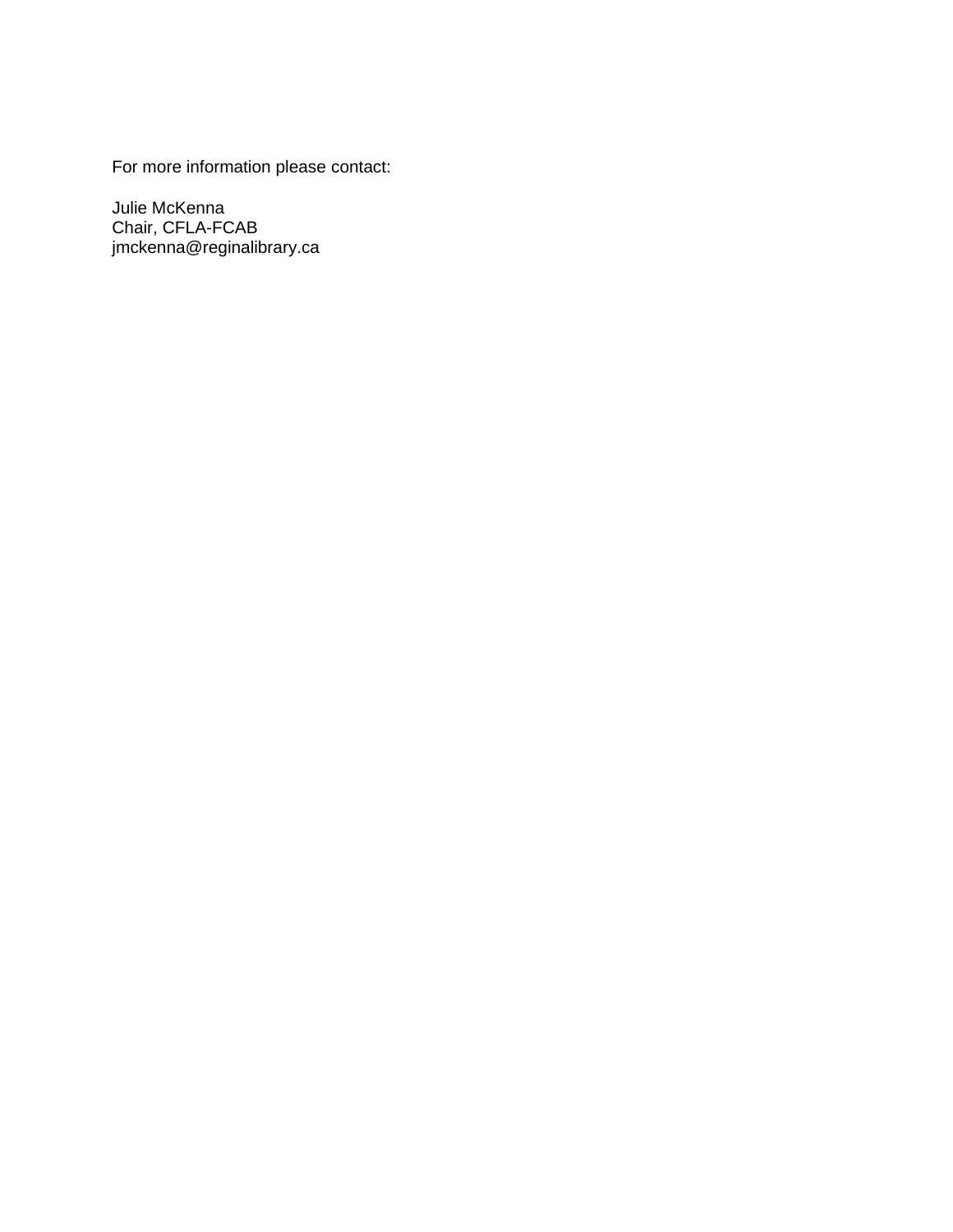For more information please contact:

Julie McKenna Chair, CFLA-FCAB jmckenna@reginalibrary.ca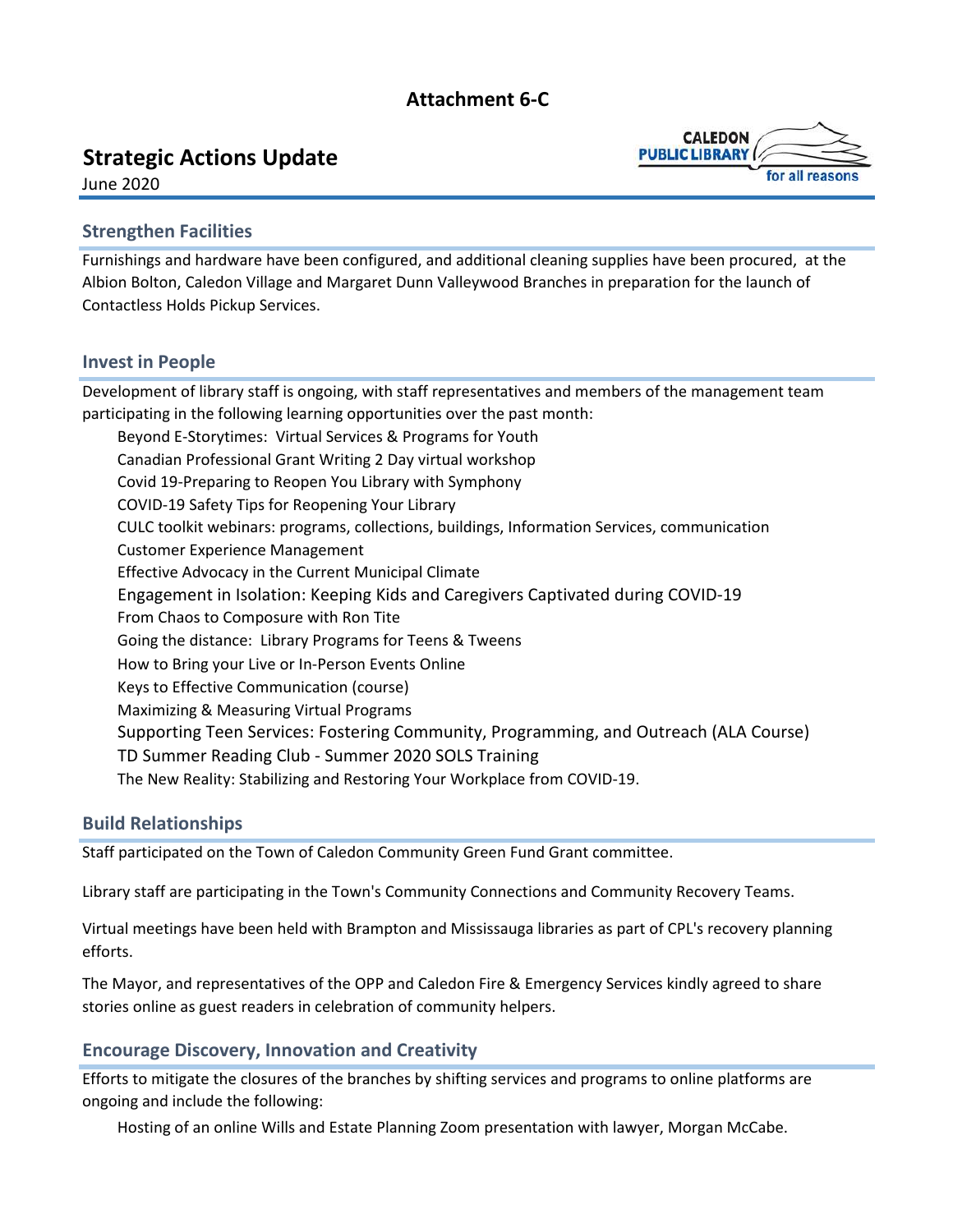## **Attachment 6-C**

## <span id="page-11-0"></span>**Strategic Actions Update**



June 2020

### **Strengthen Facilities**

Furnishings and hardware have been configured, and additional cleaning supplies have been procured, at the Albion Bolton, Caledon Village and Margaret Dunn Valleywood Branches in preparation for the launch of Contactless Holds Pickup Services.

#### **Invest in People**

Development of library staff is ongoing, with staff representatives and members of the management team participating in the following learning opportunities over the past month: Beyond E-Storytimes: Virtual Services & Programs for Youth Canadian Professional Grant Writing 2 Day virtual workshop Covid 19-Preparing to Reopen You Library with Symphony COVID-19 Safety Tips for Reopening Your Library CULC toolkit webinars: programs, collections, buildings, Information Services, communication Customer Experience Management Effective Advocacy in the Current Municipal Climate Engagement in Isolation: Keeping Kids and Caregivers Captivated during COVID-19 From Chaos to Composure with Ron Tite Going the distance: Library Programs for Teens & Tweens How to Bring your Live or In-Person Events Online Keys to Effective Communication (course) Maximizing & Measuring Virtual Programs Supporting Teen Services: Fostering Community, Programming, and Outreach (ALA Course) TD Summer Reading Club - Summer 2020 SOLS Training The New Reality: Stabilizing and Restoring Your Workplace from COVID-19.

#### **Build Relationships**

Staff participated on the Town of Caledon Community Green Fund Grant committee.

Library staff are participating in the Town's Community Connections and Community Recovery Teams.

Virtual meetings have been held with Brampton and Mississauga libraries as part of CPL's recovery planning efforts.

The Mayor, and representatives of the OPP and Caledon Fire & Emergency Services kindly agreed to share stories online as guest readers in celebration of community helpers.

## **Encourage Discovery, Innovation and Creativity**

Efforts to mitigate the closures of the branches by shifting services and programs to online platforms are ongoing and include the following:

Hosting of an online Wills and Estate Planning Zoom presentation with lawyer, Morgan McCabe.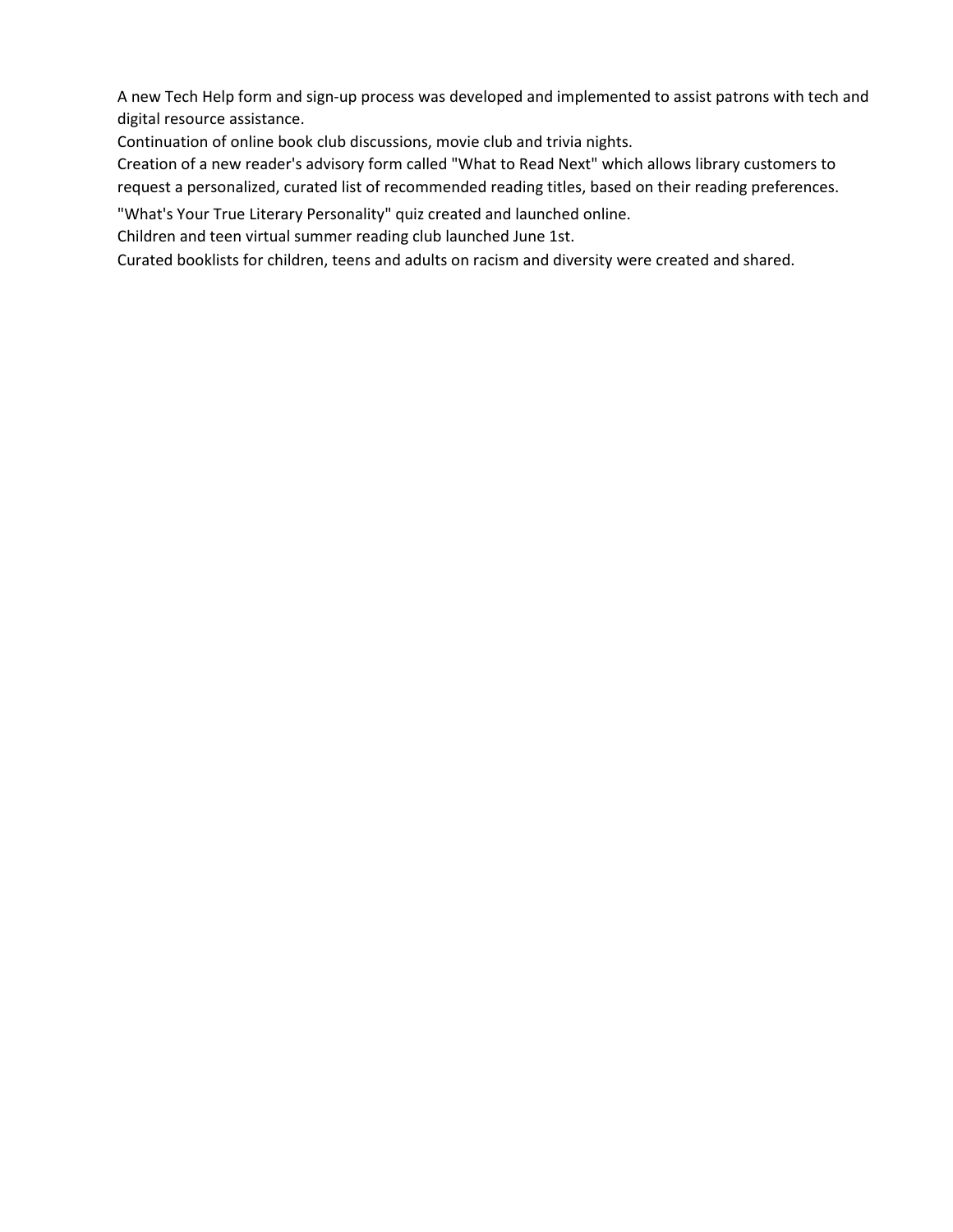A new Tech Help form and sign-up process was developed and implemented to assist patrons with tech and digital resource assistance.

Continuation of online book club discussions, movie club and trivia nights.

Creation of a new reader's advisory form called "What to Read Next" which allows library customers to request a personalized, curated list of recommended reading titles, based on their reading preferences.

"What's Your True Literary Personality" quiz created and launched online.

Children and teen virtual summer reading club launched June 1st.

Curated booklists for children, teens and adults on racism and diversity were created and shared.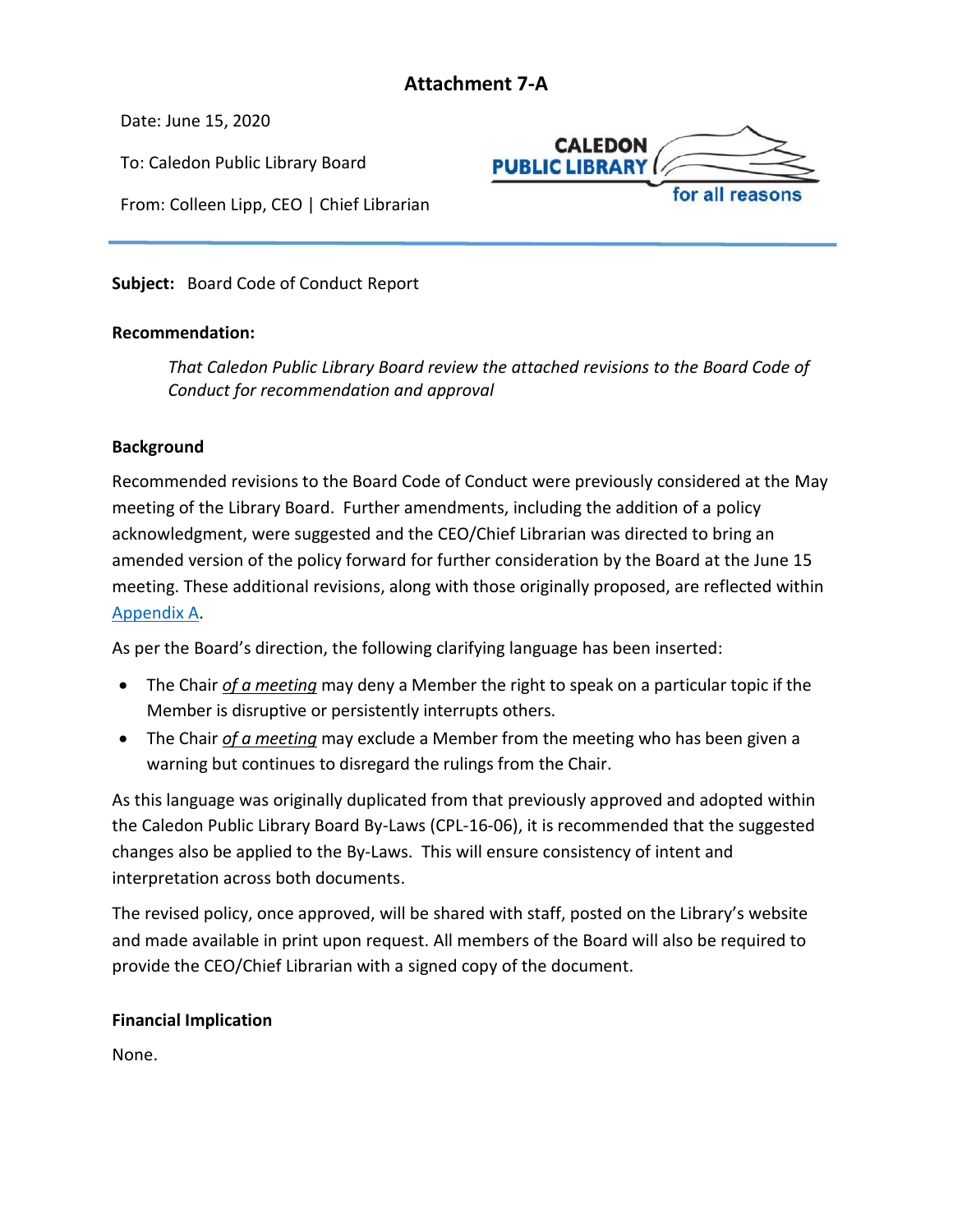## **Attachment 7-A**

<span id="page-13-0"></span>Date: June 15, 2020

To: Caledon Public Library Board

From: Colleen Lipp, CEO | Chief Librarian



**Subject:** Board Code of Conduct Report

#### **Recommendation:**

*That Caledon Public Library Board review the attached revisions to the Board Code of Conduct for recommendation and approval*

#### **Background**

Recommended revisions to the Board Code of Conduct were previously considered at the May meeting of the Library Board. Further amendments, including the addition of a policy acknowledgment, were suggested and the CEO/Chief Librarian was directed to bring an amended version of the policy forward for further consideration by the Board at the June 15 meeting. These additional revisions, along with those originally proposed, are reflected within [Appendix A.](#page-14-0)

As per the Board's direction, the following clarifying language has been inserted:

- The Chair *of a meeting* may deny a Member the right to speak on a particular topic if the Member is disruptive or persistently interrupts others.
- The Chair *of a meeting* may exclude a Member from the meeting who has been given a warning but continues to disregard the rulings from the Chair.

As this language was originally duplicated from that previously approved and adopted within the Caledon Public Library Board By-Laws (CPL-16-06), it is recommended that the suggested changes also be applied to the By-Laws. This will ensure consistency of intent and interpretation across both documents.

The revised policy, once approved, will be shared with staff, posted on the Library's website and made available in print upon request. All members of the Board will also be required to provide the CEO/Chief Librarian with a signed copy of the document.

#### **Financial Implication**

None.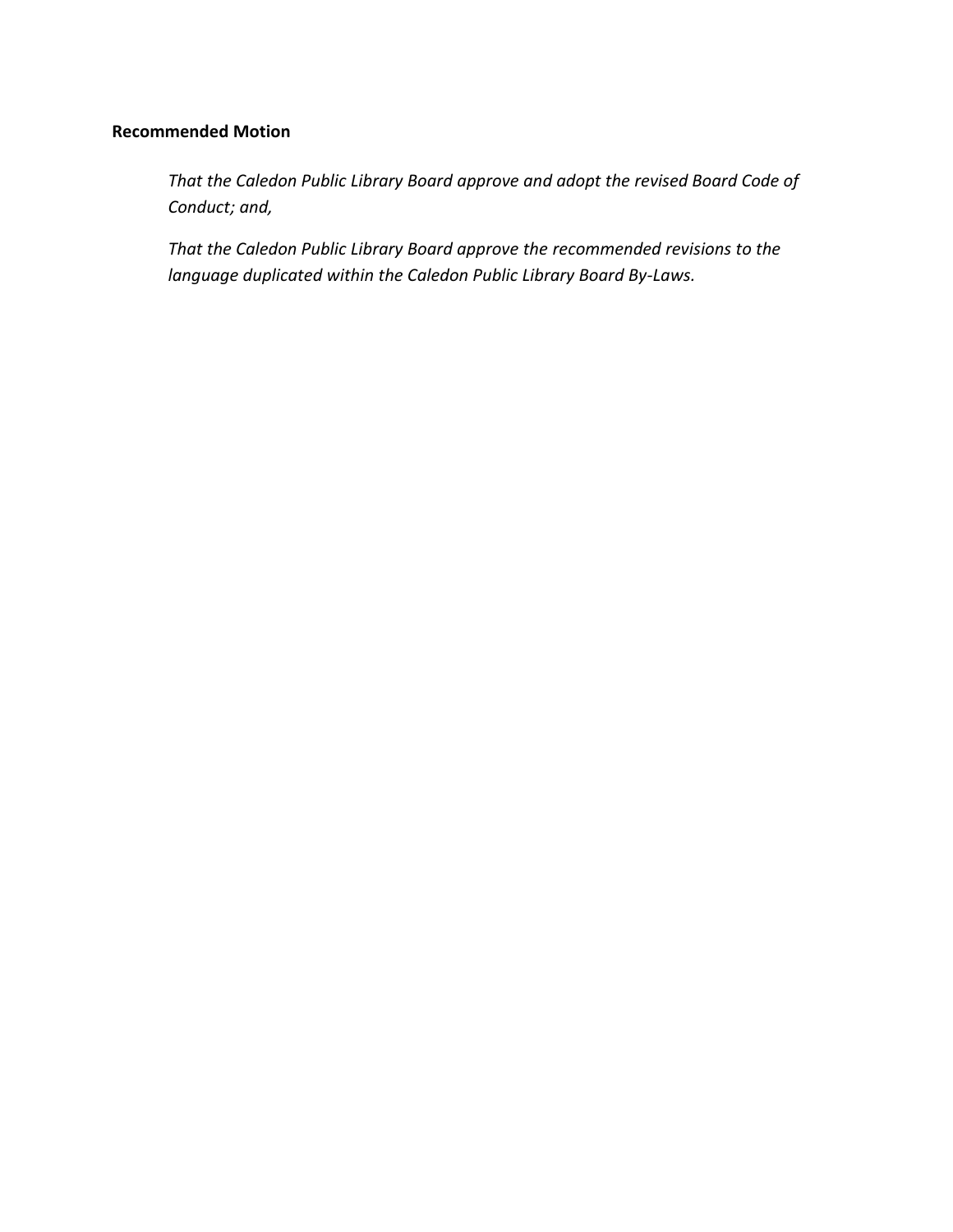## **Recommended Motion**

*That the Caledon Public Library Board approve and adopt the revised Board Code of Conduct; and,*

<span id="page-14-0"></span>*That the Caledon Public Library Board approve the recommended revisions to the language duplicated within the Caledon Public Library Board By-Laws.*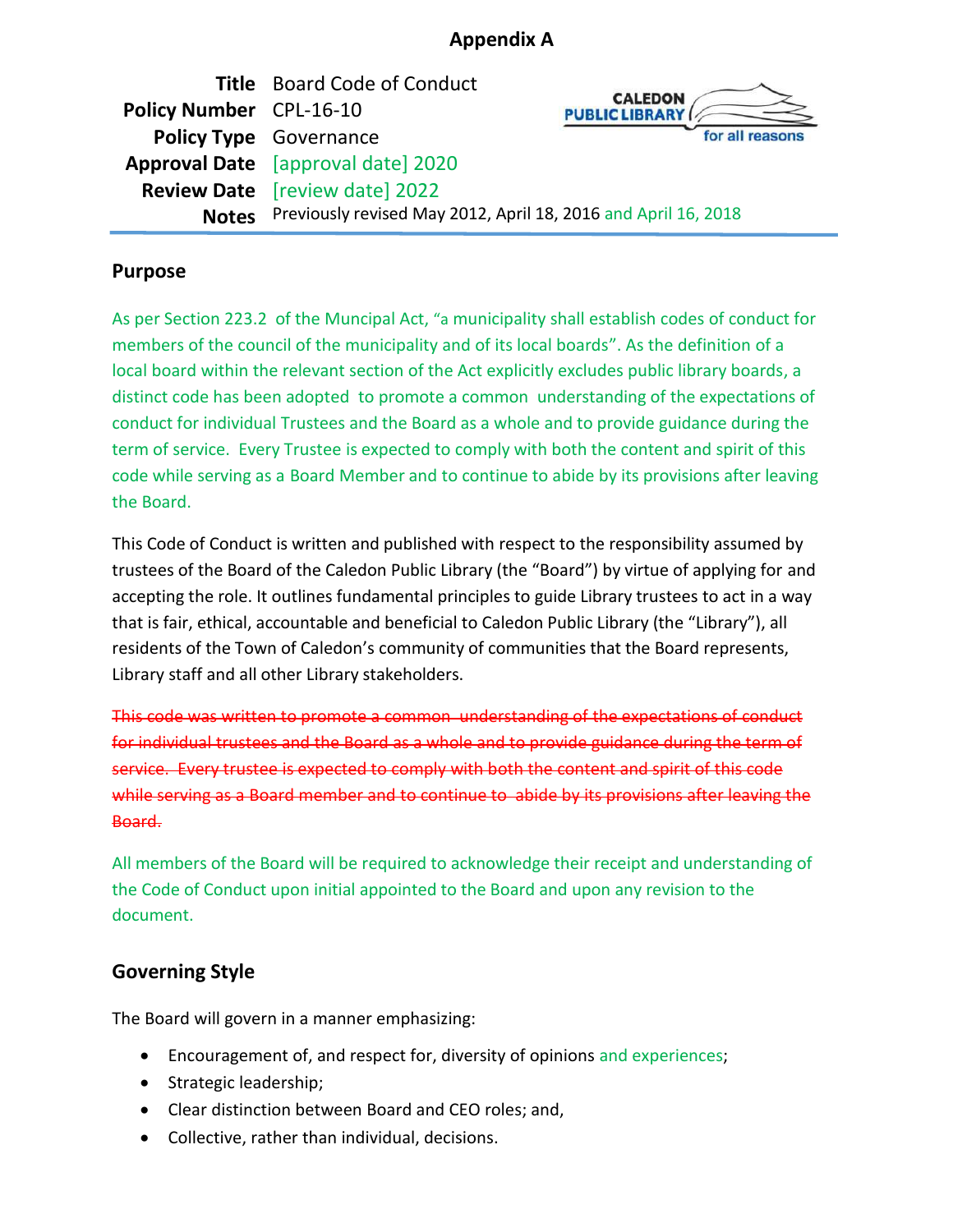## **Appendix A**

|                         | <b>Title</b> Board Code of Conduct                                   |                                         |
|-------------------------|----------------------------------------------------------------------|-----------------------------------------|
| Policy Number CPL-16-10 |                                                                      | <b>CALEDON</b><br><b>PUBLIC LIBRARY</b> |
|                         | <b>Policy Type</b> Governance                                        | for all reasons                         |
|                         | <b>Approval Date</b> [approval date] 2020                            |                                         |
|                         | <b>Review Date</b> [review date] 2022                                |                                         |
|                         | Notes Previously revised May 2012, April 18, 2016 and April 16, 2018 |                                         |

## **Purpose**

As per Section 223.2 of the Muncipal Act, "a municipality shall establish codes of conduct for members of the council of the municipality and of its local boards". As the definition of a local board within the relevant section of the Act explicitly excludes public library boards, a distinct code has been adopted to promote a common understanding of the expectations of conduct for individual Trustees and the Board as a whole and to provide guidance during the term of service. Every Trustee is expected to comply with both the content and spirit of this code while serving as a Board Member and to continue to abide by its provisions after leaving the Board.

This Code of Conduct is written and published with respect to the responsibility assumed by trustees of the Board of the Caledon Public Library (the "Board") by virtue of applying for and accepting the role. It outlines fundamental principles to guide Library trustees to act in a way that is fair, ethical, accountable and beneficial to Caledon Public Library (the "Library"), all residents of the Town of Caledon's community of communities that the Board represents, Library staff and all other Library stakeholders.

This code was written to promote a common understanding of the expectations of conduct for individual trustees and the Board as a whole and to provide guidance during the term of service. Every trustee is expected to comply with both the content and spirit of this code while serving as a Board member and to continue to abide by its provisions after leaving the Board.

All members of the Board will be required to acknowledge their receipt and understanding of the Code of Conduct upon initial appointed to the Board and upon any revision to the document.

## **Governing Style**

The Board will govern in a manner emphasizing:

- Encouragement of, and respect for, diversity of opinions and experiences;
- Strategic leadership;
- Clear distinction between Board and CEO roles; and,
- Collective, rather than individual, decisions.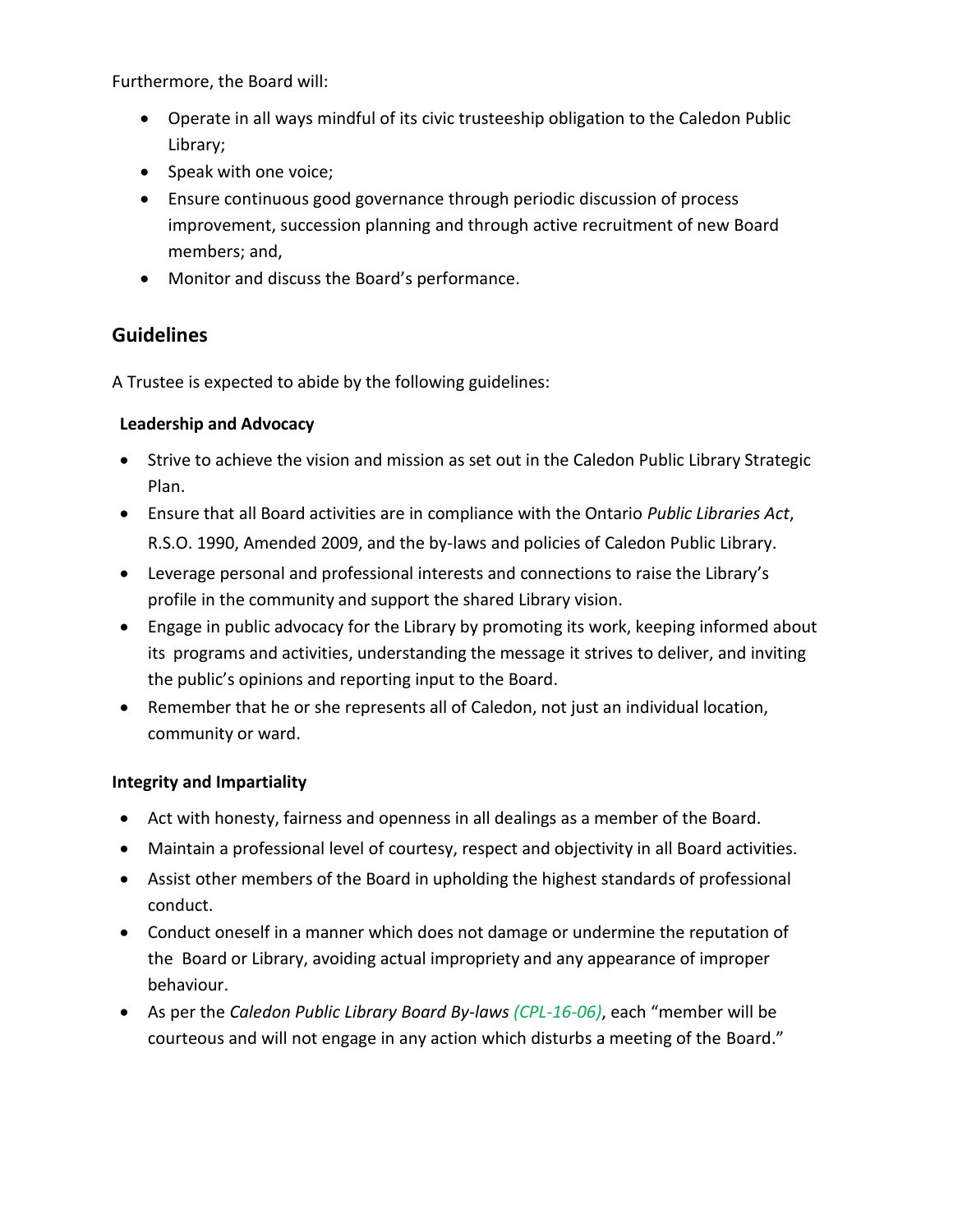Furthermore, the Board will:

- Operate in all ways mindful of its civic trusteeship obligation to the Caledon Public Library;
- Speak with one voice;
- Ensure continuous good governance through periodic discussion of process improvement, succession planning and through active recruitment of new Board members; and,
- Monitor and discuss the Board's performance.

## **Guidelines**

A Trustee is expected to abide by the following guidelines:

#### **Leadership and Advocacy**

- Strive to achieve the vision and mission as set out in the Caledon Public Library Strategic Plan.
- Ensure that all Board activities are in compliance with the Ontario *Public Libraries Act*, R.S.O. 1990, Amended 2009, and the by-laws and policies of Caledon Public Library.
- Leverage personal and professional interests and connections to raise the Library's profile in the community and support the shared Library vision.
- Engage in public advocacy for the Library by promoting its work, keeping informed about its programs and activities, understanding the message it strives to deliver, and inviting the public's opinions and reporting input to the Board.
- Remember that he or she represents all of Caledon, not just an individual location, community or ward.

#### **Integrity and Impartiality**

- Act with honesty, fairness and openness in all dealings as a member of the Board.
- Maintain a professional level of courtesy, respect and objectivity in all Board activities.
- Assist other members of the Board in upholding the highest standards of professional conduct.
- Conduct oneself in a manner which does not damage or undermine the reputation of the Board or Library, avoiding actual impropriety and any appearance of improper behaviour.
- As per the *Caledon Public Library Board By-laws (CPL-16-06)*, each "member will be courteous and will not engage in any action which disturbs a meeting of the Board."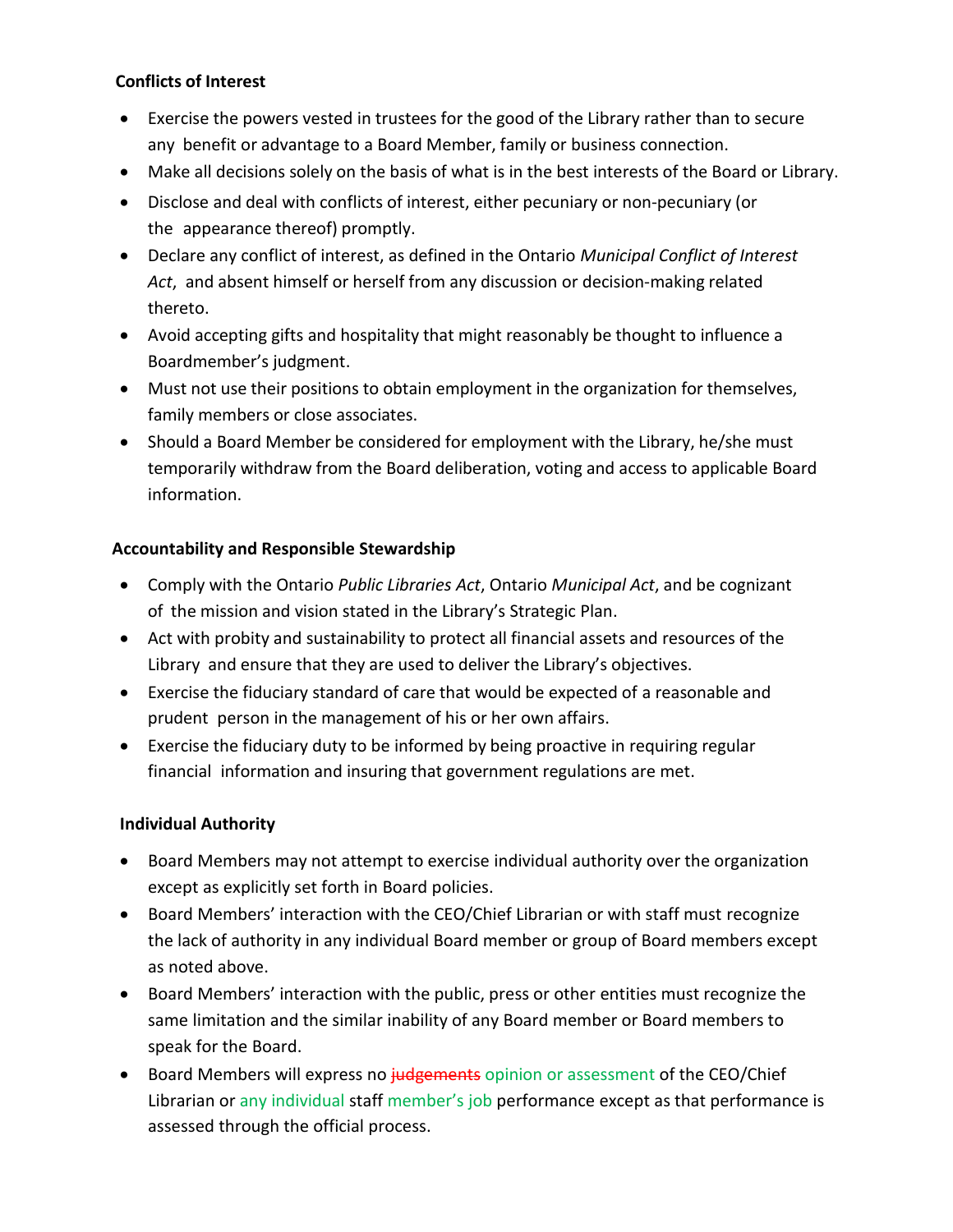## **Conflicts of Interest**

- Exercise the powers vested in trustees for the good of the Library rather than to secure any benefit or advantage to a Board Member, family or business connection.
- Make all decisions solely on the basis of what is in the best interests of the Board or Library.
- Disclose and deal with conflicts of interest, either pecuniary or non-pecuniary (or the appearance thereof) promptly.
- Declare any conflict of interest, as defined in the Ontario *Municipal Conflict of Interest Act*, and absent himself or herself from any discussion or decision-making related thereto.
- Avoid accepting gifts and hospitality that might reasonably be thought to influence a Boardmember's judgment.
- Must not use their positions to obtain employment in the organization for themselves, family members or close associates.
- Should a Board Member be considered for employment with the Library, he/she must temporarily withdraw from the Board deliberation, voting and access to applicable Board information.

## **Accountability and Responsible Stewardship**

- Comply with the Ontario *Public Libraries Act*, Ontario *Municipal Act*, and be cognizant of the mission and vision stated in the Library's Strategic Plan.
- Act with probity and sustainability to protect all financial assets and resources of the Library and ensure that they are used to deliver the Library's objectives.
- Exercise the fiduciary standard of care that would be expected of a reasonable and prudent person in the management of his or her own affairs.
- Exercise the fiduciary duty to be informed by being proactive in requiring regular financial information and insuring that government regulations are met.

## **Individual Authority**

- Board Members may not attempt to exercise individual authority over the organization except as explicitly set forth in Board policies.
- Board Members' interaction with the CEO/Chief Librarian or with staff must recognize the lack of authority in any individual Board member or group of Board members except as noted above.
- Board Members' interaction with the public, press or other entities must recognize the same limitation and the similar inability of any Board member or Board members to speak for the Board.
- Board Members will express no judgements opinion or assessment of the CEO/Chief Librarian or any individual staff member's job performance except as that performance is assessed through the official process.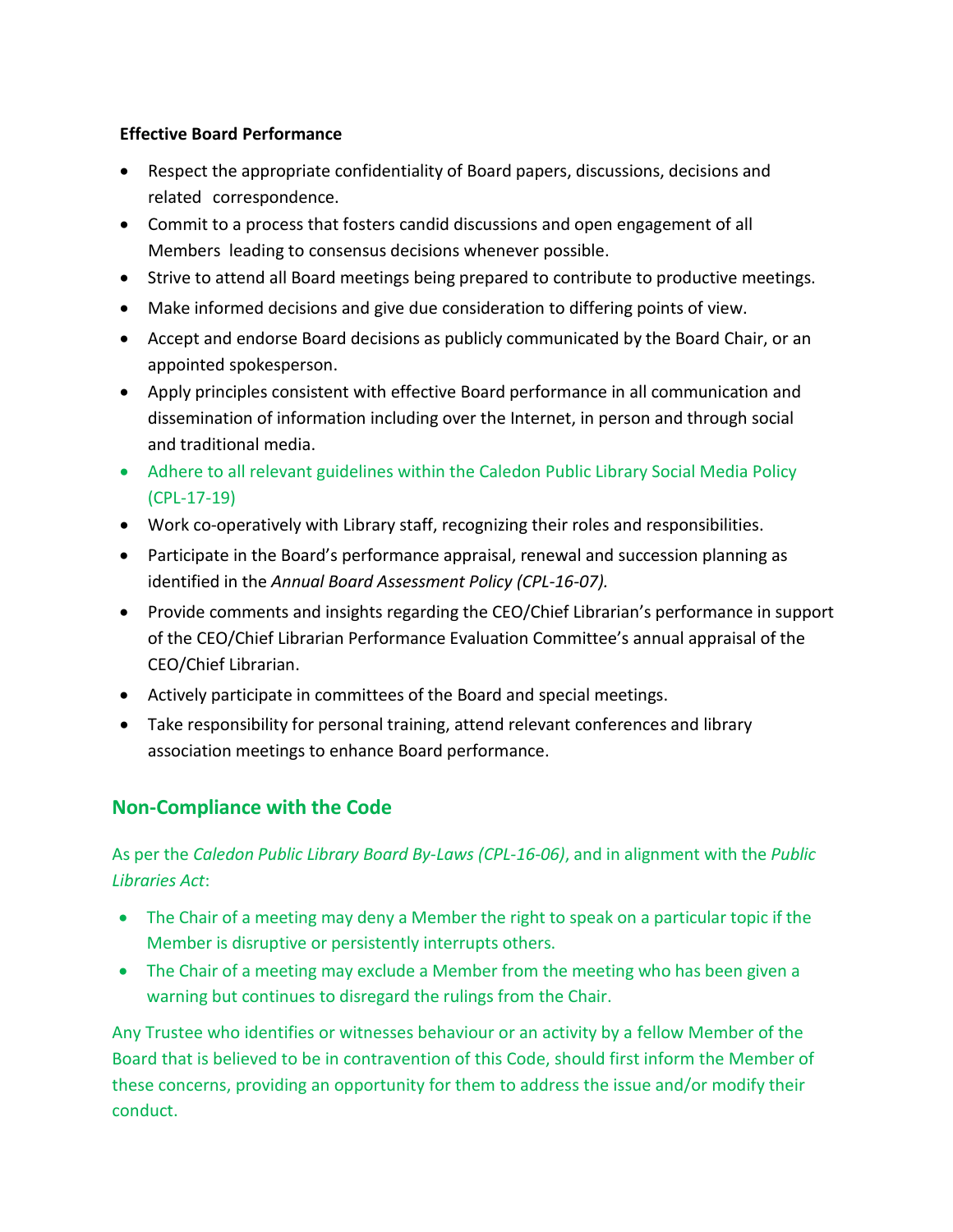#### **Effective Board Performance**

- Respect the appropriate confidentiality of Board papers, discussions, decisions and related correspondence.
- Commit to a process that fosters candid discussions and open engagement of all Members leading to consensus decisions whenever possible.
- Strive to attend all Board meetings being prepared to contribute to productive meetings.
- Make informed decisions and give due consideration to differing points of view.
- Accept and endorse Board decisions as publicly communicated by the Board Chair, or an appointed spokesperson.
- Apply principles consistent with effective Board performance in all communication and dissemination of information including over the Internet, in person and through social and traditional media.
- Adhere to all relevant guidelines within the Caledon Public Library Social Media Policy (CPL-17-19)
- Work co-operatively with Library staff, recognizing their roles and responsibilities.
- Participate in the Board's performance appraisal, renewal and succession planning as identified in the *Annual Board Assessment Policy (CPL-16-07).*
- Provide comments and insights regarding the CEO/Chief Librarian's performance in support of the CEO/Chief Librarian Performance Evaluation Committee's annual appraisal of the CEO/Chief Librarian.
- Actively participate in committees of the Board and special meetings.
- Take responsibility for personal training, attend relevant conferences and library association meetings to enhance Board performance.

## **Non-Compliance with the Code**

As per the *Caledon Public Library Board By-Laws (CPL-16-06)*, and in alignment with the *Public Libraries Act*:

- The Chair of a meeting may deny a Member the right to speak on a particular topic if the Member is disruptive or persistently interrupts others.
- The Chair of a meeting may exclude a Member from the meeting who has been given a warning but continues to disregard the rulings from the Chair.

Any Trustee who identifies or witnesses behaviour or an activity by a fellow Member of the Board that is believed to be in contravention of this Code, should first inform the Member of these concerns, providing an opportunity for them to address the issue and/or modify their conduct.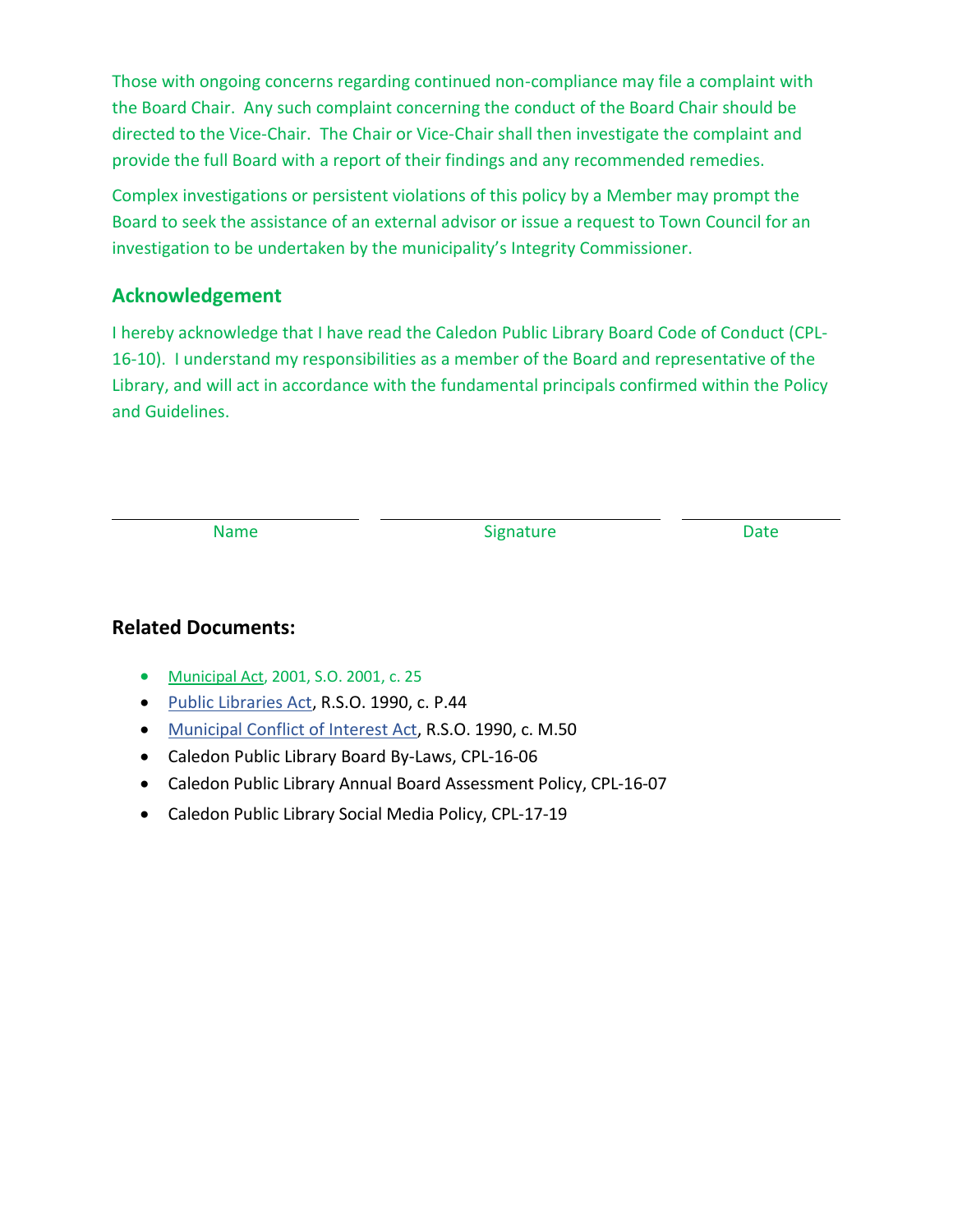Those with ongoing concerns regarding continued non-compliance may file a complaint with the Board Chair. Any such complaint concerning the conduct of the Board Chair should be directed to the Vice-Chair. The Chair or Vice-Chair shall then investigate the complaint and provide the full Board with a report of their findings and any recommended remedies.

Complex investigations or persistent violations of this policy by a Member may prompt the Board to seek the assistance of an external advisor or issue a request to Town Council for an investigation to be undertaken by the municipality's Integrity Commissioner.

## **Acknowledgement**

I hereby acknowledge that I have read the Caledon Public Library Board Code of Conduct (CPL-16-10). I understand my responsibilities as a member of the Board and representative of the Library, and will act in accordance with the fundamental principals confirmed within the Policy and Guidelines.

Name Date Signature Signature Date

## **Related Documents:**

- [Municipal Act,](https://www.ontario.ca/laws/statute/01m25#BK254) 2001, S.O. 2001, c. 25
- [Public Libraries Act,](http://www.ontario.ca/laws/statute/90p44?search=public+library+act) R.S.O. 1990, c. P.44
- Municipal [Conflict of Interest Act,](https://www.ontario.ca/laws/statute/90m50) R.S.O. 1990, c. M.50
- Caledon Public Library Board By-Laws, CPL-16-06
- Caledon Public Library Annual Board Assessment Policy, CPL-16-07
- Caledon Public Library Social Media Policy, CPL-17-19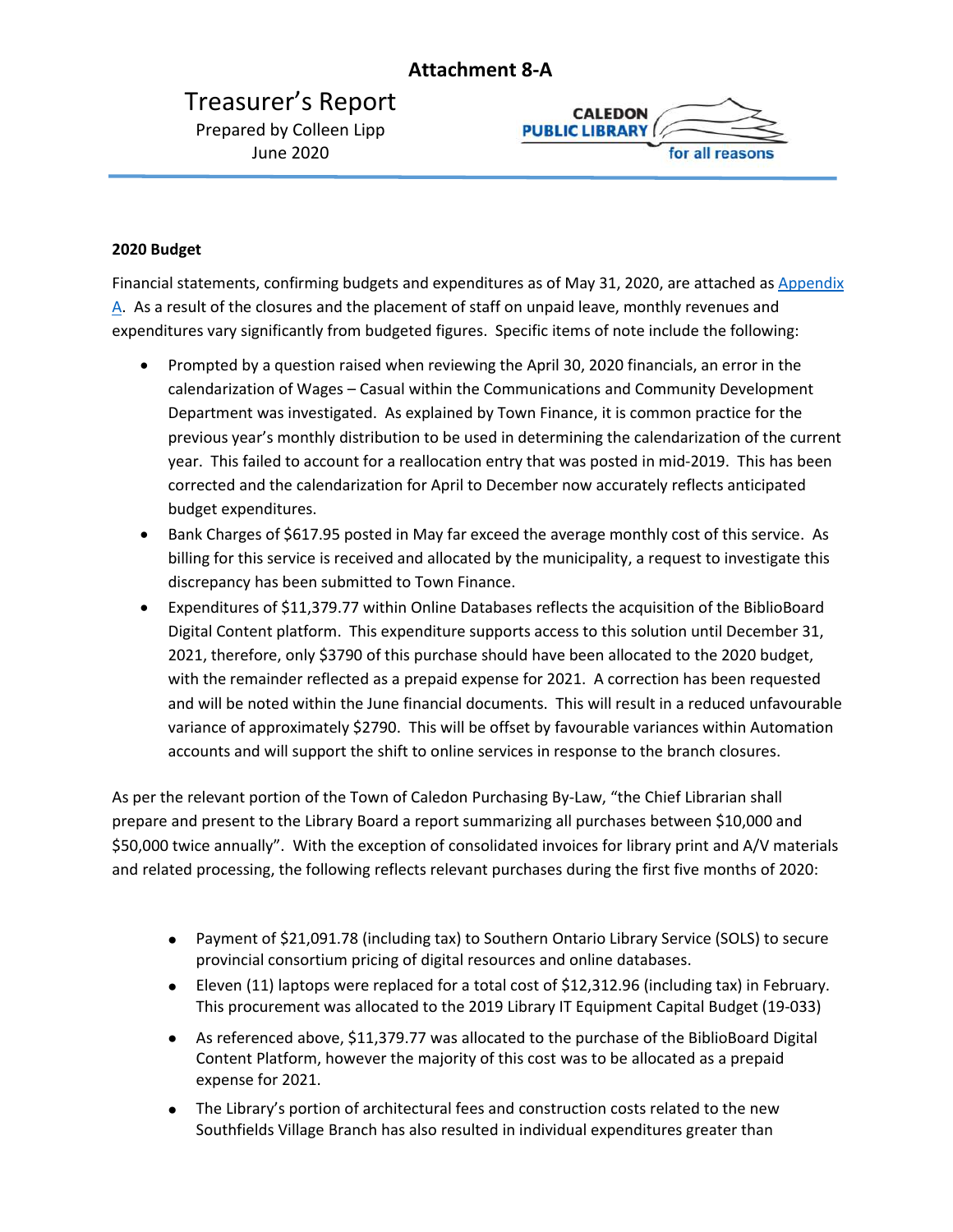## **Attachment 8-A**

## <span id="page-20-0"></span>Treasurer's Report Prepared by Colleen Lipp June 2020



#### <span id="page-20-1"></span>**2020 Budget**

Financial statements, confirming budgets and expenditures as of May 31, 2020, are attached as [Appendix](#page-20-1) A. As a result of the closures and the placement of staff on unpaid leave, monthly revenues and expenditures vary significantly from budgeted figures. Specific items of note include the following:

- Prompted by a question raised when reviewing the April 30, 2020 financials, an error in the calendarization of Wages – Casual within the Communications and Community Development Department was investigated. As explained by Town Finance, it is common practice for the previous year's monthly distribution to be used in determining the calendarization of the current year. This failed to account for a reallocation entry that was posted in mid-2019. This has been corrected and the calendarization for April to December now accurately reflects anticipated budget expenditures.
- Bank Charges of \$617.95 posted in May far exceed the average monthly cost of this service. As billing for this service is received and allocated by the municipality, a request to investigate this discrepancy has been submitted to Town Finance.
- Expenditures of \$11,379.77 within Online Databases reflects the acquisition of the BiblioBoard Digital Content platform. This expenditure supports access to this solution until December 31, 2021, therefore, only \$3790 of this purchase should have been allocated to the 2020 budget, with the remainder reflected as a prepaid expense for 2021. A correction has been requested and will be noted within the June financial documents. This will result in a reduced unfavourable variance of approximately \$2790. This will be offset by favourable variances within Automation accounts and will support the shift to online services in response to the branch closures.

As per the relevant portion of the Town of Caledon Purchasing By-Law, "the Chief Librarian shall prepare and present to the Library Board a report summarizing all purchases between \$10,000 and \$50,000 twice annually". With the exception of consolidated invoices for library print and A/V materials and related processing, the following reflects relevant purchases during the first five months of 2020:

- Payment of \$21,091.78 (including tax) to Southern Ontario Library Service (SOLS) to secure provincial consortium pricing of digital resources and online databases.
- Eleven (11) laptops were replaced for a total cost of \$12,312.96 (including tax) in February. This procurement was allocated to the 2019 Library IT Equipment Capital Budget (19-033)
- As referenced above, \$11,379.77 was allocated to the purchase of the BiblioBoard Digital Content Platform, however the majority of this cost was to be allocated as a prepaid expense for 2021.
- The Library's portion of architectural fees and construction costs related to the new Southfields Village Branch has also resulted in individual expenditures greater than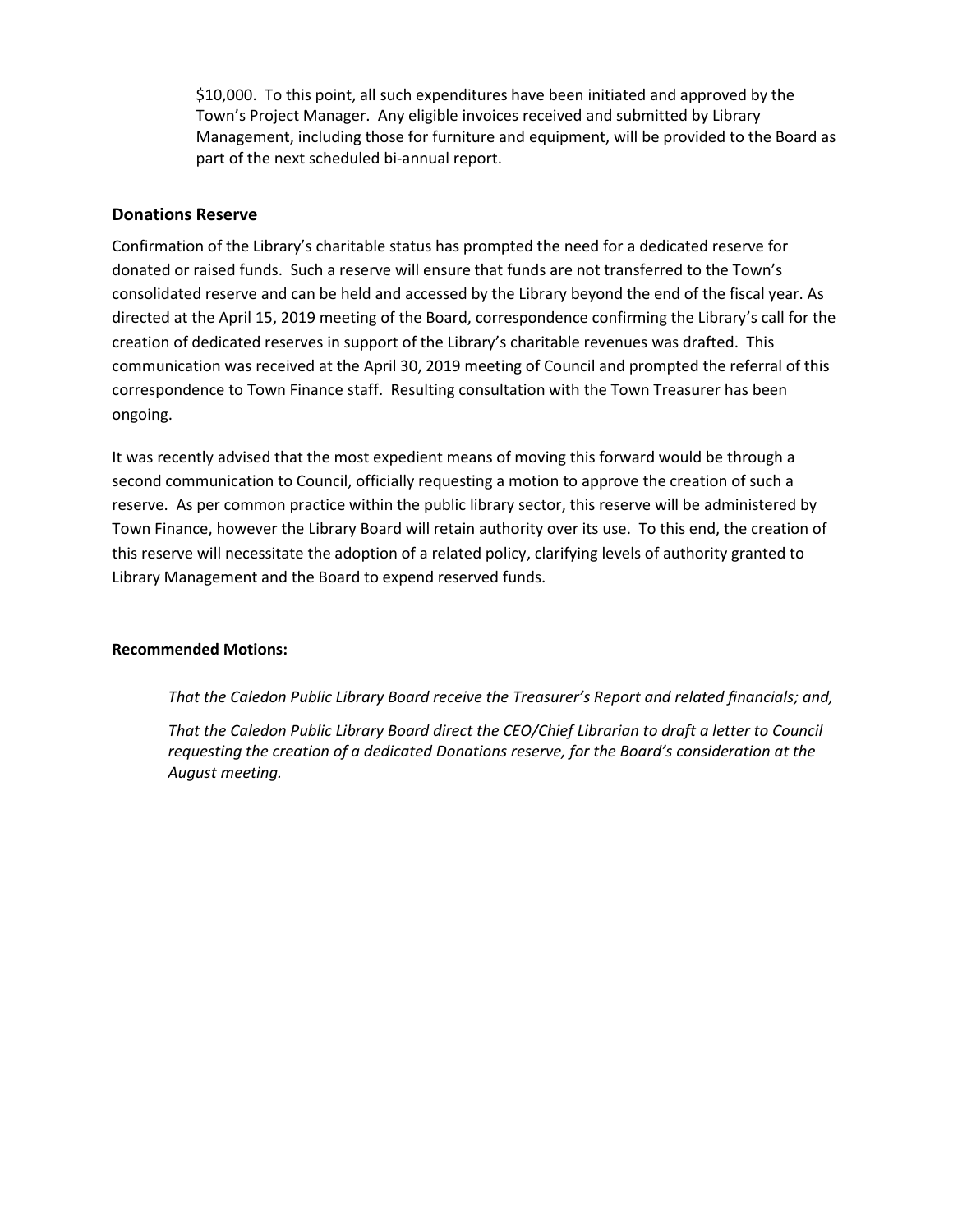\$10,000. To this point, all such expenditures have been initiated and approved by the Town's Project Manager. Any eligible invoices received and submitted by Library Management, including those for furniture and equipment, will be provided to the Board as part of the next scheduled bi-annual report.

#### **Donations Reserve**

Confirmation of the Library's charitable status has prompted the need for a dedicated reserve for donated or raised funds. Such a reserve will ensure that funds are not transferred to the Town's consolidated reserve and can be held and accessed by the Library beyond the end of the fiscal year. As directed at the April 15, 2019 meeting of the Board, correspondence confirming the Library's call for the creation of dedicated reserves in support of the Library's charitable revenues was drafted. This communication was received at the April 30, 2019 meeting of Council and prompted the referral of this correspondence to Town Finance staff. Resulting consultation with the Town Treasurer has been ongoing.

It was recently advised that the most expedient means of moving this forward would be through a second communication to Council, officially requesting a motion to approve the creation of such a reserve. As per common practice within the public library sector, this reserve will be administered by Town Finance, however the Library Board will retain authority over its use. To this end, the creation of this reserve will necessitate the adoption of a related policy, clarifying levels of authority granted to Library Management and the Board to expend reserved funds.

#### **Recommended Motions:**

*That the Caledon Public Library Board receive the Treasurer's Report and related financials; and,*

*That the Caledon Public Library Board direct the CEO/Chief Librarian to draft a letter to Council requesting the creation of a dedicated Donations reserve, for the Board's consideration at the August meeting.*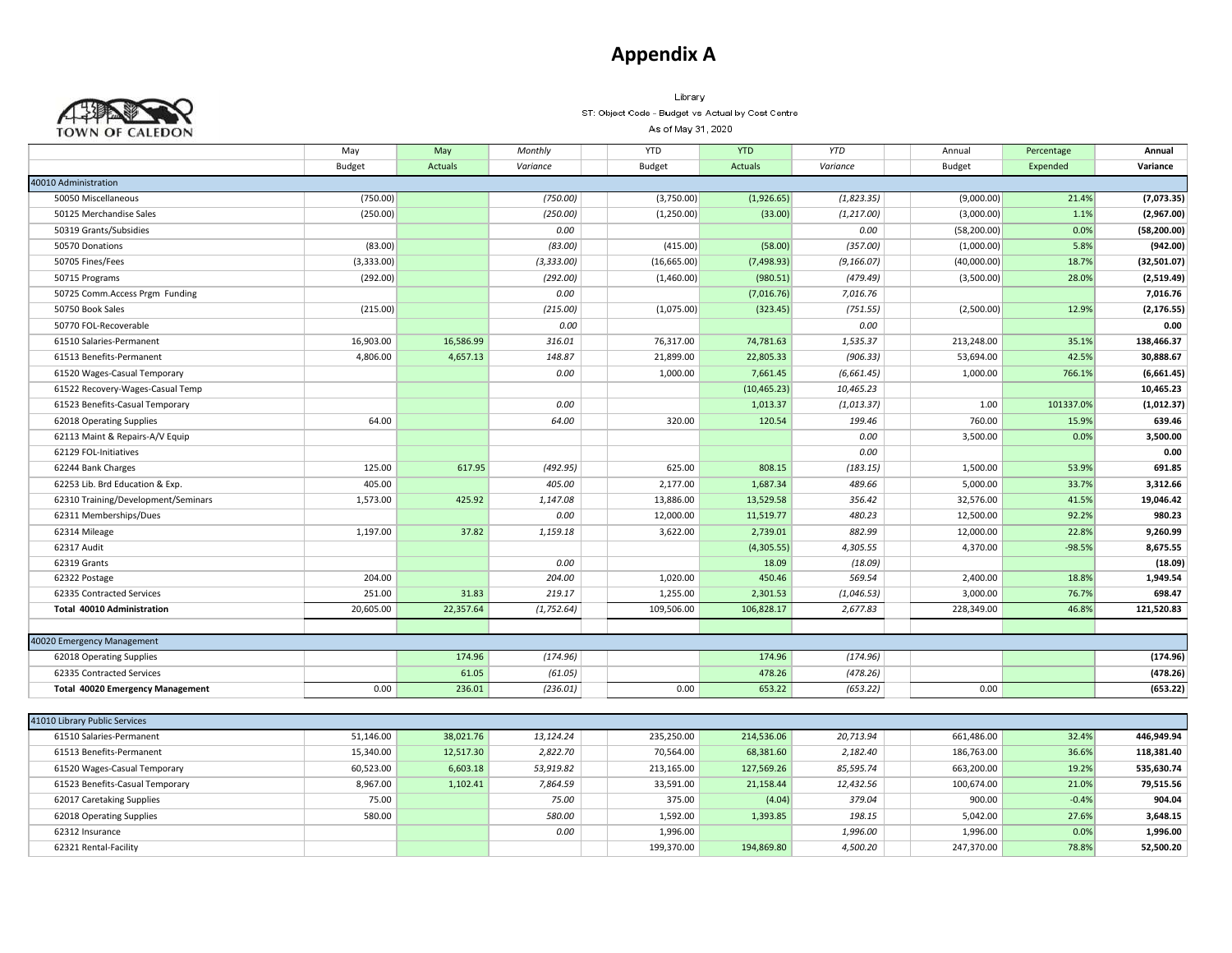## **Appendix A**



Library ST: Object Code - Budget vs Actual by Cost Centre

As of May 31, 2020

|                                         | May        | May            | Monthly     | <b>YTD</b>    | <b>YTD</b>   | <b>YTD</b>  | Annual        | Percentage | Annual       |
|-----------------------------------------|------------|----------------|-------------|---------------|--------------|-------------|---------------|------------|--------------|
|                                         | Budget     | <b>Actuals</b> | Variance    | <b>Budget</b> | Actuals      | Variance    | <b>Budget</b> | Expended   | Variance     |
| 40010 Administration                    |            |                |             |               |              |             |               |            |              |
| 50050 Miscellaneous                     | (750.00)   |                | (750.00)    | (3,750.00)    | (1,926.65)   | (1,823.35)  | (9,000.00)    | 21.4%      | (7,073.35)   |
| 50125 Merchandise Sales                 | (250.00)   |                | (250.00)    | (1,250.00)    | (33.00)      | (1, 217.00) | (3,000.00)    | 1.1%       | (2,967.00)   |
| 50319 Grants/Subsidies                  |            |                | 0.00        |               |              | 0.00        | (58, 200.00)  | 0.0%       | (58, 200.00) |
| 50570 Donations                         | (83.00)    |                | (83.00)     | (415.00)      | (58.00)      | (357.00)    | (1,000.00)    | 5.8%       | (942.00)     |
| 50705 Fines/Fees                        | (3,333.00) |                | (3, 333.00) | (16,665.00)   | (7,498.93)   | (9, 166.07) | (40,000.00)   | 18.7%      | (32,501.07)  |
| 50715 Programs                          | (292.00)   |                | (292.00)    | (1,460.00)    | (980.51)     | (479.49)    | (3,500.00)    | 28.0%      | (2,519.49)   |
| 50725 Comm.Access Prgm Funding          |            |                | 0.00        |               | (7,016.76)   | 7,016.76    |               |            | 7,016.76     |
| 50750 Book Sales                        | (215.00)   |                | (215.00)    | (1,075.00)    | (323.45)     | (751.55)    | (2,500.00)    | 12.9%      | (2, 176.55)  |
| 50770 FOL-Recoverable                   |            |                | 0.00        |               |              | 0.00        |               |            | 0.00         |
| 61510 Salaries-Permanent                | 16,903.00  | 16,586.99      | 316.01      | 76,317.00     | 74,781.63    | 1,535.37    | 213,248.00    | 35.1%      | 138,466.37   |
| 61513 Benefits-Permanent                | 4,806.00   | 4,657.13       | 148.87      | 21,899.00     | 22,805.33    | (906.33)    | 53,694.00     | 42.5%      | 30,888.67    |
| 61520 Wages-Casual Temporary            |            |                | 0.00        | 1,000.00      | 7,661.45     | (6,661.45)  | 1,000.00      | 766.1%     | (6,661.45)   |
| 61522 Recovery-Wages-Casual Temp        |            |                |             |               | (10, 465.23) | 10,465.23   |               |            | 10,465.23    |
| 61523 Benefits-Casual Temporary         |            |                | 0.00        |               | 1,013.37     | (1,013.37)  | 1.00          | 101337.0%  | (1,012.37)   |
| 62018 Operating Supplies                | 64.00      |                | 64.00       | 320.00        | 120.54       | 199.46      | 760.00        | 15.9%      | 639.46       |
| 62113 Maint & Repairs-A/V Equip         |            |                |             |               |              | 0.00        | 3,500.00      | 0.0%       | 3,500.00     |
| 62129 FOL-Initiatives                   |            |                |             |               |              | 0.00        |               |            | 0.00         |
| 62244 Bank Charges                      | 125.00     | 617.95         | (492.95)    | 625.00        | 808.15       | (183.15)    | 1,500.00      | 53.9%      | 691.85       |
| 62253 Lib. Brd Education & Exp.         | 405.00     |                | 405.00      | 2,177.00      | 1,687.34     | 489.66      | 5,000.00      | 33.7%      | 3,312.66     |
| 62310 Training/Development/Seminars     | 1,573.00   | 425.92         | 1,147.08    | 13,886.00     | 13,529.58    | 356.42      | 32,576.00     | 41.5%      | 19,046.42    |
| 62311 Memberships/Dues                  |            |                | 0.00        | 12,000.00     | 11,519.77    | 480.23      | 12,500.00     | 92.2%      | 980.23       |
| 62314 Mileage                           | 1,197.00   | 37.82          | 1,159.18    | 3,622.00      | 2,739.01     | 882.99      | 12,000.00     | 22.8%      | 9,260.99     |
| 62317 Audit                             |            |                |             |               | (4,305.55)   | 4,305.55    | 4,370.00      | $-98.5%$   | 8,675.55     |
| 62319 Grants                            |            |                | 0.00        |               | 18.09        | (18.09)     |               |            | (18.09)      |
| 62322 Postage                           | 204.00     |                | 204.00      | 1,020.00      | 450.46       | 569.54      | 2,400.00      | 18.8%      | 1,949.54     |
| 62335 Contracted Services               | 251.00     | 31.83          | 219.17      | 1,255.00      | 2,301.53     | (1,046.53)  | 3,000.00      | 76.7%      | 698.47       |
| <b>Total 40010 Administration</b>       | 20,605.00  | 22,357.64      | (1, 752.64) | 109,506.00    | 106,828.17   | 2,677.83    | 228,349.00    | 46.8%      | 121,520.83   |
|                                         |            |                |             |               |              |             |               |            |              |
| 40020 Emergency Management              |            |                |             |               |              |             |               |            |              |
| 62018 Operating Supplies                |            | 174.96         | (174.96)    |               | 174.96       | (174.96)    |               |            | (174.96)     |
| 62335 Contracted Services               |            | 61.05          | (61.05)     |               | 478.26       | (478.26)    |               |            | (478.26)     |
| <b>Total 40020 Emergency Management</b> | 0.00       | 236.01         | (236.01)    | 0.00          | 653.22       | (653.22)    | 0.00          |            | (653.22)     |
|                                         |            |                |             |               |              |             |               |            |              |
| 41010 Library Public Services           |            |                |             |               |              |             |               |            |              |
| 61510 Salaries-Permanent                | 51,146.00  | 38,021.76      | 13,124.24   | 235,250.00    | 214,536.06   | 20,713.94   | 661,486.00    | 32.4%      | 446,949.94   |
| 61513 Benefits-Permanent                | 15,340.00  | 12,517.30      | 2,822.70    | 70,564.00     | 68,381.60    | 2,182.40    | 186,763.00    | 36.6%      | 118,381.40   |
| 61520 Wages-Casual Temporary            | 60,523.00  | 6,603.18       | 53,919.82   | 213,165.00    | 127,569.26   | 85,595.74   | 663,200.00    | 19.2%      | 535,630.74   |
| 61523 Benefits-Casual Temporary         | 8,967.00   | 1,102.41       | 7,864.59    | 33,591.00     | 21,158.44    | 12,432.56   | 100,674.00    | 21.0%      | 79,515.56    |
| 62017 Caretaking Supplies               | 75.00      |                | 75.00       | 375.00        | (4.04)       | 379.04      | 900.00        | $-0.4%$    | 904.04       |
| 62018 Operating Supplies                | 580.00     |                | 580.00      | 1,592.00      | 1,393.85     | 198.15      | 5,042.00      | 27.6%      | 3,648.15     |
| 62312 Insurance                         |            |                | 0.00        | 1,996.00      |              | 1,996.00    | 1,996.00      | 0.0%       | 1,996.00     |

62321 Rental-Facility 199,370.00 194,869.80 *4,500.20* 247,370.00 78.8% **52,500.20**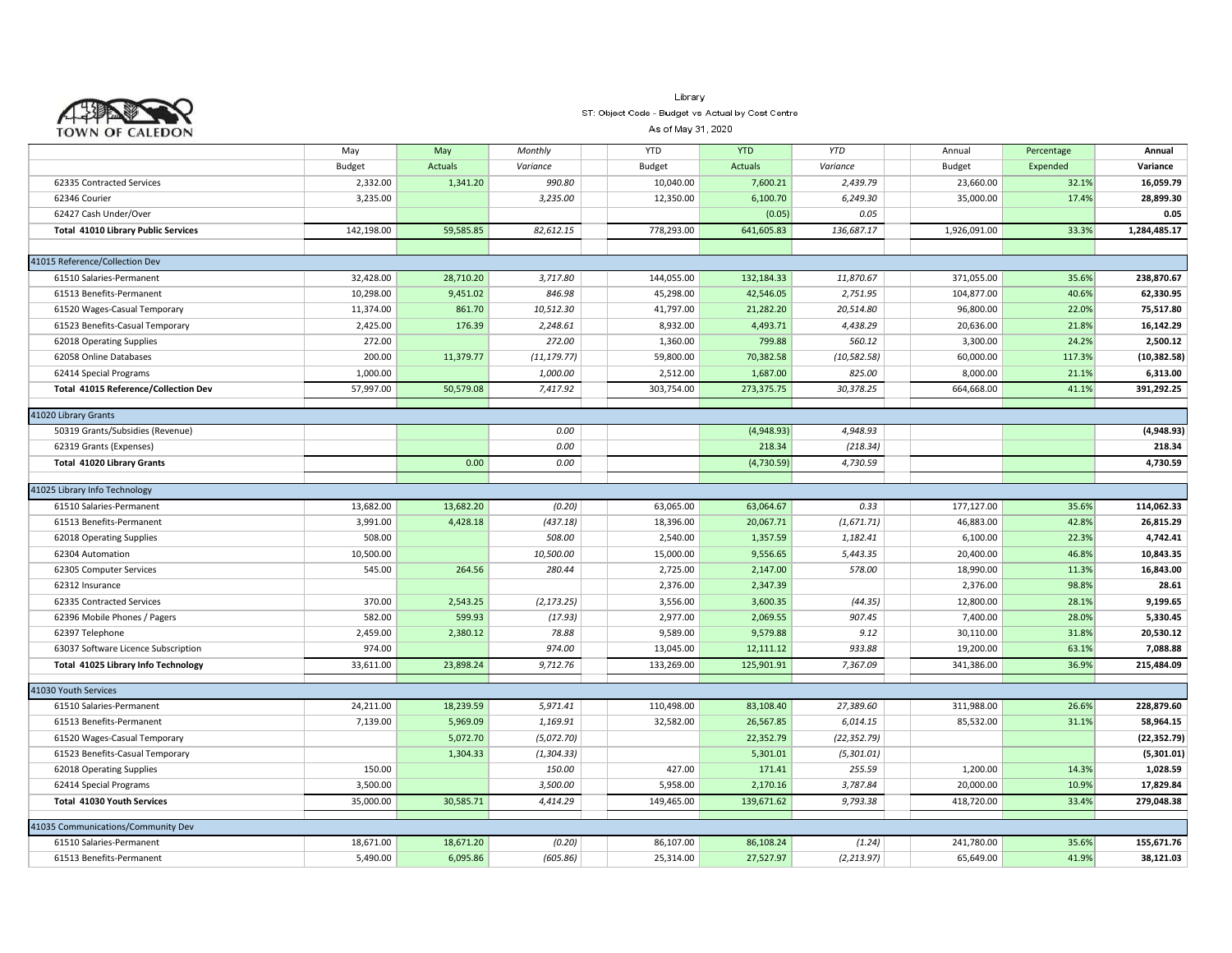

#### Library ST: Object Code - Budget vs Actual by Cost Centre

As of May 31, 2020

|                                             | May           | May            | Monthly      | <b>YTD</b>    | <b>YTD</b> | <b>YTD</b>           | Annual       | Percentage | Annual             |
|---------------------------------------------|---------------|----------------|--------------|---------------|------------|----------------------|--------------|------------|--------------------|
|                                             | <b>Budget</b> | <b>Actuals</b> | Variance     | <b>Budget</b> | Actuals    | Variance             | Budget       | Expended   | Variance           |
| 62335 Contracted Services                   | 2,332.00      | 1,341.20       | 990.80       | 10,040.00     | 7,600.21   | 2,439.79             | 23,660.00    | 32.1%      | 16,059.79          |
| 62346 Courier                               | 3,235.00      |                | 3,235.00     | 12,350.00     | 6,100.70   | 6,249.30             | 35,000.00    | 17.4%      | 28,899.30          |
| 62427 Cash Under/Over                       |               |                |              |               | (0.05)     | 0.05                 |              |            | 0.05               |
| <b>Total 41010 Library Public Services</b>  | 142,198.00    | 59,585.85      | 82,612.15    | 778,293.00    | 641,605.83 | 136,687.17           | 1,926,091.00 | 33.3%      | 1,284,485.17       |
|                                             |               |                |              |               |            |                      |              |            |                    |
| 41015 Reference/Collection Dev              |               |                |              |               |            |                      |              |            |                    |
| 61510 Salaries-Permanent                    | 32,428.00     | 28,710.20      | 3,717.80     | 144,055.00    | 132,184.33 | 11,870.67            | 371,055.00   | 35.6%      | 238,870.67         |
| 61513 Benefits-Permanent                    | 10,298.00     | 9,451.02       | 846.98       | 45,298.00     | 42,546.05  | 2,751.95             | 104,877.00   | 40.6%      | 62,330.95          |
| 61520 Wages-Casual Temporary                | 11,374.00     | 861.70         | 10,512.30    | 41,797.00     | 21,282.20  | 20,514.80            | 96,800.00    | 22.0%      | 75,517.80          |
| 61523 Benefits-Casual Temporary             | 2,425.00      | 176.39         | 2,248.61     | 8,932.00      | 4,493.71   | 4,438.29             | 20,636.00    | 21.8%      | 16,142.29          |
| 62018 Operating Supplies                    | 272.00        |                | 272.00       | 1,360.00      | 799.88     | 560.12               | 3,300.00     | 24.2%      | 2,500.12           |
| 62058 Online Databases                      | 200.00        | 11,379.77      | (11, 179.77) | 59,800.00     | 70,382.58  | (10, 582.58)         | 60,000.00    | 117.3%     | (10, 382.58)       |
| 62414 Special Programs                      | 1,000.00      |                | 1,000.00     | 2,512.00      | 1,687.00   | 825.00               | 8,000.00     | 21.1%      | 6,313.00           |
| <b>Total 41015 Reference/Collection Dev</b> | 57,997.00     | 50,579.08      | 7,417.92     | 303,754.00    | 273,375.75 | 30,378.25            | 664,668.00   | 41.1%      | 391,292.25         |
|                                             |               |                |              |               |            |                      |              |            |                    |
| 41020 Library Grants                        |               |                | 0.00         |               | (4,948.93) | 4,948.93             |              |            | (4,948.93)         |
| 50319 Grants/Subsidies (Revenue)            |               |                |              |               | 218.34     |                      |              |            |                    |
| 62319 Grants (Expenses)                     |               | 0.00           | 0.00<br>0.00 |               |            | (218.34)<br>4,730.59 |              |            | 218.34<br>4,730.59 |
| Total 41020 Library Grants                  |               |                |              |               | (4,730.59) |                      |              |            |                    |
| 41025 Library Info Technology               |               |                |              |               |            |                      |              |            |                    |
| 61510 Salaries-Permanent                    | 13,682.00     | 13,682.20      | (0.20)       | 63,065.00     | 63,064.67  | 0.33                 | 177,127.00   | 35.6%      | 114,062.33         |
| 61513 Benefits-Permanent                    | 3,991.00      | 4,428.18       | (437.18)     | 18,396.00     | 20,067.71  | (1,671.71)           | 46,883.00    | 42.8%      | 26,815.29          |
| 62018 Operating Supplies                    | 508.00        |                | 508.00       | 2,540.00      | 1,357.59   | 1,182.41             | 6,100.00     | 22.3%      | 4,742.41           |
| 62304 Automation                            | 10,500.00     |                | 10,500.00    | 15,000.00     | 9,556.65   | 5,443.35             | 20,400.00    | 46.8%      | 10,843.35          |
| 62305 Computer Services                     | 545.00        | 264.56         | 280.44       | 2,725.00      | 2,147.00   | 578.00               | 18,990.00    | 11.3%      | 16,843.00          |
| 62312 Insurance                             |               |                |              | 2,376.00      | 2,347.39   |                      | 2,376.00     | 98.8%      | 28.61              |
| 62335 Contracted Services                   | 370.00        | 2,543.25       | (2, 173.25)  | 3,556.00      | 3,600.35   | (44.35)              | 12,800.00    | 28.1%      | 9,199.65           |
| 62396 Mobile Phones / Pagers                | 582.00        | 599.93         | (17.93)      | 2,977.00      | 2,069.55   | 907.45               | 7,400.00     | 28.0%      | 5,330.45           |
| 62397 Telephone                             | 2,459.00      | 2,380.12       | 78.88        | 9,589.00      | 9,579.88   | 9.12                 | 30,110.00    | 31.8%      | 20,530.12          |
| 63037 Software Licence Subscription         | 974.00        |                | 974.00       | 13,045.00     | 12,111.12  | 933.88               | 19,200.00    | 63.1%      | 7,088.88           |
| Total 41025 Library Info Technology         | 33,611.00     | 23,898.24      | 9,712.76     | 133,269.00    | 125,901.91 | 7,367.09             | 341,386.00   | 36.9%      | 215,484.09         |
|                                             |               |                |              |               |            |                      |              |            |                    |
| 41030 Youth Services                        |               |                |              |               |            |                      |              |            |                    |
| 61510 Salaries-Permanent                    | 24,211.00     | 18,239.59      | 5,971.41     | 110,498.00    | 83,108.40  | 27,389.60            | 311,988.00   | 26.6%      | 228,879.60         |
| 61513 Benefits-Permanent                    | 7,139.00      | 5,969.09       | 1,169.91     | 32,582.00     | 26,567.85  | 6,014.15             | 85,532.00    | 31.1%      | 58,964.15          |
| 61520 Wages-Casual Temporary                |               | 5,072.70       | (5,072.70)   |               | 22,352.79  | (22, 352.79)         |              |            | (22, 352.79)       |
| 61523 Benefits-Casual Temporary             |               | 1,304.33       | (1, 304.33)  |               | 5,301.01   | (5,301.01)           |              |            | (5,301.01)         |
| 62018 Operating Supplies                    | 150.00        |                | 150.00       | 427.00        | 171.41     | 255.59               | 1,200.00     | 14.3%      | 1,028.59           |
| 62414 Special Programs                      | 3,500.00      |                | 3,500.00     | 5,958.00      | 2,170.16   | 3,787.84             | 20,000.00    | 10.9%      | 17,829.84          |
| <b>Total 41030 Youth Services</b>           | 35,000.00     | 30,585.71      | 4,414.29     | 149,465.00    | 139,671.62 | 9,793.38             | 418,720.00   | 33.4%      | 279,048.38         |
| 41035 Communications/Community Dev          |               |                |              |               |            |                      |              |            |                    |
| 61510 Salaries-Permanent                    | 18,671.00     | 18,671.20      | (0.20)       | 86,107.00     | 86,108.24  | (1.24)               | 241,780.00   | 35.6%      | 155,671.76         |
| 61513 Benefits-Permanent                    | 5,490.00      | 6,095.86       | (605.86)     | 25,314.00     | 27,527.97  | (2, 213.97)          | 65,649.00    | 41.9%      | 38,121.03          |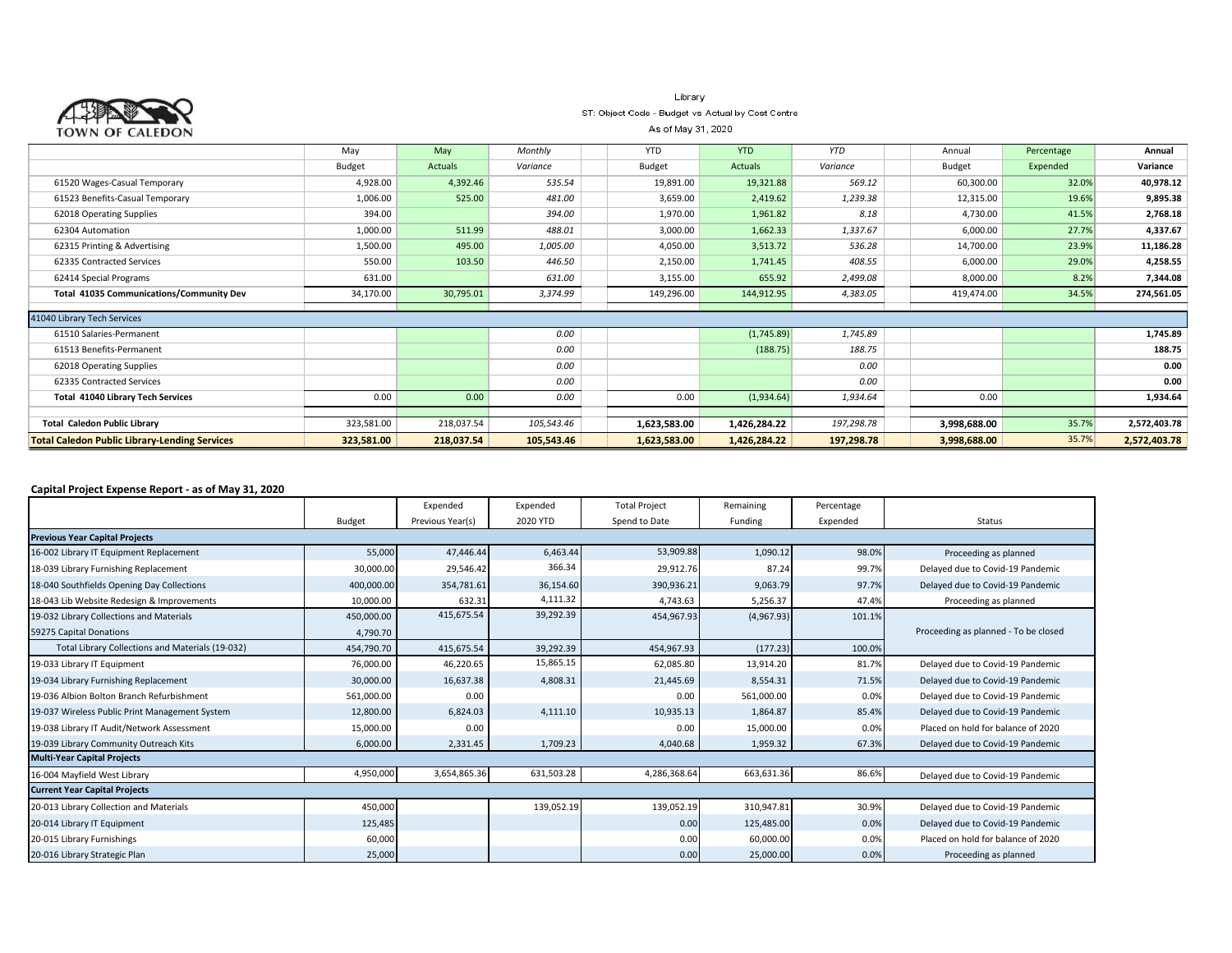| TOWN OF CALEDON                                      | Library<br>ST: Object Code - Budget vs Actual by Cost Centre<br>As of May 31, 2020 |            |            |               |              |            |               |            |              |  |  |
|------------------------------------------------------|------------------------------------------------------------------------------------|------------|------------|---------------|--------------|------------|---------------|------------|--------------|--|--|
|                                                      | May                                                                                | May        | Monthly    | YTD           | <b>YTD</b>   | <b>YTD</b> | Annual        | Percentage | Annual       |  |  |
|                                                      | Budget                                                                             | Actuals    | Variance   | <b>Budget</b> | Actuals      | Variance   | <b>Budget</b> | Expended   | Variance     |  |  |
| 61520 Wages-Casual Temporary                         | 4,928.00                                                                           | 4,392.46   | 535.54     | 19,891.00     | 19,321.88    | 569.12     | 60,300.00     | 32.0%      | 40,978.12    |  |  |
| 61523 Benefits-Casual Temporary                      | 1,006.00                                                                           | 525.00     | 481.00     | 3,659.00      | 2,419.62     | 1,239.38   | 12,315.00     | 19.6%      | 9,895.38     |  |  |
| 62018 Operating Supplies                             | 394.00                                                                             |            | 394.00     | 1,970.00      | 1,961.82     | 8.18       | 4,730.00      | 41.5%      | 2,768.18     |  |  |
| 62304 Automation                                     | 1,000.00                                                                           | 511.99     | 488.01     | 3,000.00      | 1,662.33     | 1,337.67   | 6,000.00      | 27.7%      | 4,337.67     |  |  |
| 62315 Printing & Advertising                         | 1,500.00                                                                           | 495.00     | 1,005.00   | 4,050.00      | 3,513.72     | 536.28     | 14,700.00     | 23.9%      | 11,186.28    |  |  |
| 62335 Contracted Services                            | 550.00                                                                             | 103.50     | 446.50     | 2,150.00      | 1,741.45     | 408.55     | 6,000.00      | 29.0%      | 4,258.55     |  |  |
| 62414 Special Programs                               | 631.00                                                                             |            | 631.00     | 3,155.00      | 655.92       | 2,499.08   | 8,000.00      | 8.2%       | 7,344.08     |  |  |
| <b>Total 41035 Communications/Community Dev</b>      | 34,170.00                                                                          | 30,795.01  | 3,374.99   | 149,296.00    | 144,912.95   | 4,383.05   | 419,474.00    | 34.5%      | 274,561.05   |  |  |
| 41040 Library Tech Services                          |                                                                                    |            |            |               |              |            |               |            |              |  |  |
| 61510 Salaries-Permanent                             |                                                                                    |            | 0.00       |               | (1,745.89)   | 1,745.89   |               |            | 1,745.89     |  |  |
| 61513 Benefits-Permanent                             |                                                                                    |            | 0.00       |               | (188.75)     | 188.75     |               |            | 188.75       |  |  |
| 62018 Operating Supplies                             |                                                                                    |            | 0.00       |               |              | 0.00       |               |            | 0.00         |  |  |
| 62335 Contracted Services                            |                                                                                    |            | 0.00       |               |              | 0.00       |               |            | 0.00         |  |  |
| <b>Total 41040 Library Tech Services</b>             | 0.00                                                                               | 0.00       | 0.00       | 0.00          | (1,934.64)   | 1,934.64   | 0.00          |            | 1,934.64     |  |  |
| <b>Total Caledon Public Library</b>                  | 323,581.00                                                                         | 218,037.54 | 105,543.46 | 1,623,583.00  | 1,426,284.22 | 197,298.78 | 3,998,688.00  | 35.7%      | 2,572,403.78 |  |  |
| <b>Total Caledon Public Library-Lending Services</b> | 323,581.00                                                                         | 218,037.54 | 105,543.46 | 1,623,583.00  | 1,426,284.22 | 197,298.78 | 3,998,688.00  | 35.7%      | 2,572,403.78 |  |  |

#### **Capital Project Expense Report - as of May 31, 2020**

|                                                  |            | Expended         | Expended   | <b>Total Project</b> | Remaining  | Percentage |                                      |
|--------------------------------------------------|------------|------------------|------------|----------------------|------------|------------|--------------------------------------|
|                                                  | Budget     | Previous Year(s) | 2020 YTD   | Spend to Date        | Funding    | Expended   | Status                               |
| <b>Previous Year Capital Projects</b>            |            |                  |            |                      |            |            |                                      |
| 16-002 Library IT Equipment Replacement          | 55,000     | 47,446.44        | 6,463.44   | 53,909.88            | 1,090.12   | 98.0%      | Proceeding as planned                |
| 18-039 Library Furnishing Replacement            | 30,000.00  | 29,546.42        | 366.34     | 29,912.76            | 87.24      | 99.7%      | Delayed due to Covid-19 Pandemic     |
| 18-040 Southfields Opening Day Collections       | 400,000.00 | 354,781.61       | 36,154.60  | 390,936.21           | 9,063.79   | 97.7%      | Delayed due to Covid-19 Pandemic     |
| 18-043 Lib Website Redesign & Improvements       | 10,000.00  | 632.31           | 4,111.32   | 4,743.63             | 5,256.37   | 47.4%      | Proceeding as planned                |
| 19-032 Library Collections and Materials         | 450,000.00 | 415,675.54       | 39,292.39  | 454,967.93           | (4,967.93) | 101.1%     |                                      |
| 59275 Capital Donations                          | 4,790.70   |                  |            |                      |            |            | Proceeding as planned - To be closed |
| Total Library Collections and Materials (19-032) | 454,790.70 | 415,675.54       | 39,292.39  | 454,967.93           | (177.23)   | 100.0%     |                                      |
| 19-033 Library IT Equipment                      | 76,000.00  | 46,220.65        | 15,865.15  | 62,085.80            | 13,914.20  | 81.7%      | Delayed due to Covid-19 Pandemic     |
| 19-034 Library Furnishing Replacement            | 30,000.00  | 16,637.38        | 4,808.31   | 21,445.69            | 8,554.31   | 71.5%      | Delayed due to Covid-19 Pandemic     |
| 19-036 Albion Bolton Branch Refurbishment        | 561,000.00 | 0.00             |            | 0.00                 | 561,000.00 | 0.0%       | Delayed due to Covid-19 Pandemic     |
| 19-037 Wireless Public Print Management System   | 12,800.00  | 6,824.03         | 4,111.10   | 10,935.13            | 1,864.87   | 85.4%      | Delayed due to Covid-19 Pandemic     |
| 19-038 Library IT Audit/Network Assessment       | 15,000.00  | 0.00             |            | 0.00                 | 15,000.00  | 0.0%       | Placed on hold for balance of 2020   |
| 19-039 Library Community Outreach Kits           | 6,000.00   | 2,331.45         | 1,709.23   | 4,040.68             | 1,959.32   | 67.3%      | Delayed due to Covid-19 Pandemic     |
| <b>Multi-Year Capital Projects</b>               |            |                  |            |                      |            |            |                                      |
| 16-004 Mayfield West Library                     | 4,950,000  | 3,654,865.36     | 631,503.28 | 4,286,368.64         | 663,631.36 | 86.6%      | Delayed due to Covid-19 Pandemic     |
| <b>Current Year Capital Projects</b>             |            |                  |            |                      |            |            |                                      |
| 20-013 Library Collection and Materials          | 450,000    |                  | 139,052.19 | 139,052.19           | 310,947.81 | 30.9%      | Delayed due to Covid-19 Pandemic     |
| 20-014 Library IT Equipment                      | 125,485    |                  |            | 0.00                 | 125,485.00 | 0.0%       | Delayed due to Covid-19 Pandemic     |
| 20-015 Library Furnishings                       | 60,000     |                  |            | 0.00                 | 60,000.00  | 0.0%       | Placed on hold for balance of 2020   |
| 20-016 Library Strategic Plan                    | 25,000     |                  |            | 0.00                 | 25,000.00  | 0.0%       | Proceeding as planned                |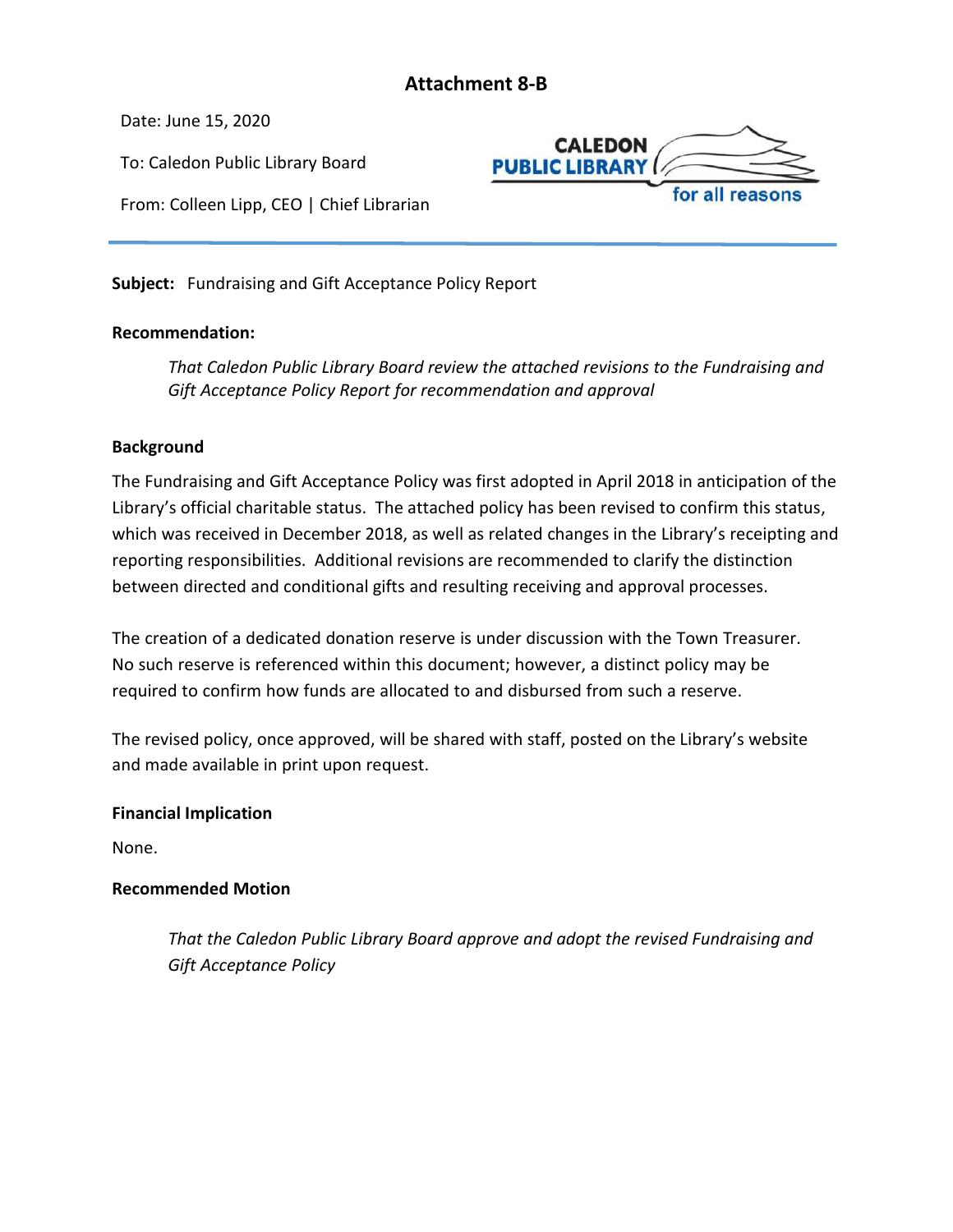## **Attachment 8-B**

<span id="page-25-0"></span>Date: June 15, 2020

To: Caledon Public Library Board

From: Colleen Lipp, CEO | Chief Librarian



**Subject:** Fundraising and Gift Acceptance Policy Report

#### **Recommendation:**

*That Caledon Public Library Board review the attached revisions to the Fundraising and Gift Acceptance Policy Report for recommendation and approval*

#### **Background**

The Fundraising and Gift Acceptance Policy was first adopted in April 2018 in anticipation of the Library's official charitable status. The attached policy has been revised to confirm this status, which was received in December 2018, as well as related changes in the Library's receipting and reporting responsibilities. Additional revisions are recommended to clarify the distinction between directed and conditional gifts and resulting receiving and approval processes.

The creation of a dedicated donation reserve is under discussion with the Town Treasurer. No such reserve is referenced within this document; however, a distinct policy may be required to confirm how funds are allocated to and disbursed from such a reserve.

The revised policy, once approved, will be shared with staff, posted on the Library's website and made available in print upon request.

#### **Financial Implication**

None.

## **Recommended Motion**

*That the Caledon Public Library Board approve and adopt the revised Fundraising and Gift Acceptance Policy*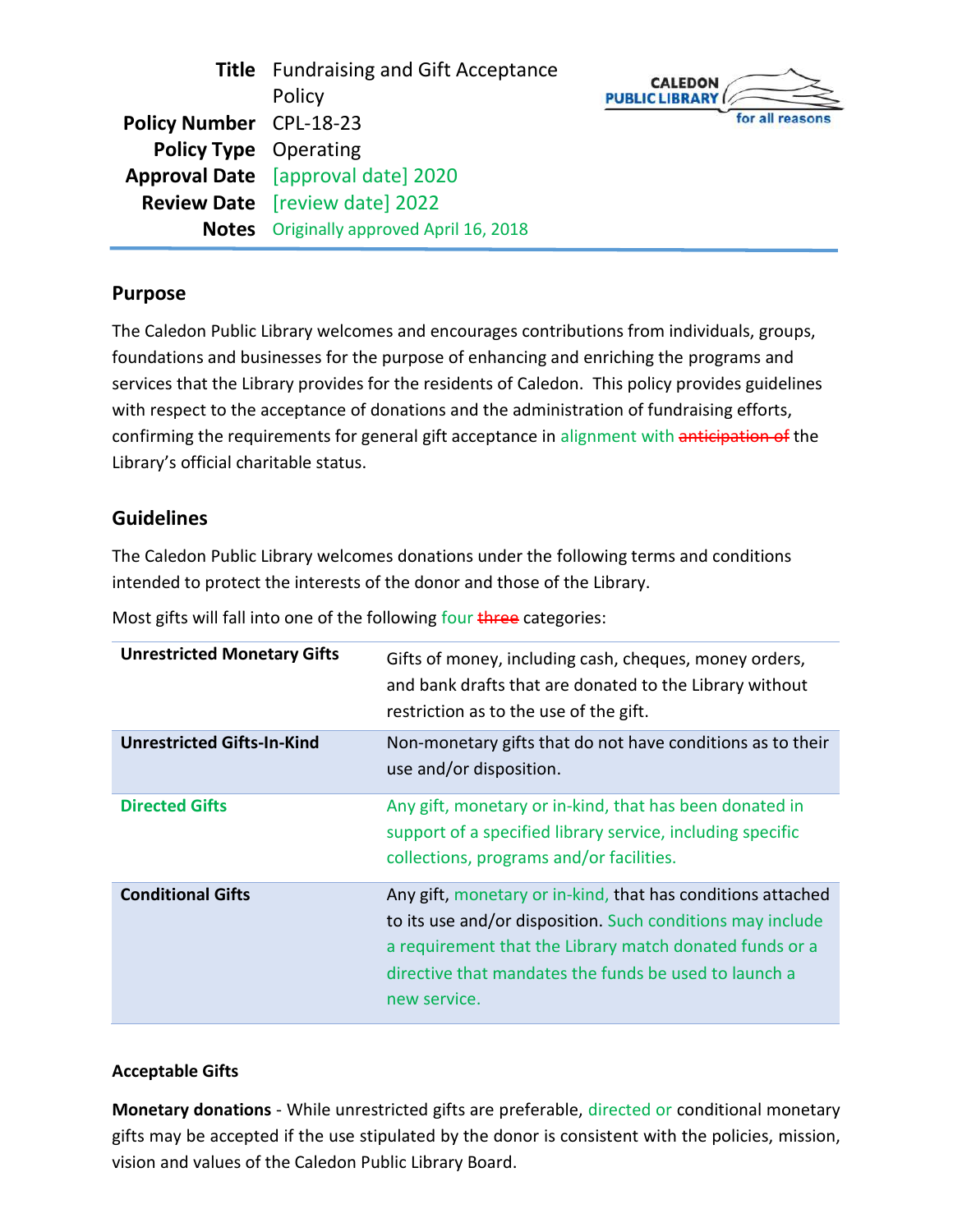**Title** Fundraising and Gift Acceptance Policy **Policy Number** CPL-18-23 **Policy Type** Operating **Approval Date** [approval date] 2020 **Review Date** [review date] 2022 **Notes** Originally approved April 16, 2018



## **Purpose**

The Caledon Public Library welcomes and encourages contributions from individuals, groups, foundations and businesses for the purpose of enhancing and enriching the programs and services that the Library provides for the residents of Caledon. This policy provides guidelines with respect to the acceptance of donations and the administration of fundraising efforts, confirming the requirements for general gift acceptance in alignment with anticipation of the Library's official charitable status.

## **Guidelines**

The Caledon Public Library welcomes donations under the following terms and conditions intended to protect the interests of the donor and those of the Library.

Most gifts will fall into one of the following four three categories:

| <b>Unrestricted Monetary Gifts</b> | Gifts of money, including cash, cheques, money orders,<br>and bank drafts that are donated to the Library without<br>restriction as to the use of the gift.                                                                                                   |
|------------------------------------|---------------------------------------------------------------------------------------------------------------------------------------------------------------------------------------------------------------------------------------------------------------|
| <b>Unrestricted Gifts-In-Kind</b>  | Non-monetary gifts that do not have conditions as to their<br>use and/or disposition.                                                                                                                                                                         |
| <b>Directed Gifts</b>              | Any gift, monetary or in-kind, that has been donated in<br>support of a specified library service, including specific<br>collections, programs and/or facilities.                                                                                             |
| <b>Conditional Gifts</b>           | Any gift, monetary or in-kind, that has conditions attached<br>to its use and/or disposition. Such conditions may include<br>a requirement that the Library match donated funds or a<br>directive that mandates the funds be used to launch a<br>new service. |

## **Acceptable Gifts**

**Monetary donations** - While unrestricted gifts are preferable, directed or conditional monetary gifts may be accepted if the use stipulated by the donor is consistent with the policies, mission, vision and values of the Caledon Public Library Board.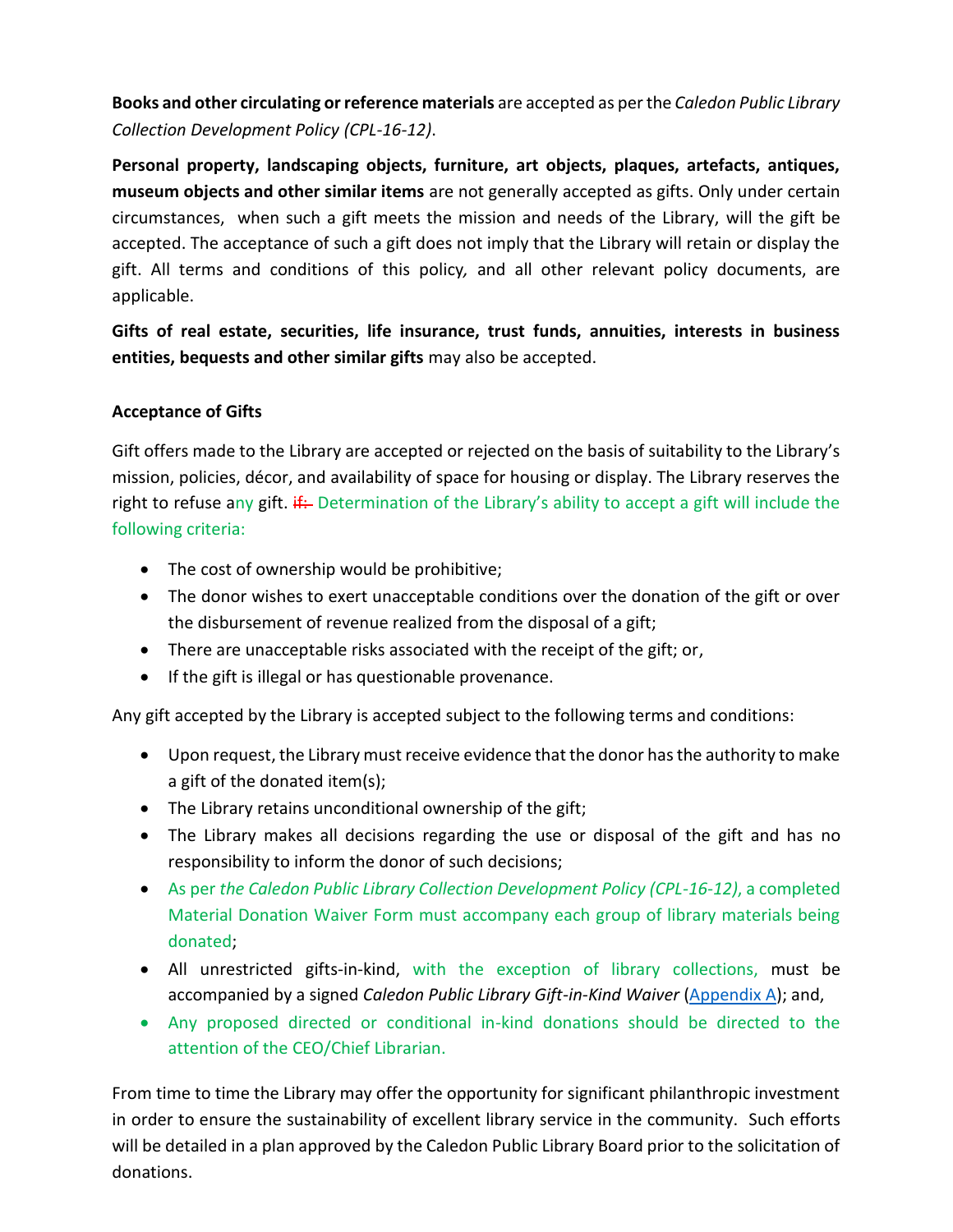**Books and other circulating or reference materials** are accepted as per the *Caledon Public Library Collection Development Policy (CPL-16-12)*.

**Personal property, landscaping objects, furniture, art objects, plaques, artefacts, antiques, museum objects and other similar items** are not generally accepted as gifts. Only under certain circumstances, when such a gift meets the mission and needs of the Library, will the gift be accepted. The acceptance of such a gift does not imply that the Library will retain or display the gift. All terms and conditions of this policy*,* and all other relevant policy documents, are applicable.

**Gifts of real estate, securities, life insurance, trust funds, annuities, interests in business entities, bequests and other similar gifts** may also be accepted.

#### **Acceptance of Gifts**

Gift offers made to the Library are accepted or rejected on the basis of suitability to the Library's mission, policies, décor, and availability of space for housing or display. The Library reserves the right to refuse any gift.  $\frac{1}{r}$  Determination of the Library's ability to accept a gift will include the following criteria:

- The cost of ownership would be prohibitive;
- The donor wishes to exert unacceptable conditions over the donation of the gift or over the disbursement of revenue realized from the disposal of a gift;
- There are unacceptable risks associated with the receipt of the gift; or,
- If the gift is illegal or has questionable provenance.

Any gift accepted by the Library is accepted subject to the following terms and conditions:

- Upon request, the Library must receive evidence that the donor has the authority to make a gift of the donated item(s);
- The Library retains unconditional ownership of the gift;
- The Library makes all decisions regarding the use or disposal of the gift and has no responsibility to inform the donor of such decisions;
- As per *the Caledon Public Library Collection Development Policy (CPL-16-12)*, a completed Material Donation Waiver Form must accompany each group of library materials being donated;
- All unrestricted gifts-in-kind, with the exception of library collections, must be accompanied by a signed *Caledon Public Library Gift-in-Kind Waiver* [\(Appendix A\)](#page-30-0); and,
- Any proposed directed or conditional in-kind donations should be directed to the attention of the CEO/Chief Librarian.

From time to time the Library may offer the opportunity for significant philanthropic investment in order to ensure the sustainability of excellent library service in the community. Such efforts will be detailed in a plan approved by the Caledon Public Library Board prior to the solicitation of donations.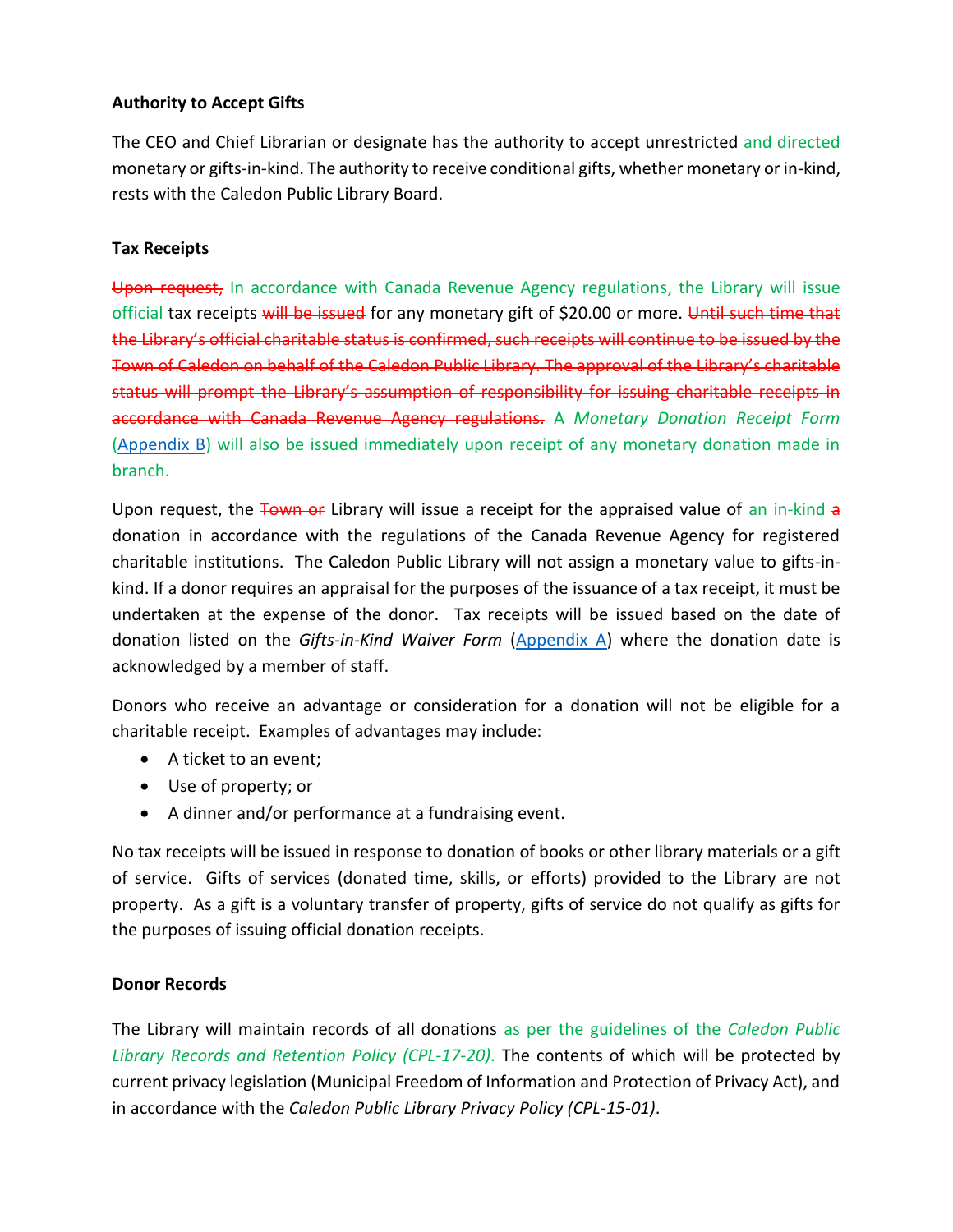## **Authority to Accept Gifts**

The CEO and Chief Librarian or designate has the authority to accept unrestricted and directed monetary or gifts-in-kind. The authority to receive conditional gifts, whether monetary or in-kind, rests with the Caledon Public Library Board.

#### **Tax Receipts**

Upon request, In accordance with Canada Revenue Agency regulations, the Library will issue official tax receipts will be issued for any monetary gift of \$20.00 or more. Until such time that the Library's official charitable status is confirmed, such receipts will continue to be issued by the Town of Caledon on behalf of the Caledon Public Library. The approval of the Library's charitable status will prompt the Library's assumption of responsibility for issuing charitable receipts in accordance with Canada Revenue Agency regulations. A *Monetary Donation Receipt Form* [\(Appendix B\)](#page-30-1) will also be issued immediately upon receipt of any monetary donation made in branch.

Upon request, the Town of Library will issue a receipt for the appraised value of an in-kind a donation in accordance with the regulations of the Canada Revenue Agency for registered charitable institutions. The Caledon Public Library will not assign a monetary value to gifts-inkind. If a donor requires an appraisal for the purposes of the issuance of a tax receipt, it must be undertaken at the expense of the donor. Tax receipts will be issued based on the date of donation listed on the *Gifts-in-Kind Waiver Form* [\(Appendix A\)](#page-30-0) where the donation date is acknowledged by a member of staff.

Donors who receive an advantage or consideration for a donation will not be eligible for a charitable receipt. Examples of advantages may include:

- A ticket to an event;
- Use of property; or
- A dinner and/or performance at a fundraising event.

No tax receipts will be issued in response to donation of books or other library materials or a gift of service. Gifts of services (donated time, skills, or efforts) provided to the Library are not property. As a gift is a voluntary transfer of property, gifts of service do not qualify as gifts for the purposes of issuing official donation receipts.

## **Donor Records**

The Library will maintain records of all donations as per the guidelines of the *Caledon Public Library Records and Retention Policy (CPL-17-20)*. The contents of which will be protected by current privacy legislation (Municipal Freedom of Information and Protection of Privacy Act), and in accordance with the *Caledon Public Library Privacy Policy (CPL-15-01)*.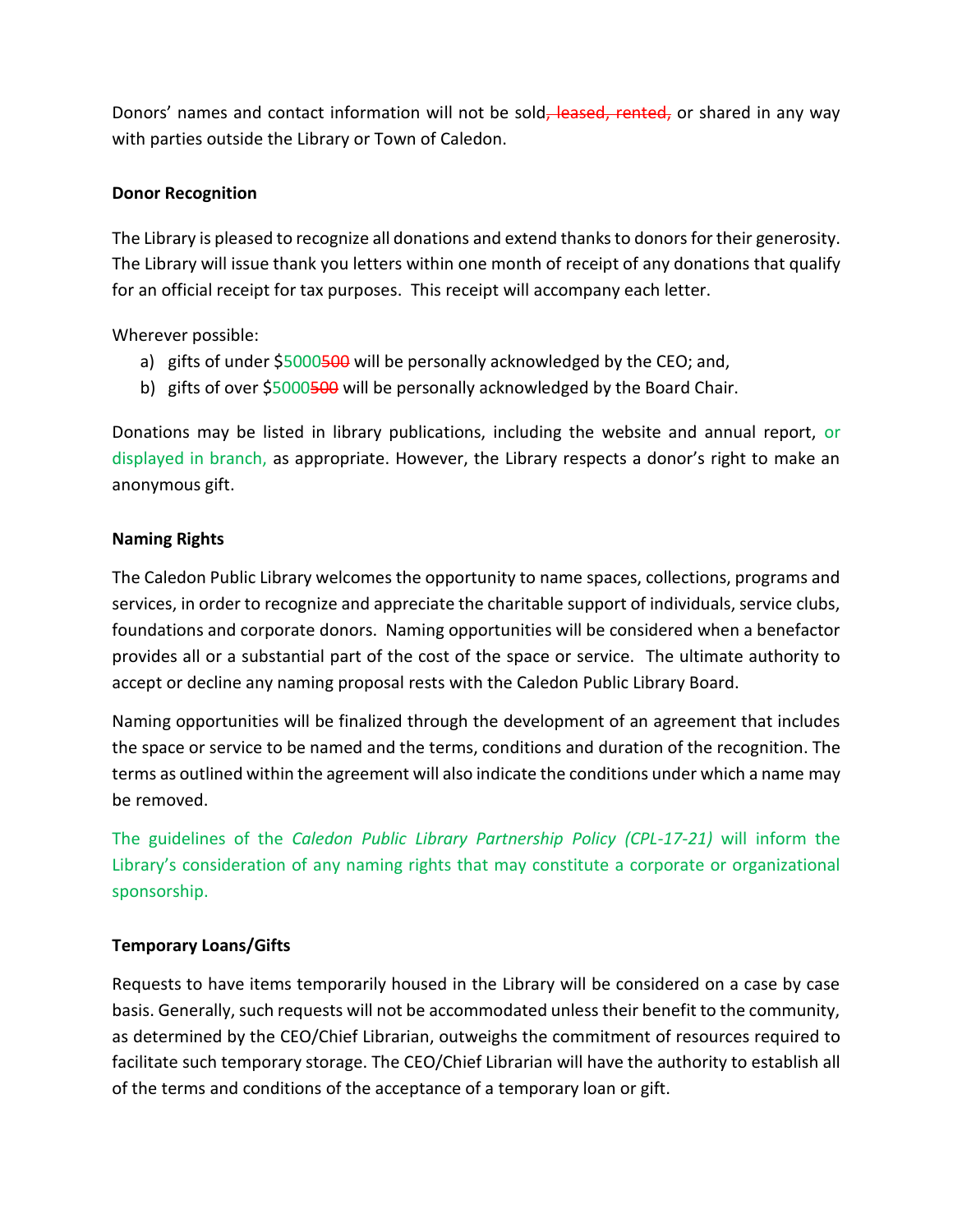Donors' names and contact information will not be sold, leased, rented, or shared in any way with parties outside the Library or Town of Caledon.

#### **Donor Recognition**

The Library is pleased to recognize all donations and extend thanks to donors for their generosity. The Library will issue thank you letters within one month of receipt of any donations that qualify for an official receipt for tax purposes. This receipt will accompany each letter.

Wherever possible:

- a) gifts of under \$5000500 will be personally acknowledged by the CEO; and,
- b) gifts of over \$5000500 will be personally acknowledged by the Board Chair.

Donations may be listed in library publications, including the website and annual report, or displayed in branch, as appropriate. However, the Library respects a donor's right to make an anonymous gift.

#### **Naming Rights**

The Caledon Public Library welcomes the opportunity to name spaces, collections, programs and services, in order to recognize and appreciate the charitable support of individuals, service clubs, foundations and corporate donors. Naming opportunities will be considered when a benefactor provides all or a substantial part of the cost of the space or service. The ultimate authority to accept or decline any naming proposal rests with the Caledon Public Library Board.

Naming opportunities will be finalized through the development of an agreement that includes the space or service to be named and the terms, conditions and duration of the recognition. The terms as outlined within the agreement will also indicate the conditions under which a name may be removed.

The guidelines of the *Caledon Public Library Partnership Policy (CPL-17-21)* will inform the Library's consideration of any naming rights that may constitute a corporate or organizational sponsorship.

#### **Temporary Loans/Gifts**

Requests to have items temporarily housed in the Library will be considered on a case by case basis. Generally, such requests will not be accommodated unless their benefit to the community, as determined by the CEO/Chief Librarian, outweighs the commitment of resources required to facilitate such temporary storage. The CEO/Chief Librarian will have the authority to establish all of the terms and conditions of the acceptance of a temporary loan or gift.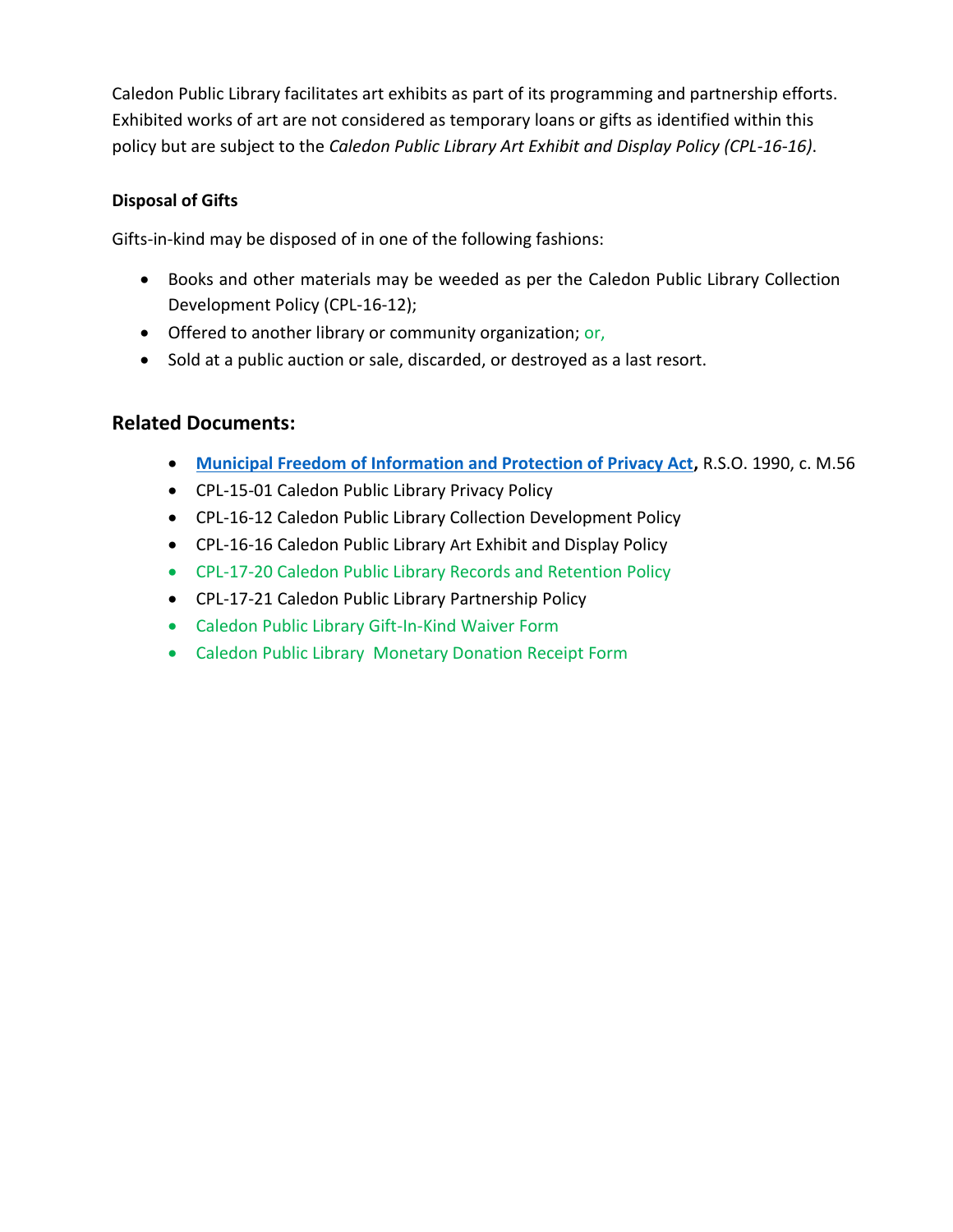Caledon Public Library facilitates art exhibits as part of its programming and partnership efforts. Exhibited works of art are not considered as temporary loans or gifts as identified within this policy but are subject to the *Caledon Public Library Art Exhibit and Display Policy (CPL-16-16)*.

## **Disposal of Gifts**

Gifts-in-kind may be disposed of in one of the following fashions:

- Books and other materials may be weeded as per the Caledon Public Library Collection Development Policy (CPL-16-12);
- Offered to another library or community organization; or,
- Sold at a public auction or sale, discarded, or destroyed as a last resort.

## **Related Documents:**

- **[Municipal Freedom of Information and Protection of Privacy Act,](http://www.ontario.ca/laws/statute/90m56)** R.S.O. 1990, c. M.56
- CPL-15-01 Caledon Public Library Privacy Policy
- CPL-16-12 Caledon Public Library Collection Development Policy
- CPL-16-16 Caledon Public Library Art Exhibit and Display Policy
- CPL-17-20 Caledon Public Library Records and Retention Policy
- <span id="page-30-0"></span>• CPL-17-21 Caledon Public Library Partnership Policy
- Caledon Public Library Gift-In-Kind Waiver Form
- <span id="page-30-1"></span>• Caledon Public Library Monetary Donation Receipt Form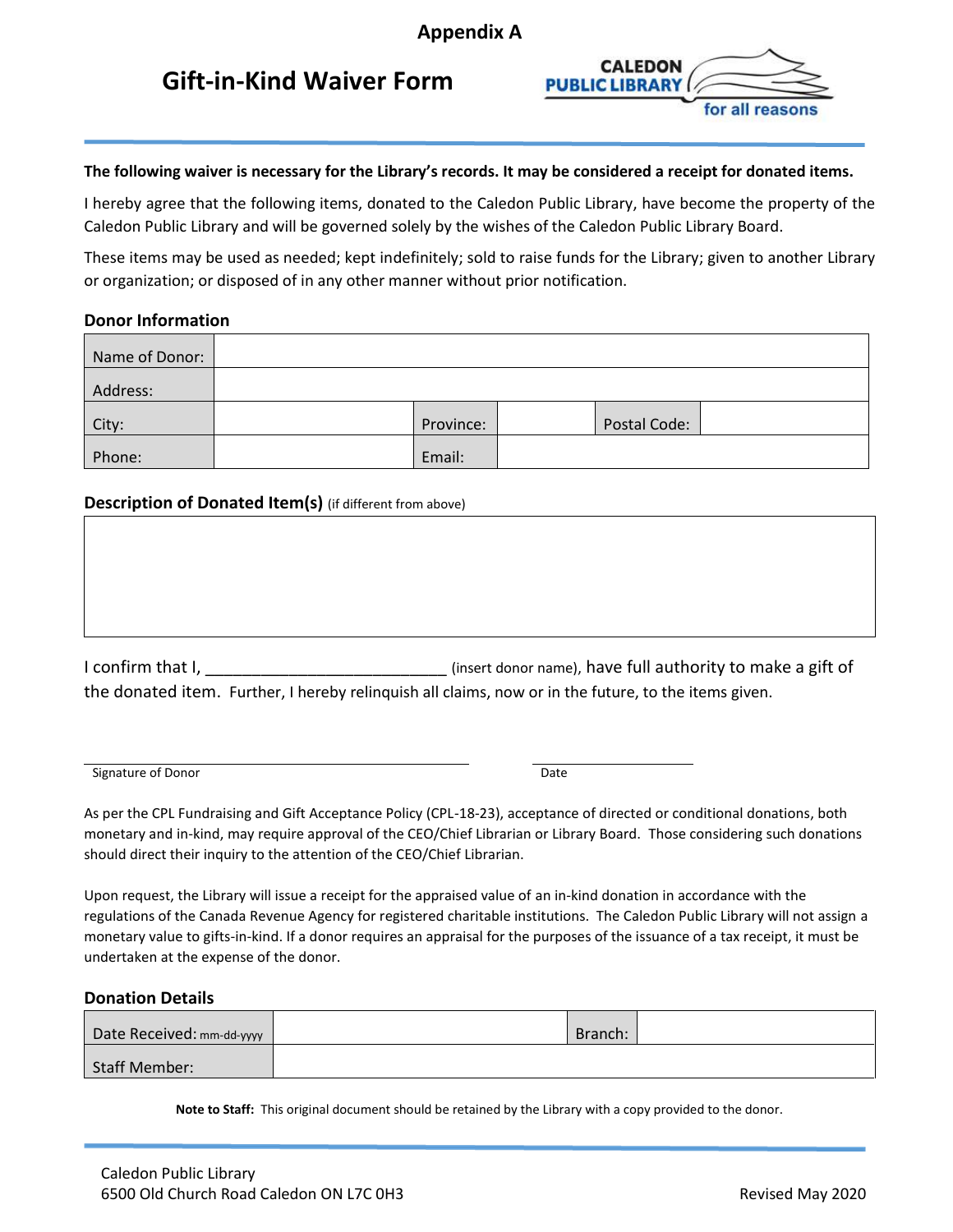## **Gift-in-Kind Waiver Form**



#### **The following waiver is necessary for the Library's records. It may be considered a receipt for donated items.**

I hereby agree that the following items, donated to the Caledon Public Library, have become the property of the Caledon Public Library and will be governed solely by the wishes of the Caledon Public Library Board.

These items may be used as needed; kept indefinitely; sold to raise funds for the Library; given to another Library or organization; or disposed of in any other manner without prior notification.

#### **Donor Information**

| Name of Donor: |           |              |  |
|----------------|-----------|--------------|--|
| Address:       |           |              |  |
| City:          | Province: | Postal Code: |  |
| Phone:         | Email:    |              |  |

#### **Description of Donated Item(s)** (if different from above)

| I confirm that I, | (insert donor name), have full authority to make a gift of                                           |
|-------------------|------------------------------------------------------------------------------------------------------|
|                   | the donated item. Further, I hereby relinguish all claims, now or in the future, to the items given. |

Signature of Donor **Date Date 2008 Contract Contract Contract Contract Contract Contract Contract Contract Contract Contract Contract Contract Contract Contract Contract Contract Contract Contract Contract Contract Con** 

As per the CPL Fundraising and Gift Acceptance Policy (CPL-18-23), acceptance of directed or conditional donations, both monetary and in-kind, may require approval of the CEO/Chief Librarian or Library Board. Those considering such donations should direct their inquiry to the attention of the CEO/Chief Librarian.

Upon request, the Library will issue a receipt for the appraised value of an in-kind donation in accordance with the regulations of the Canada Revenue Agency for registered charitable institutions. The Caledon Public Library will not assign a monetary value to gifts-in-kind. If a donor requires an appraisal for the purposes of the issuance of a tax receipt, it must be undertaken at the expense of the donor.

#### **Donation Details**

| Date Received: mm-dd-yyyy | Branch: |  |
|---------------------------|---------|--|
| <b>Staff Member:</b>      |         |  |

**Note to Staff:** This original document should be retained by the Library with a copy provided to the donor.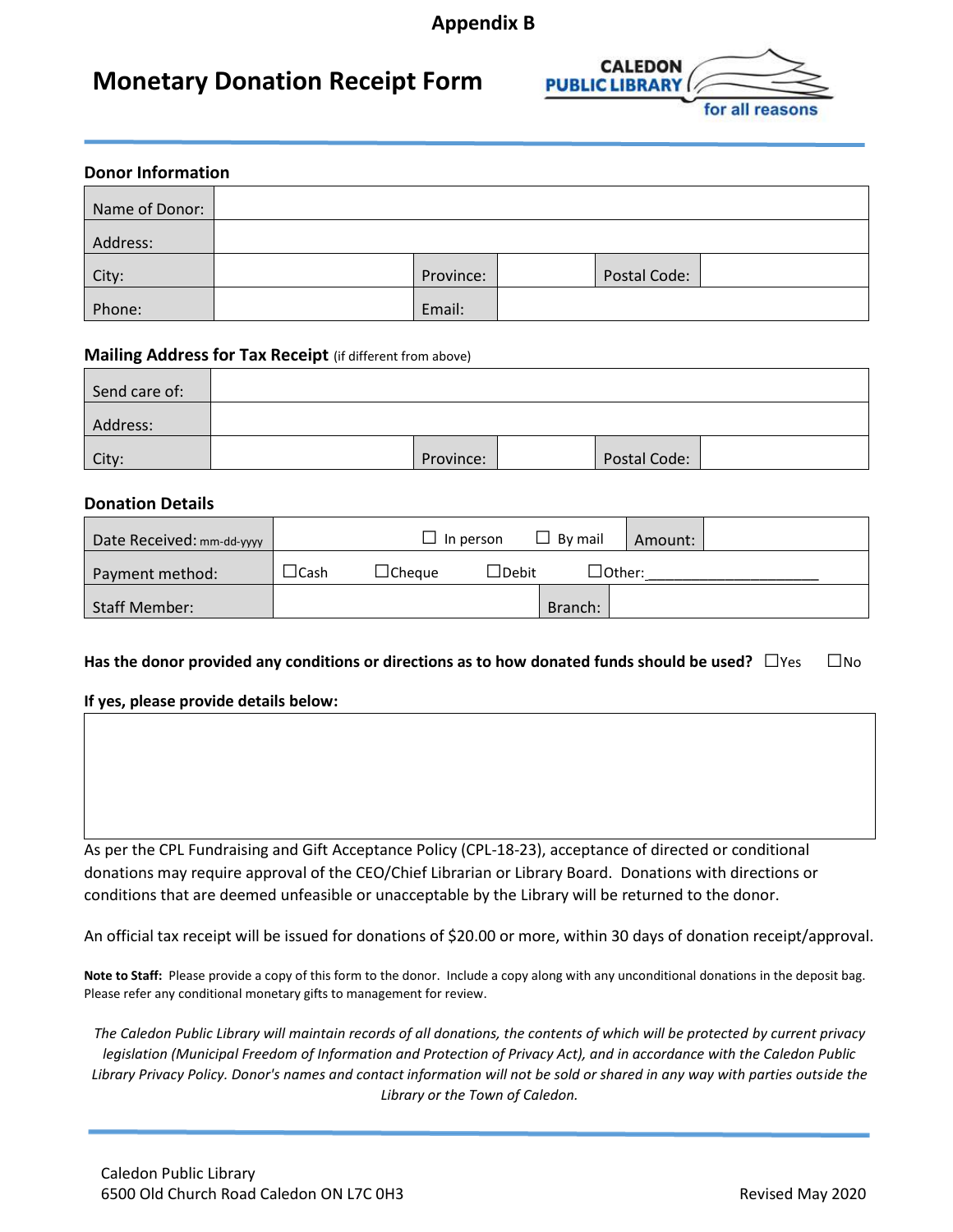## **Appendix B**

## **Monetary Donation Receipt Form**



| <b>Donor Information</b> |  |           |  |              |  |  |  |
|--------------------------|--|-----------|--|--------------|--|--|--|
| Name of Donor:           |  |           |  |              |  |  |  |
| Address:                 |  |           |  |              |  |  |  |
| City:                    |  | Province: |  | Postal Code: |  |  |  |
| Phone:                   |  | Email:    |  |              |  |  |  |

#### **Mailing Address for Tax Receipt** (if different from above)

| Send care of: |           |              |  |
|---------------|-----------|--------------|--|
| Address:      |           |              |  |
| City:         | Province: | Postal Code: |  |

#### **Donation Details**

| Date Received: mm-dd-yyyy |       |                    | In person         | By mail | Amount:            |  |
|---------------------------|-------|--------------------|-------------------|---------|--------------------|--|
| Payment method:           | ⊥Cash | $\lrcorner$ Cheaue | $\lrcorner$ Debit |         | $\lrcorner$ Other: |  |
| <b>Staff Member:</b>      |       |                    |                   | Branch: |                    |  |

#### **Has the donor provided any conditions or directions as to how donated funds should be used? □Yes □No**

**If yes, please provide details below:**

As per the CPL Fundraising and Gift Acceptance Policy (CPL-18-23), acceptance of directed or conditional donations may require approval of the CEO/Chief Librarian or Library Board. Donations with directions or conditions that are deemed unfeasible or unacceptable by the Library will be returned to the donor.

An official tax receipt will be issued for donations of \$20.00 or more, within 30 days of donation receipt/approval.

**Note to Staff:** Please provide a copy of this form to the donor. Include a copy along with any unconditional donations in the deposit bag. Please refer any conditional monetary gifts to management for review.

*The Caledon Public Library will maintain records of all donations, the contents of which will be protected by current privacy legislation (Municipal Freedom of Information and Protection of Privacy Act), and in accordance with the Caledon Public Library Privacy Policy. Donor's names and contact information will not be sold or shared in any way with parties outside the Library or the Town of Caledon.*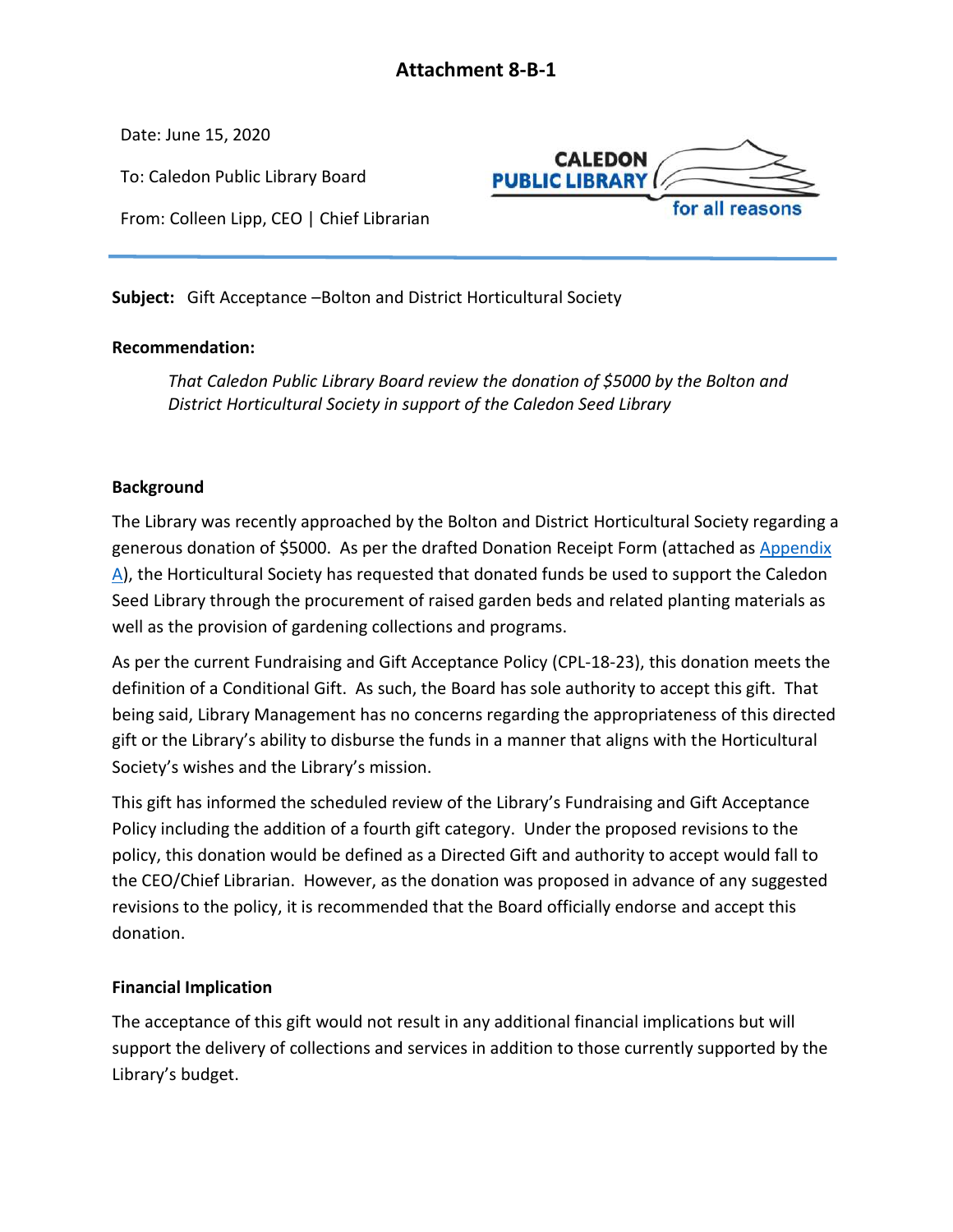<span id="page-33-0"></span>Date: June 15, 2020

To: Caledon Public Library Board



From: Colleen Lipp, CEO | Chief Librarian

**Subject:** Gift Acceptance –Bolton and District Horticultural Society

## **Recommendation:**

*That Caledon Public Library Board review the donation of \$5000 by the Bolton and District Horticultural Society in support of the Caledon Seed Library*

## **Background**

The Library was recently approached by the Bolton and District Horticultural Society regarding a generous donation of \$5000. As per the drafted Donation Receipt Form (attached as [Appendix](#page-34-0)  [A\)](#page-34-0), the Horticultural Society has requested that donated funds be used to support the Caledon Seed Library through the procurement of raised garden beds and related planting materials as well as the provision of gardening collections and programs.

As per the current Fundraising and Gift Acceptance Policy (CPL-18-23), this donation meets the definition of a Conditional Gift. As such, the Board has sole authority to accept this gift. That being said, Library Management has no concerns regarding the appropriateness of this directed gift or the Library's ability to disburse the funds in a manner that aligns with the Horticultural Society's wishes and the Library's mission.

This gift has informed the scheduled review of the Library's Fundraising and Gift Acceptance Policy including the addition of a fourth gift category. Under the proposed revisions to the policy, this donation would be defined as a Directed Gift and authority to accept would fall to the CEO/Chief Librarian. However, as the donation was proposed in advance of any suggested revisions to the policy, it is recommended that the Board officially endorse and accept this donation.

## **Financial Implication**

The acceptance of this gift would not result in any additional financial implications but will support the delivery of collections and services in addition to those currently supported by the Library's budget.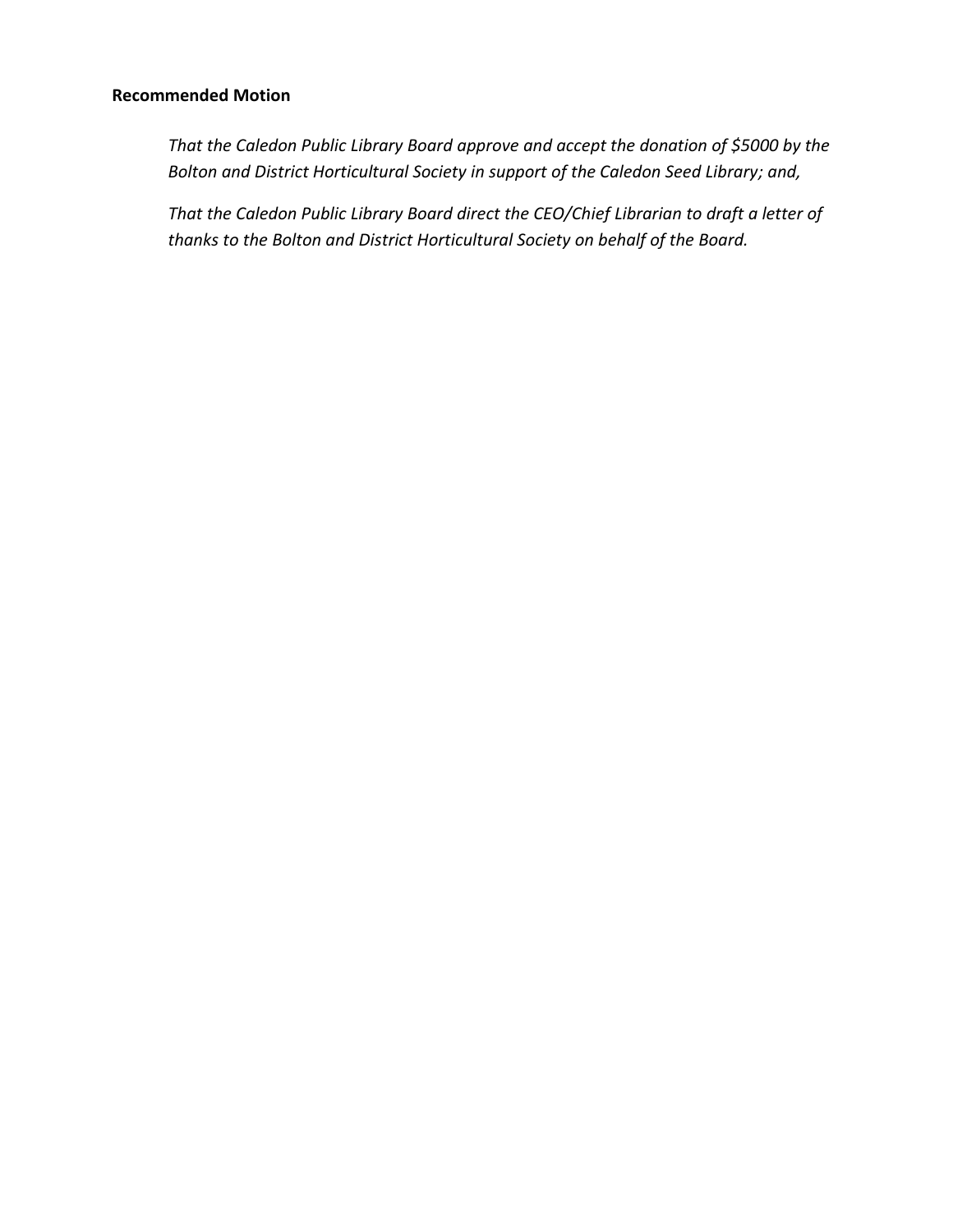### **Recommended Motion**

*That the Caledon Public Library Board approve and accept the donation of \$5000 by the Bolton and District Horticultural Society in support of the Caledon Seed Library; and,*

<span id="page-34-0"></span>*That the Caledon Public Library Board direct the CEO/Chief Librarian to draft a letter of thanks to the Bolton and District Horticultural Society on behalf of the Board.*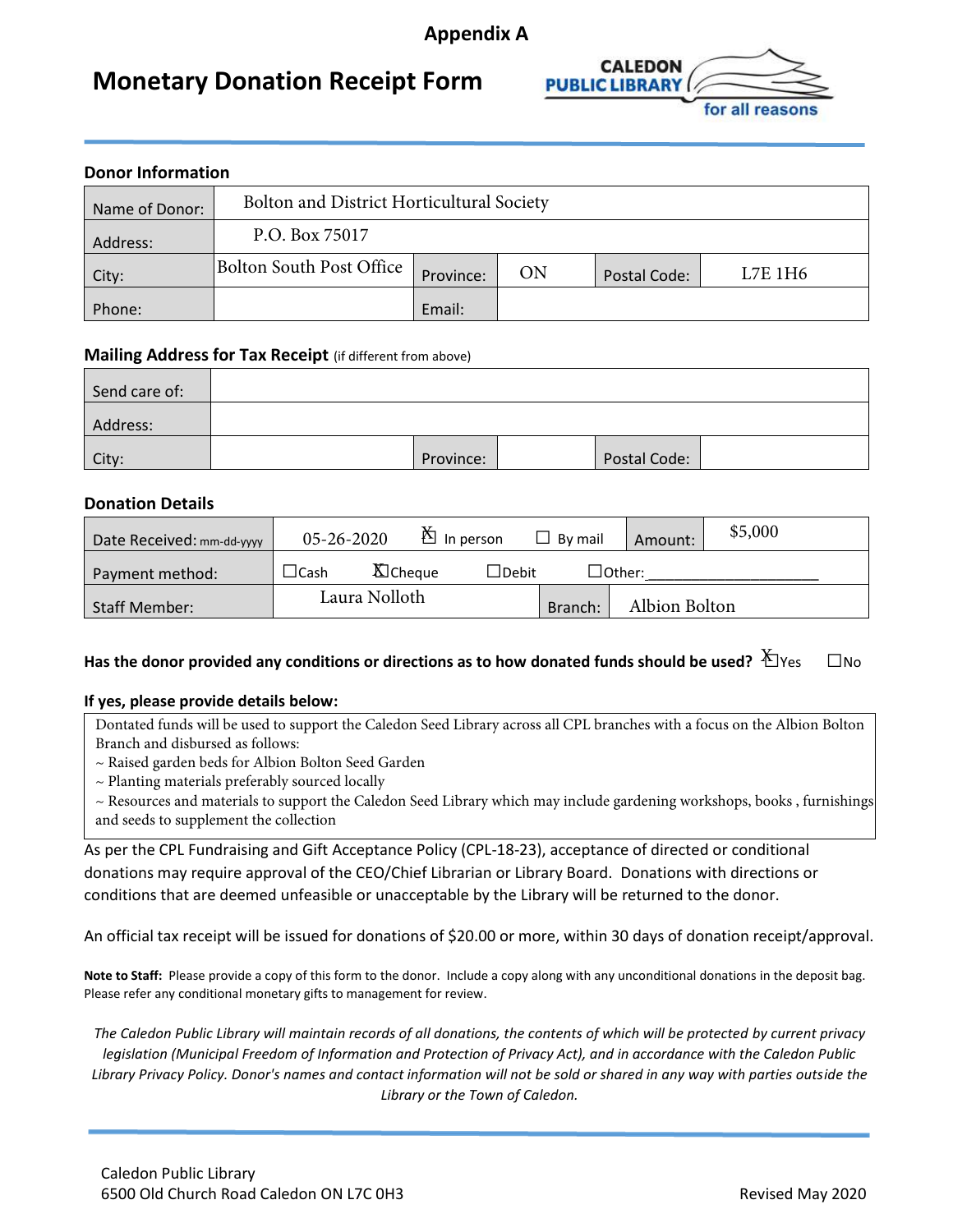## **Appendix A**

## **Monetary Donation Receipt Form**



| <b>Donor Information</b> |                                           |           |    |              |         |  |
|--------------------------|-------------------------------------------|-----------|----|--------------|---------|--|
| Name of Donor:           | Bolton and District Horticultural Society |           |    |              |         |  |
| Address:                 | P.O. Box 75017                            |           |    |              |         |  |
| City:                    | <b>Bolton South Post Office</b>           | Province: | ON | Postal Code: | L7E 1H6 |  |
| Phone:                   |                                           | Email:    |    |              |         |  |

#### **Mailing Address for Tax Receipt** (if different from above)

| Send care of: |           |              |  |
|---------------|-----------|--------------|--|
| Address:      |           |              |  |
| City:         | Province: | Postal Code: |  |

#### **Donation Details**

| Date Received: mm-dd-yyyy | $05 - 26 - 2020$ | $\mathbb{\check{B}}$ In person  | By mail | Amount:            | \$5,000 |
|---------------------------|------------------|---------------------------------|---------|--------------------|---------|
| Payment method:           | $\sqcup$ Cash    | <b>X</b> Cheque<br>$\Box$ Debit |         | $\lrcorner$ Other: |         |
| <b>Staff Member:</b>      | Laura Nolloth    |                                 | Branch: | Albion Bolton      |         |

## <code>Has</code> the donor provided any conditions or directions as to how donated funds should be used?  $\breve\pm$ Yes  $\quad \Box$ No

#### **If yes, please provide details below:**

Dontated funds will be used to support the Caledon Seed Library across all CPL branches with a focus on the Albion Bolton Branch and disbursed as follows:

~ Raised garden beds for Albion Bolton Seed Garden

 $\sim$  Planting materials preferably sourced locally

~ Resources and materials to support the Caledon Seed Library which may include gardening workshops, books , furnishings and seeds to supplement the collection

As per the CPL Fundraising and Gift Acceptance Policy (CPL-18-23), acceptance of directed or conditional donations may require approval of the CEO/Chief Librarian or Library Board. Donations with directions or conditions that are deemed unfeasible or unacceptable by the Library will be returned to the donor.

An official tax receipt will be issued for donations of \$20.00 or more, within 30 days of donation receipt/approval.

**Note to Staff:** Please provide a copy of this form to the donor. Include a copy along with any unconditional donations in the deposit bag. Please refer any conditional monetary gifts to management for review.

*The Caledon Public Library will maintain records of all donations, the contents of which will be protected by current privacy legislation (Municipal Freedom of Information and Protection of Privacy Act), and in accordance with the Caledon Public Library Privacy Policy. Donor's names and contact information will not be sold or shared in any way with parties outside the Library or the Town of Caledon.*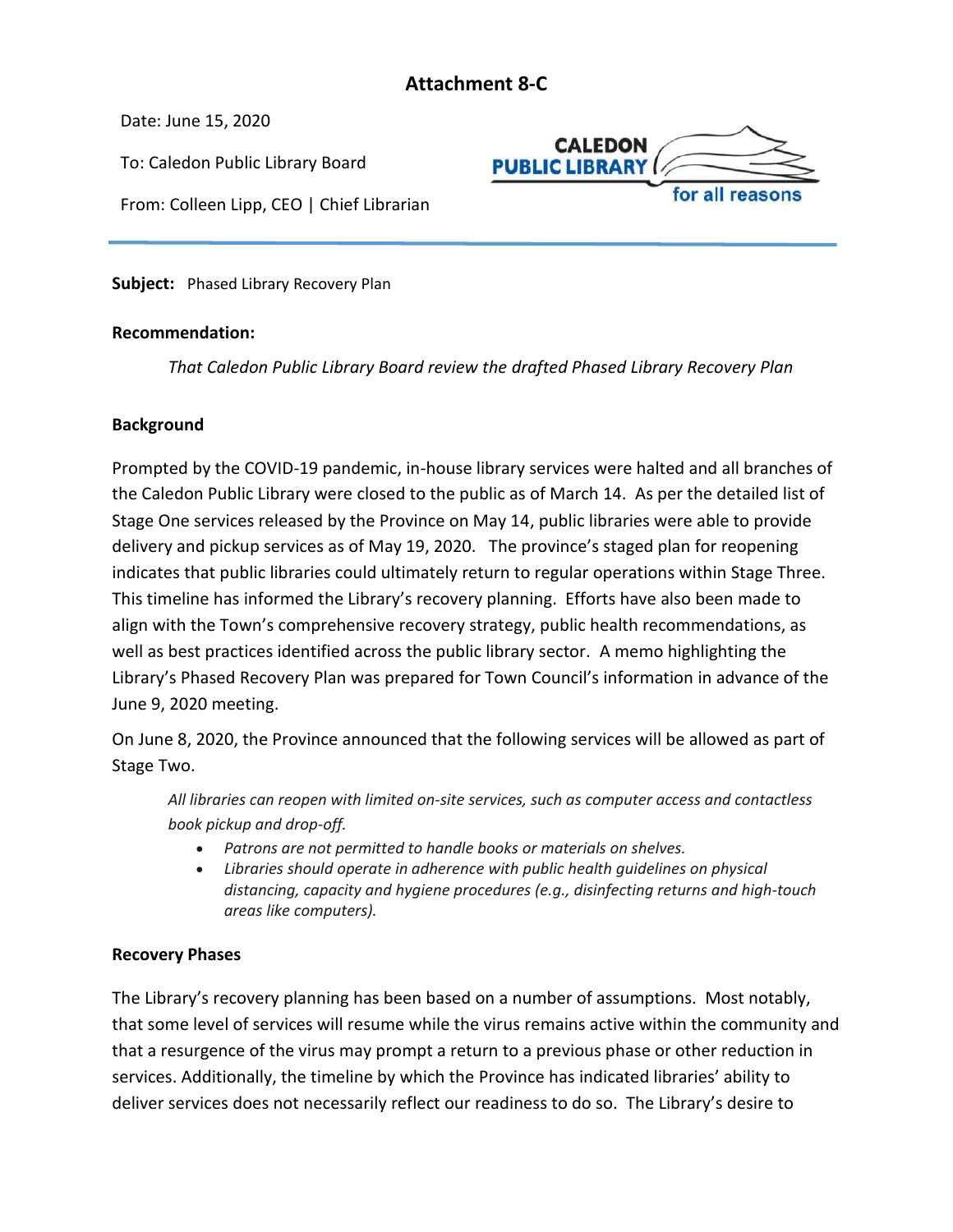## **Attachment 8-C**

<span id="page-36-0"></span>Date: June 15, 2020

To: Caledon Public Library Board

From: Colleen Lipp, CEO | Chief Librarian



**Subject:** Phased Library Recovery Plan

#### **Recommendation:**

*That Caledon Public Library Board review the drafted Phased Library Recovery Plan*

#### **Background**

Prompted by the COVID-19 pandemic, in-house library services were halted and all branches of the Caledon Public Library were closed to the public as of March 14. As per the detailed list of Stage One services released by the Province on May 14, public libraries were able to provide delivery and pickup services as of May 19, 2020. The province's staged plan for reopening indicates that public libraries could ultimately return to regular operations within Stage Three. This timeline has informed the Library's recovery planning. Efforts have also been made to align with the Town's comprehensive recovery strategy, public health recommendations, as well as best practices identified across the public library sector. A memo highlighting the Library's Phased Recovery Plan was prepared for Town Council's information in advance of the June 9, 2020 meeting.

On June 8, 2020, the Province announced that the following services will be allowed as part of Stage Two.

*All libraries can reopen with limited on-site services, such as computer access and contactless book pickup and drop-off.*

- *Patrons are not permitted to handle books or materials on shelves.*
- *Libraries should operate in adherence with public health guidelines on physical distancing, capacity and hygiene procedures (e.g., disinfecting returns and high-touch areas like computers).*

## **Recovery Phases**

The Library's recovery planning has been based on a number of assumptions. Most notably, that some level of services will resume while the virus remains active within the community and that a resurgence of the virus may prompt a return to a previous phase or other reduction in services. Additionally, the timeline by which the Province has indicated libraries' ability to deliver services does not necessarily reflect our readiness to do so. The Library's desire to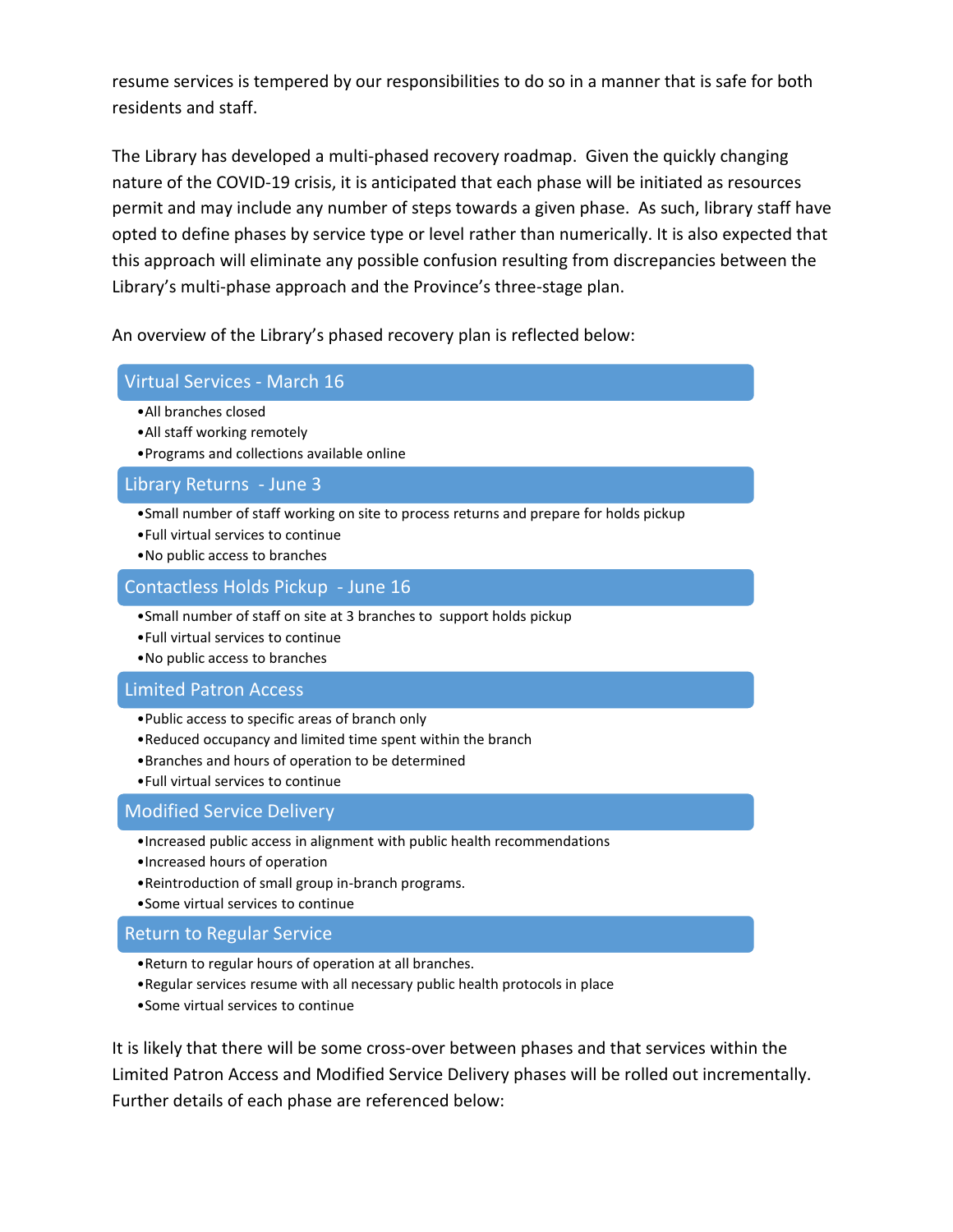resume services is tempered by our responsibilities to do so in a manner that is safe for both residents and staff.

The Library has developed a multi-phased recovery roadmap. Given the quickly changing nature of the COVID-19 crisis, it is anticipated that each phase will be initiated as resources permit and may include any number of steps towards a given phase. As such, library staff have opted to define phases by service type or level rather than numerically. It is also expected that this approach will eliminate any possible confusion resulting from discrepancies between the Library's multi-phase approach and the Province's three-stage plan.

An overview of the Library's phased recovery plan is reflected below:

#### Virtual Services - March 16

- •All branches closed
- •All staff working remotely
- •Programs and collections available online

#### Library Returns - June 3

- •Small number of staff working on site to process returns and prepare for holds pickup
- •Full virtual services to continue
- •No public access to branches

#### Contactless Holds Pickup - June 16

- •Small number of staff on site at 3 branches to support holds pickup
- •Full virtual services to continue
- •No public access to branches

#### Limited Patron Access

- •Public access to specific areas of branch only
- •Reduced occupancy and limited time spent within the branch
- •Branches and hours of operation to be determined
- •Full virtual services to continue

## Modified Service Delivery

- •Increased public access in alignment with public health recommendations
- •Increased hours of operation
- •Reintroduction of small group in-branch programs.
- •Some virtual services to continue

#### Return to Regular Service

- •Return to regular hours of operation at all branches.
- •Regular services resume with all necessary public health protocols in place
- •Some virtual services to continue

It is likely that there will be some cross-over between phases and that services within the Limited Patron Access and Modified Service Delivery phases will be rolled out incrementally. Further details of each phase are referenced below: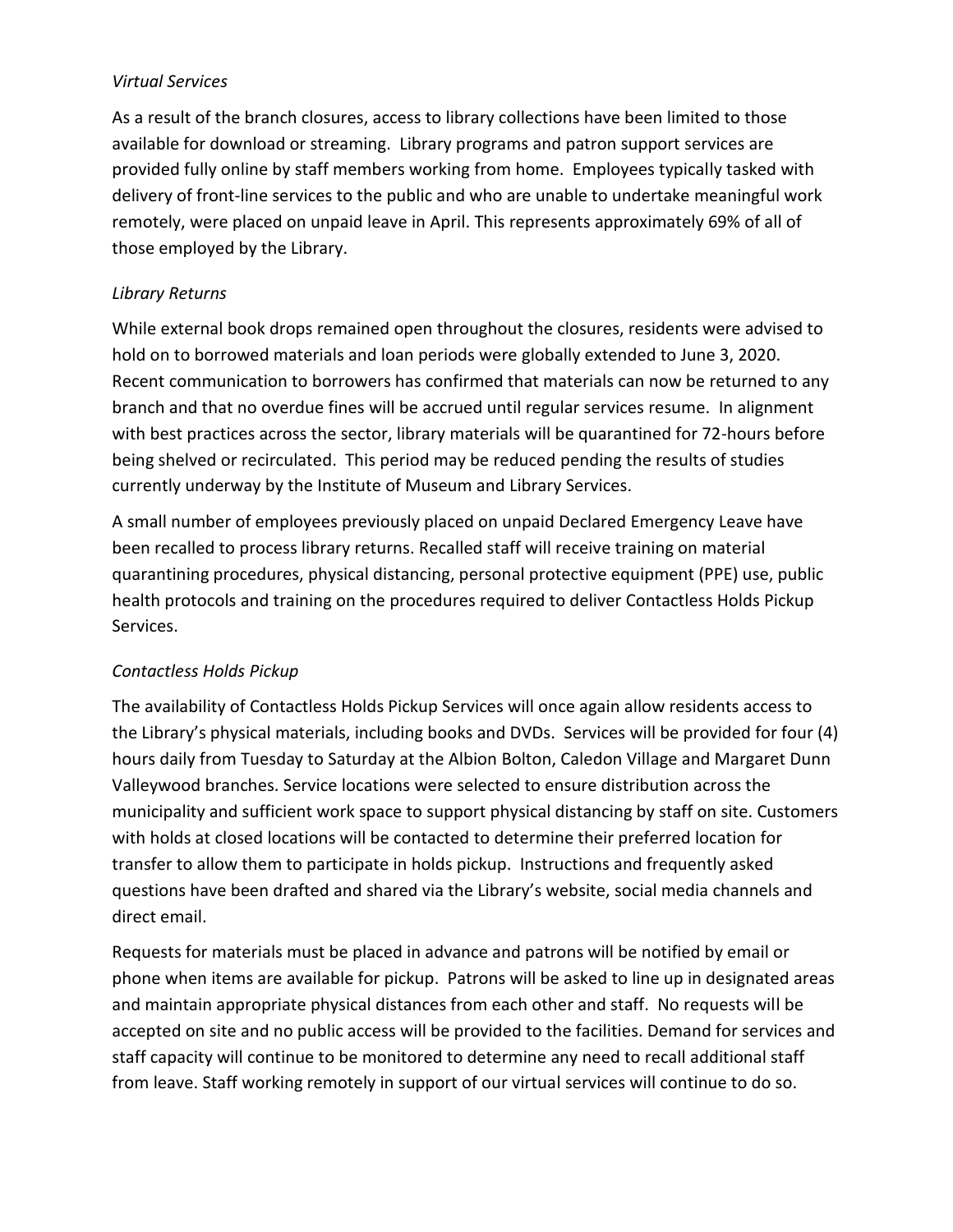### *Virtual Services*

As a result of the branch closures, access to library collections have been limited to those available for download or streaming. Library programs and patron support services are provided fully online by staff members working from home. Employees typically tasked with delivery of front-line services to the public and who are unable to undertake meaningful work remotely, were placed on unpaid leave in April. This represents approximately 69% of all of those employed by the Library.

### *Library Returns*

While external book drops remained open throughout the closures, residents were advised to hold on to borrowed materials and loan periods were globally extended to June 3, 2020. Recent communication to borrowers has confirmed that materials can now be returned to any branch and that no overdue fines will be accrued until regular services resume. In alignment with best practices across the sector, library materials will be quarantined for 72-hours before being shelved or recirculated. This period may be reduced pending the results of studies currently underway by the Institute of Museum and Library Services.

A small number of employees previously placed on unpaid Declared Emergency Leave have been recalled to process library returns. Recalled staff will receive training on material quarantining procedures, physical distancing, personal protective equipment (PPE) use, public health protocols and training on the procedures required to deliver Contactless Holds Pickup Services.

## *Contactless Holds Pickup*

The availability of Contactless Holds Pickup Services will once again allow residents access to the Library's physical materials, including books and DVDs. Services will be provided for four (4) hours daily from Tuesday to Saturday at the Albion Bolton, Caledon Village and Margaret Dunn Valleywood branches. Service locations were selected to ensure distribution across the municipality and sufficient work space to support physical distancing by staff on site. Customers with holds at closed locations will be contacted to determine their preferred location for transfer to allow them to participate in holds pickup. Instructions and frequently asked questions have been drafted and shared via the Library's website, social media channels and direct email.

Requests for materials must be placed in advance and patrons will be notified by email or phone when items are available for pickup. Patrons will be asked to line up in designated areas and maintain appropriate physical distances from each other and staff. No requests will be accepted on site and no public access will be provided to the facilities. Demand for services and staff capacity will continue to be monitored to determine any need to recall additional staff from leave. Staff working remotely in support of our virtual services will continue to do so.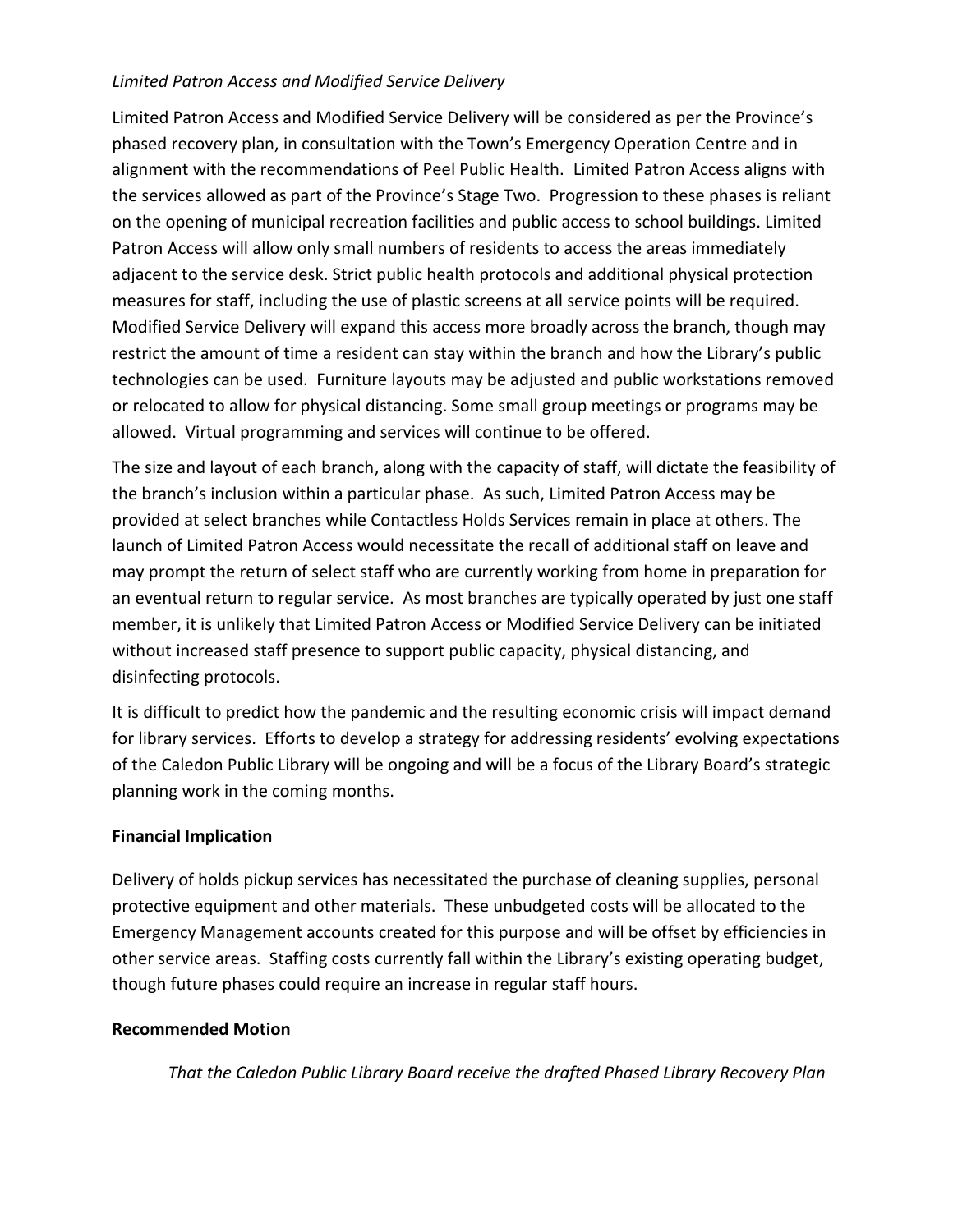## *Limited Patron Access and Modified Service Delivery*

Limited Patron Access and Modified Service Delivery will be considered as per the Province's phased recovery plan, in consultation with the Town's Emergency Operation Centre and in alignment with the recommendations of Peel Public Health. Limited Patron Access aligns with the services allowed as part of the Province's Stage Two. Progression to these phases is reliant on the opening of municipal recreation facilities and public access to school buildings. Limited Patron Access will allow only small numbers of residents to access the areas immediately adjacent to the service desk. Strict public health protocols and additional physical protection measures for staff, including the use of plastic screens at all service points will be required. Modified Service Delivery will expand this access more broadly across the branch, though may restrict the amount of time a resident can stay within the branch and how the Library's public technologies can be used. Furniture layouts may be adjusted and public workstations removed or relocated to allow for physical distancing. Some small group meetings or programs may be allowed. Virtual programming and services will continue to be offered.

The size and layout of each branch, along with the capacity of staff, will dictate the feasibility of the branch's inclusion within a particular phase. As such, Limited Patron Access may be provided at select branches while Contactless Holds Services remain in place at others. The launch of Limited Patron Access would necessitate the recall of additional staff on leave and may prompt the return of select staff who are currently working from home in preparation for an eventual return to regular service. As most branches are typically operated by just one staff member, it is unlikely that Limited Patron Access or Modified Service Delivery can be initiated without increased staff presence to support public capacity, physical distancing, and disinfecting protocols.

It is difficult to predict how the pandemic and the resulting economic crisis will impact demand for library services. Efforts to develop a strategy for addressing residents' evolving expectations of the Caledon Public Library will be ongoing and will be a focus of the Library Board's strategic planning work in the coming months.

## **Financial Implication**

Delivery of holds pickup services has necessitated the purchase of cleaning supplies, personal protective equipment and other materials. These unbudgeted costs will be allocated to the Emergency Management accounts created for this purpose and will be offset by efficiencies in other service areas. Staffing costs currently fall within the Library's existing operating budget, though future phases could require an increase in regular staff hours.

## **Recommended Motion**

*That the Caledon Public Library Board receive the drafted Phased Library Recovery Plan*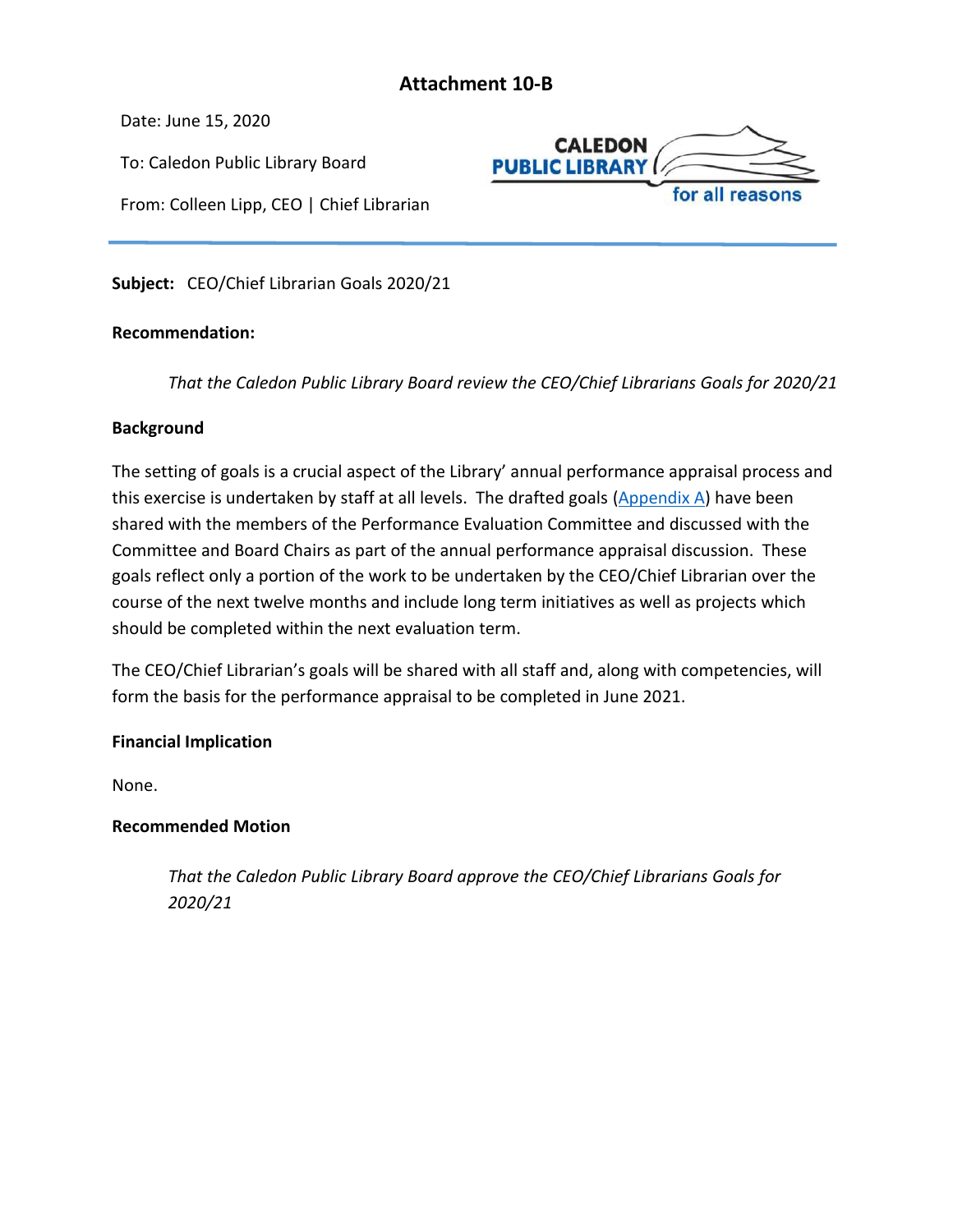## **Attachment 10-B**

<span id="page-40-0"></span>Date: June 15, 2020

To: Caledon Public Library Board

From: Colleen Lipp, CEO | Chief Librarian



**Subject:** CEO/Chief Librarian Goals 2020/21

#### **Recommendation:**

*That the Caledon Public Library Board review the CEO/Chief Librarians Goals for 2020/21*

#### **Background**

The setting of goals is a crucial aspect of the Library' annual performance appraisal process and this exercise is undertaken by staff at all levels. The drafted goals [\(Appendix A\)](#page-40-1) have been shared with the members of the Performance Evaluation Committee and discussed with the Committee and Board Chairs as part of the annual performance appraisal discussion. These goals reflect only a portion of the work to be undertaken by the CEO/Chief Librarian over the course of the next twelve months and include long term initiatives as well as projects which should be completed within the next evaluation term.

The CEO/Chief Librarian's goals will be shared with all staff and, along with competencies, will form the basis for the performance appraisal to be completed in June 2021.

#### **Financial Implication**

None.

#### **Recommended Motion**

<span id="page-40-1"></span>*That the Caledon Public Library Board approve the CEO/Chief Librarians Goals for 2020/21*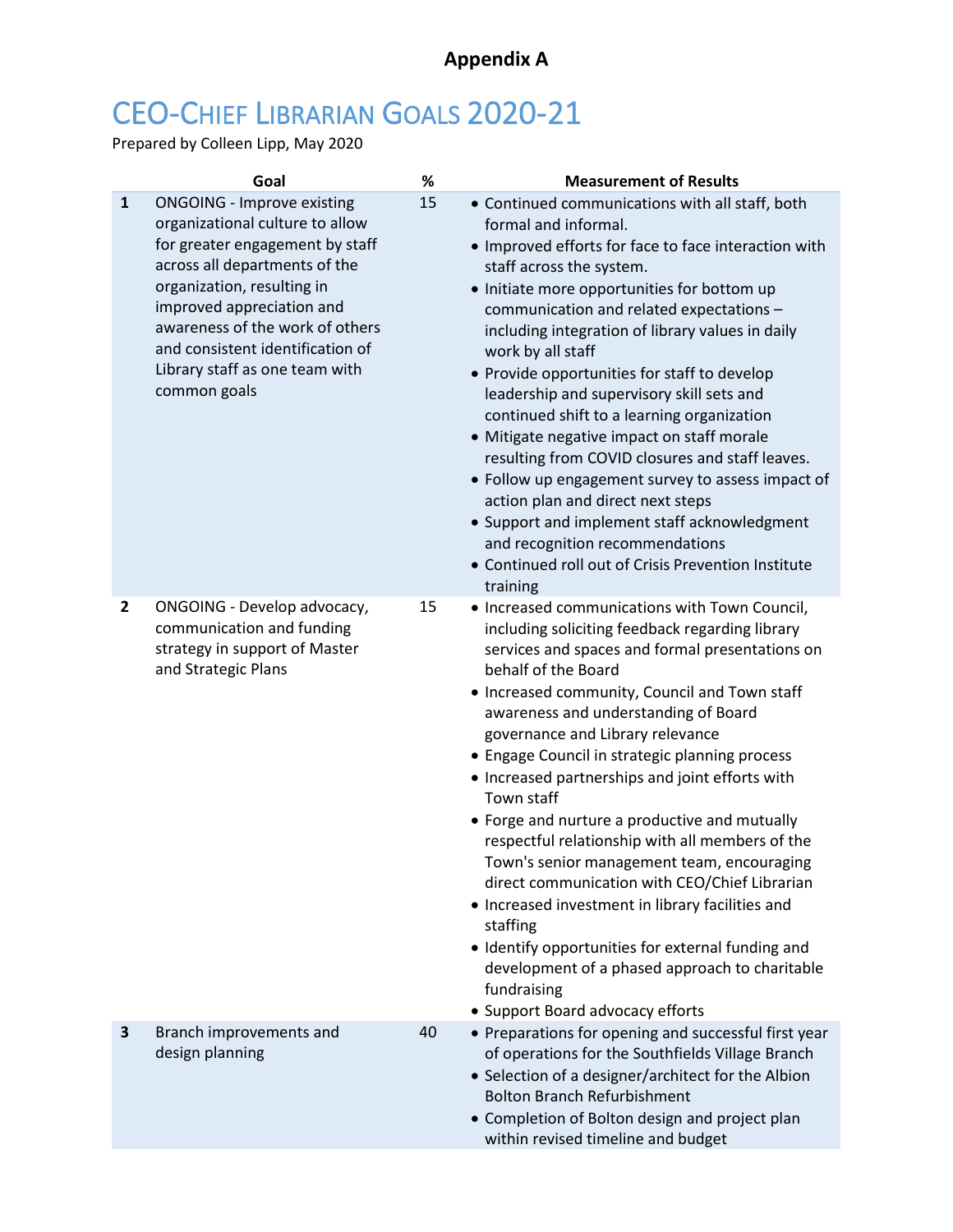## **Appendix A**

# CEO-CHIEF LIBRARIAN GOALS 2020-21

Prepared by Colleen Lipp, May 2020

|                | Goal                                                                                                                                                                                                                                                                                                                         | %  | <b>Measurement of Results</b>                                                                                                                                                                                                                                                                                                                                                                                                                                                                                                                                                                                                                                                                                                                                                                                                                           |
|----------------|------------------------------------------------------------------------------------------------------------------------------------------------------------------------------------------------------------------------------------------------------------------------------------------------------------------------------|----|---------------------------------------------------------------------------------------------------------------------------------------------------------------------------------------------------------------------------------------------------------------------------------------------------------------------------------------------------------------------------------------------------------------------------------------------------------------------------------------------------------------------------------------------------------------------------------------------------------------------------------------------------------------------------------------------------------------------------------------------------------------------------------------------------------------------------------------------------------|
| $\mathbf{1}$   | <b>ONGOING - Improve existing</b><br>organizational culture to allow<br>for greater engagement by staff<br>across all departments of the<br>organization, resulting in<br>improved appreciation and<br>awareness of the work of others<br>and consistent identification of<br>Library staff as one team with<br>common goals | 15 | • Continued communications with all staff, both<br>formal and informal.<br>• Improved efforts for face to face interaction with<br>staff across the system.<br>• Initiate more opportunities for bottom up<br>communication and related expectations -<br>including integration of library values in daily<br>work by all staff<br>• Provide opportunities for staff to develop<br>leadership and supervisory skill sets and<br>continued shift to a learning organization<br>• Mitigate negative impact on staff morale<br>resulting from COVID closures and staff leaves.<br>• Follow up engagement survey to assess impact of<br>action plan and direct next steps<br>• Support and implement staff acknowledgment<br>and recognition recommendations<br>• Continued roll out of Crisis Prevention Institute<br>training                             |
| $\overline{2}$ | ONGOING - Develop advocacy,<br>communication and funding<br>strategy in support of Master<br>and Strategic Plans                                                                                                                                                                                                             | 15 | • Increased communications with Town Council,<br>including soliciting feedback regarding library<br>services and spaces and formal presentations on<br>behalf of the Board<br>• Increased community, Council and Town staff<br>awareness and understanding of Board<br>governance and Library relevance<br>• Engage Council in strategic planning process<br>• Increased partnerships and joint efforts with<br>Town staff<br>• Forge and nurture a productive and mutually<br>respectful relationship with all members of the<br>Town's senior management team, encouraging<br>direct communication with CEO/Chief Librarian<br>• Increased investment in library facilities and<br>staffing<br>• Identify opportunities for external funding and<br>development of a phased approach to charitable<br>fundraising<br>• Support Board advocacy efforts |
| 3              | Branch improvements and<br>design planning                                                                                                                                                                                                                                                                                   | 40 | • Preparations for opening and successful first year<br>of operations for the Southfields Village Branch<br>• Selection of a designer/architect for the Albion<br><b>Bolton Branch Refurbishment</b><br>• Completion of Bolton design and project plan<br>within revised timeline and budget                                                                                                                                                                                                                                                                                                                                                                                                                                                                                                                                                            |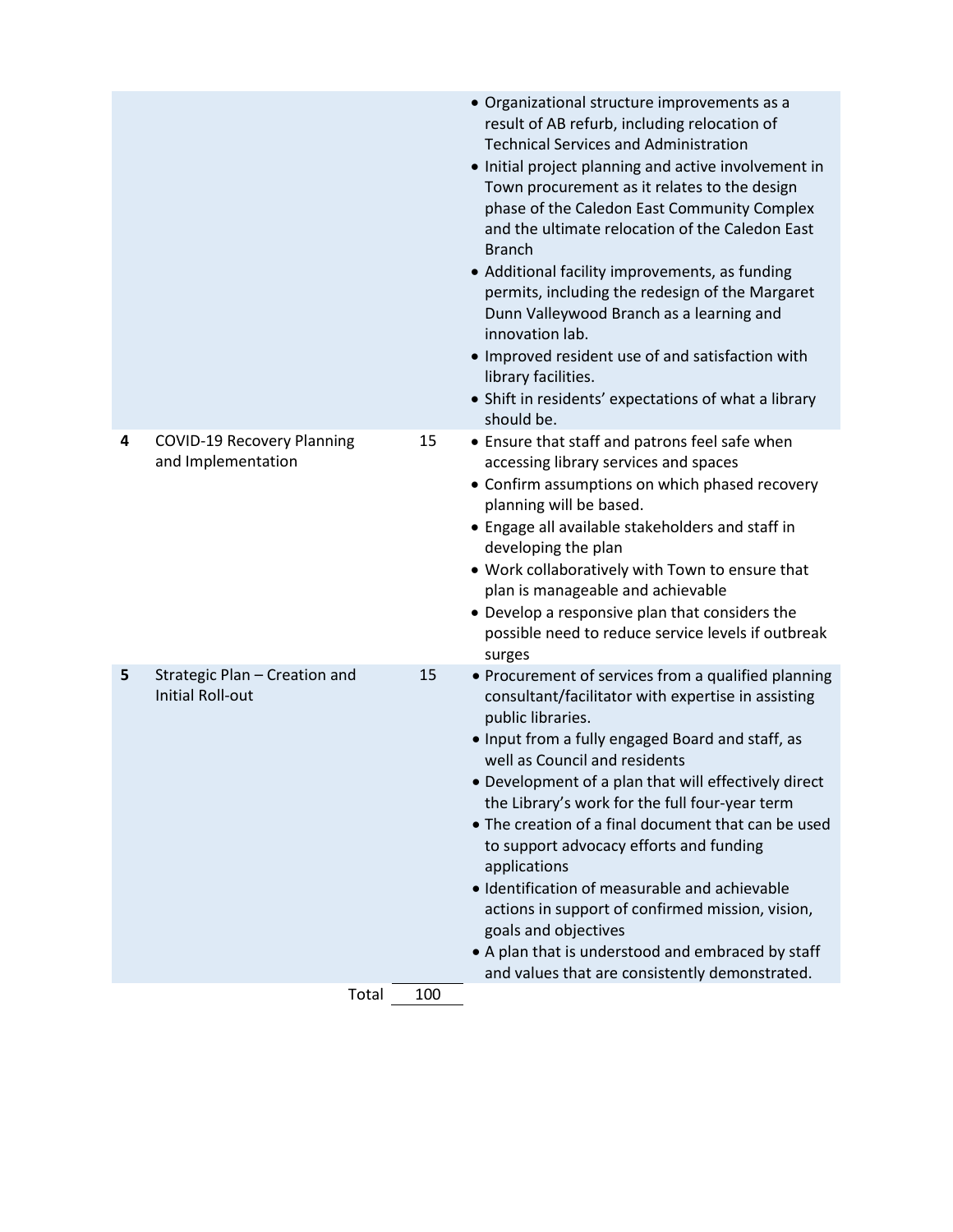|   |                                                          |     | • Organizational structure improvements as a<br>result of AB refurb, including relocation of<br><b>Technical Services and Administration</b><br>• Initial project planning and active involvement in<br>Town procurement as it relates to the design<br>phase of the Caledon East Community Complex<br>and the ultimate relocation of the Caledon East<br><b>Branch</b><br>• Additional facility improvements, as funding<br>permits, including the redesign of the Margaret<br>Dunn Valleywood Branch as a learning and<br>innovation lab.<br>• Improved resident use of and satisfaction with<br>library facilities.<br>• Shift in residents' expectations of what a library<br>should be. |
|---|----------------------------------------------------------|-----|----------------------------------------------------------------------------------------------------------------------------------------------------------------------------------------------------------------------------------------------------------------------------------------------------------------------------------------------------------------------------------------------------------------------------------------------------------------------------------------------------------------------------------------------------------------------------------------------------------------------------------------------------------------------------------------------|
| 4 | <b>COVID-19 Recovery Planning</b><br>and Implementation  | 15  | • Ensure that staff and patrons feel safe when<br>accessing library services and spaces<br>• Confirm assumptions on which phased recovery<br>planning will be based.<br>• Engage all available stakeholders and staff in<br>developing the plan<br>. Work collaboratively with Town to ensure that<br>plan is manageable and achievable<br>• Develop a responsive plan that considers the<br>possible need to reduce service levels if outbreak<br>surges                                                                                                                                                                                                                                    |
| 5 | Strategic Plan - Creation and<br><b>Initial Roll-out</b> | 15  | • Procurement of services from a qualified planning<br>consultant/facilitator with expertise in assisting<br>public libraries.<br>. Input from a fully engaged Board and staff, as<br>well as Council and residents<br>• Development of a plan that will effectively direct<br>the Library's work for the full four-year term<br>• The creation of a final document that can be used<br>to support advocacy efforts and funding<br>applications<br>· Identification of measurable and achievable<br>actions in support of confirmed mission, vision,<br>goals and objectives<br>• A plan that is understood and embraced by staff<br>and values that are consistently demonstrated.          |
|   | Total                                                    | 100 |                                                                                                                                                                                                                                                                                                                                                                                                                                                                                                                                                                                                                                                                                              |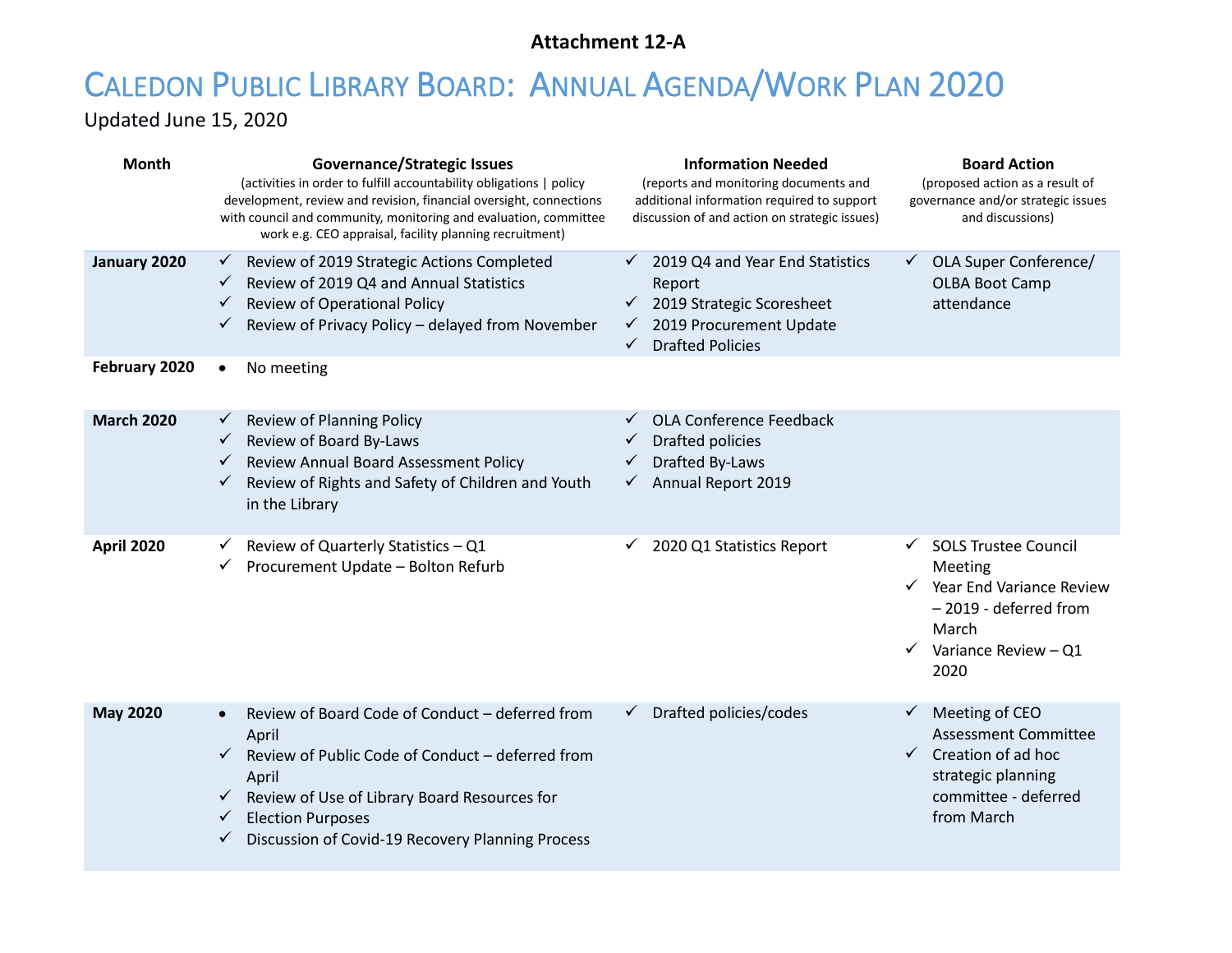## **Attachment 12-A**

# <span id="page-43-0"></span>CALEDON PUBLIC LIBRARY BOARD: ANNUAL AGENDA/WORK PLAN 2020

Updated June 15, 2020

| Month             | <b>Governance/Strategic Issues</b><br>(activities in order to fulfill accountability obligations   policy<br>development, review and revision, financial oversight, connections<br>with council and community, monitoring and evaluation, committee<br>work e.g. CEO appraisal, facility planning recruitment)     | <b>Information Needed</b><br>(reports and monitoring documents and<br>additional information required to support<br>discussion of and action on strategic issues)                      | <b>Board Action</b><br>(proposed action as a result of<br>governance and/or strategic issues<br>and discussions)                                                        |
|-------------------|--------------------------------------------------------------------------------------------------------------------------------------------------------------------------------------------------------------------------------------------------------------------------------------------------------------------|----------------------------------------------------------------------------------------------------------------------------------------------------------------------------------------|-------------------------------------------------------------------------------------------------------------------------------------------------------------------------|
| January 2020      | Review of 2019 Strategic Actions Completed<br>$\checkmark$<br>Review of 2019 Q4 and Annual Statistics<br>$\checkmark$<br>Review of Operational Policy<br>$\checkmark$<br>Review of Privacy Policy - delayed from November                                                                                          | $\checkmark$ 2019 Q4 and Year End Statistics<br>Report<br>$\checkmark$ 2019 Strategic Scoresheet<br>2019 Procurement Update<br>$\checkmark$<br><b>Drafted Policies</b><br>$\checkmark$ | ← OLA Super Conference/<br><b>OLBA Boot Camp</b><br>attendance                                                                                                          |
| February 2020     | No meeting<br>$\bullet$                                                                                                                                                                                                                                                                                            |                                                                                                                                                                                        |                                                                                                                                                                         |
| <b>March 2020</b> | Review of Planning Policy<br>✓<br>$\checkmark$ Review of Board By-Laws<br>Review Annual Board Assessment Policy<br>$\checkmark$<br>Review of Rights and Safety of Children and Youth<br>$\checkmark$<br>in the Library                                                                                             | OLA Conference Feedback<br>✓<br>Drafted policies<br>Drafted By-Laws<br>$\checkmark$<br>$\checkmark$ Annual Report 2019                                                                 |                                                                                                                                                                         |
| <b>April 2020</b> | Review of Quarterly Statistics - Q1<br>Procurement Update - Bolton Refurb<br>✓                                                                                                                                                                                                                                     | 2020 Q1 Statistics Report<br>✓                                                                                                                                                         | <b>SOLS Trustee Council</b><br>✓<br>Meeting<br>$\checkmark$ Year End Variance Review<br>- 2019 - deferred from<br>March<br>Variance Review - Q1<br>$\checkmark$<br>2020 |
| <b>May 2020</b>   | Review of Board Code of Conduct - deferred from<br>April<br>Review of Public Code of Conduct - deferred from<br>$\checkmark$<br>April<br>$\checkmark$ Review of Use of Library Board Resources for<br><b>Election Purposes</b><br>$\checkmark$<br>Discussion of Covid-19 Recovery Planning Process<br>$\checkmark$ | Drafted policies/codes                                                                                                                                                                 | Meeting of CEO<br>$\checkmark$<br><b>Assessment Committee</b><br>$\checkmark$ Creation of ad hoc<br>strategic planning<br>committee - deferred<br>from March            |